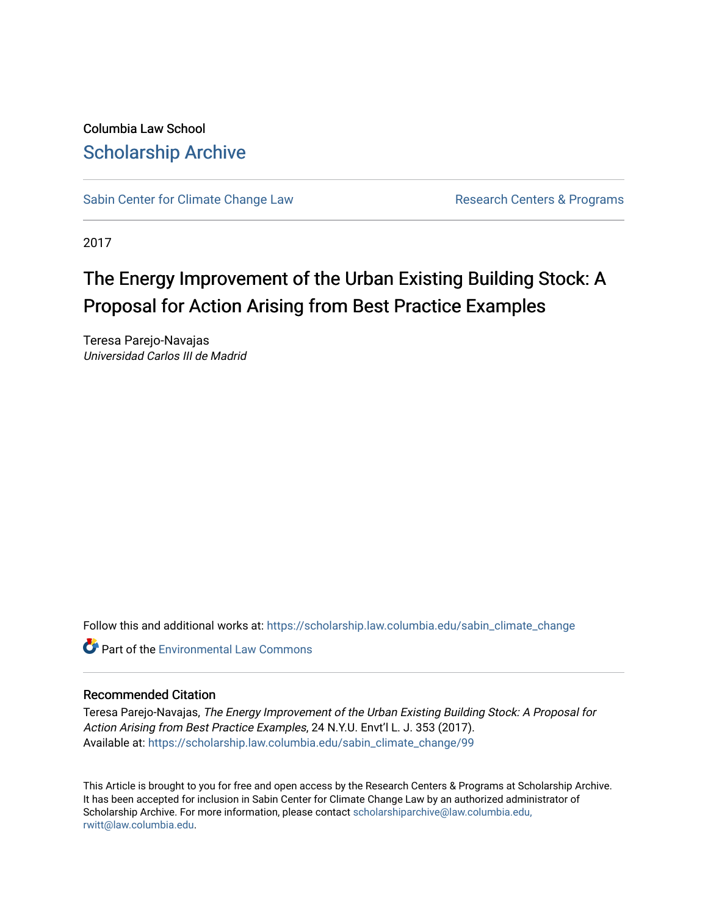Columbia Law School [Scholarship Archive](https://scholarship.law.columbia.edu/) 

[Sabin Center for Climate Change Law](https://scholarship.law.columbia.edu/sabin_climate_change) Research Centers & Programs

2017

# The Energy Improvement of the Urban Existing Building Stock: A Proposal for Action Arising from Best Practice Examples

Teresa Parejo-Navajas Universidad Carlos III de Madrid

Follow this and additional works at: [https://scholarship.law.columbia.edu/sabin\\_climate\\_change](https://scholarship.law.columbia.edu/sabin_climate_change?utm_source=scholarship.law.columbia.edu%2Fsabin_climate_change%2F99&utm_medium=PDF&utm_campaign=PDFCoverPages) 

**C** Part of the [Environmental Law Commons](http://network.bepress.com/hgg/discipline/599?utm_source=scholarship.law.columbia.edu%2Fsabin_climate_change%2F99&utm_medium=PDF&utm_campaign=PDFCoverPages)

# Recommended Citation

Teresa Parejo-Navajas, The Energy Improvement of the Urban Existing Building Stock: A Proposal for Action Arising from Best Practice Examples, 24 N.Y.U. Envt'l L. J. 353 (2017). Available at: [https://scholarship.law.columbia.edu/sabin\\_climate\\_change/99](https://scholarship.law.columbia.edu/sabin_climate_change/99?utm_source=scholarship.law.columbia.edu%2Fsabin_climate_change%2F99&utm_medium=PDF&utm_campaign=PDFCoverPages)

This Article is brought to you for free and open access by the Research Centers & Programs at Scholarship Archive. It has been accepted for inclusion in Sabin Center for Climate Change Law by an authorized administrator of Scholarship Archive. For more information, please contact [scholarshiparchive@law.columbia.edu,](mailto:scholarshiparchive@law.columbia.edu,%20rwitt@law.columbia.edu) [rwitt@law.columbia.edu.](mailto:scholarshiparchive@law.columbia.edu,%20rwitt@law.columbia.edu)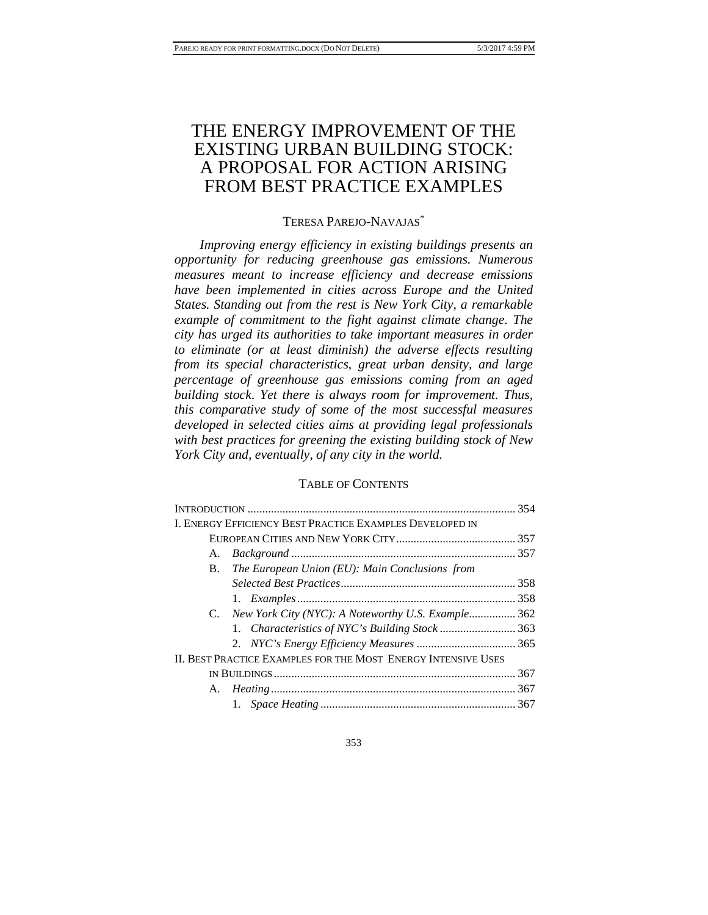# THE ENERGY IMPROVEMENT OF THE EXISTING URBAN BUILDING STOCK: A PROPOSAL FOR ACTION ARISING FROM BEST PRACTICE EXAMPLES

# TERESA PAREJO-NAVAJAS\*

*Improving energy efficiency in existing buildings presents an opportunity for reducing greenhouse gas emissions. Numerous measures meant to increase efficiency and decrease emissions have been implemented in cities across Europe and the United States. Standing out from the rest is New York City, a remarkable example of commitment to the fight against climate change. The city has urged its authorities to take important measures in order to eliminate (or at least diminish) the adverse effects resulting from its special characteristics, great urban density, and large percentage of greenhouse gas emissions coming from an aged building stock. Yet there is always room for improvement. Thus, this comparative study of some of the most successful measures developed in selected cities aims at providing legal professionals with best practices for greening the existing building stock of New York City and, eventually, of any city in the world.*

# TABLE OF CONTENTS

| <b>I. ENERGY EFFICIENCY BEST PRACTICE EXAMPLES DEVELOPED IN</b> |  |
|-----------------------------------------------------------------|--|
|                                                                 |  |
| A.                                                              |  |
| The European Union (EU): Main Conclusions from<br>В.            |  |
|                                                                 |  |
|                                                                 |  |
| C. New York City (NYC): A Noteworthy U.S. Example 362           |  |
|                                                                 |  |
|                                                                 |  |
| II. BEST PRACTICE EXAMPLES FOR THE MOST ENERGY INTENSIVE USES   |  |
|                                                                 |  |
|                                                                 |  |
|                                                                 |  |
|                                                                 |  |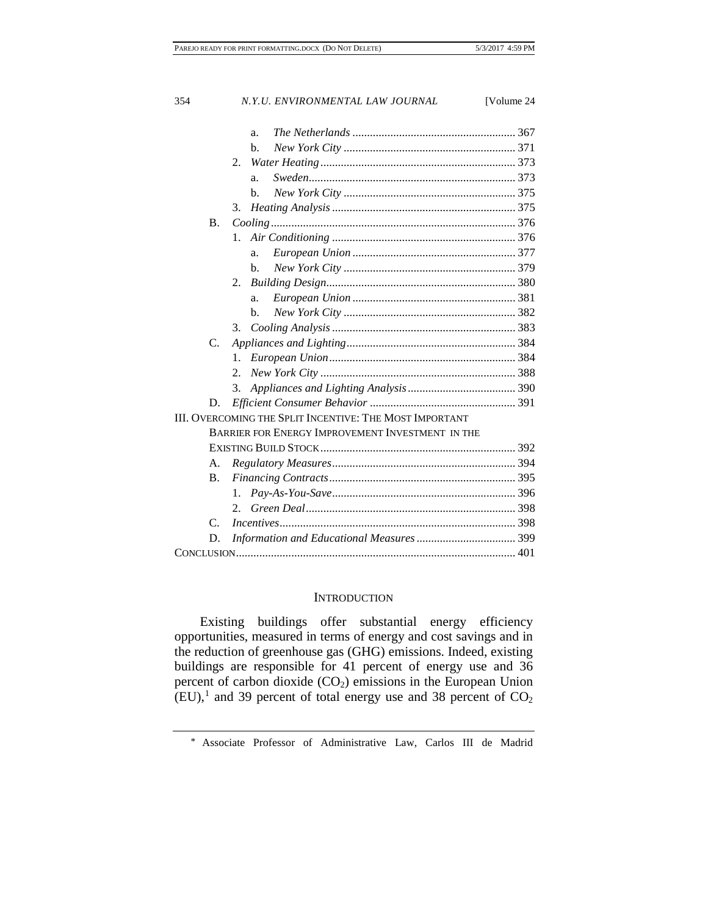| 354         | N.Y.U. ENVIRONMENTAL LAW JOURNAL<br>[Volume 24          |
|-------------|---------------------------------------------------------|
|             | a.                                                      |
|             | b.                                                      |
|             | 2.                                                      |
|             | a.                                                      |
|             | b.                                                      |
|             | 3.                                                      |
| <b>B.</b>   |                                                         |
|             | 1.                                                      |
|             | a.                                                      |
|             | h.                                                      |
|             | 2.                                                      |
|             | a.                                                      |
|             | b.                                                      |
|             | 3.                                                      |
| C.          |                                                         |
|             | 1.                                                      |
|             | $2_{\cdot}$                                             |
|             | 3.                                                      |
| D.          |                                                         |
|             | III. OVERCOMING THE SPLIT INCENTIVE: THE MOST IMPORTANT |
|             | BARRIER FOR ENERGY IMPROVEMENT INVESTMENT IN THE        |
|             |                                                         |
| А.          |                                                         |
| <b>B.</b>   |                                                         |
|             | 1.                                                      |
|             | 2.                                                      |
| $C_{\cdot}$ |                                                         |
| D.          |                                                         |
|             |                                                         |
|             |                                                         |

# **INTRODUCTION**

Existing buildings offer substantial energy efficiency opportunities, measured in terms of energy and cost savings and in the reduction of greenhouse gas (GHG) emissions. Indeed, existing buildings are responsible for 41 percent of energy use and 36 percent of carbon dioxide  $(CO_2)$  emissions in the European Union  $(EU)$ ,<sup>[1](#page-2-0)</sup> and 39 percent of total energy use and 38 percent of  $CO<sub>2</sub>$ 

<span id="page-2-0"></span><sup>\*</sup> Associate Professor of Administrative Law, Carlos III de Madrid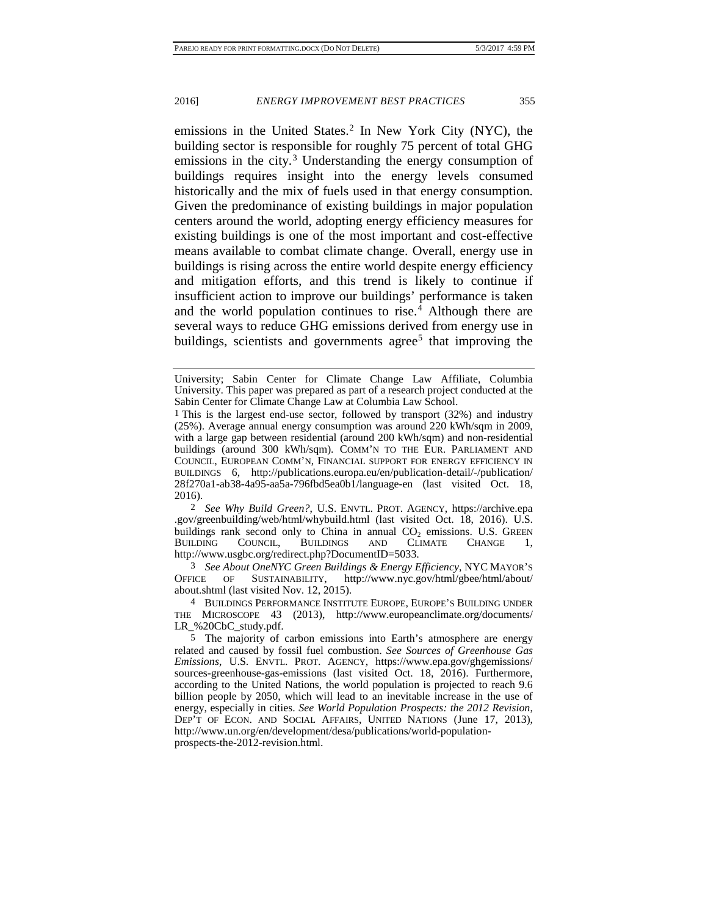<span id="page-3-4"></span>emissions in the United States. [2](#page-3-0) In New York City (NYC), the building sector is responsible for roughly 75 percent of total GHG emissions in the city.<sup>[3](#page-3-1)</sup> Understanding the energy consumption of buildings requires insight into the energy levels consumed historically and the mix of fuels used in that energy consumption. Given the predominance of existing buildings in major population centers around the world, adopting energy efficiency measures for existing buildings is one of the most important and cost-effective means available to combat climate change. Overall, energy use in buildings is rising across the entire world despite energy efficiency and mitigation efforts, and this trend is likely to continue if insufficient action to improve our buildings' performance is taken and the world population continues to rise.<sup>[4](#page-3-2)</sup> Although there are several ways to reduce GHG emissions derived from energy use in buildings, scientists and governments agree<sup>[5](#page-3-3)</sup> that improving the

<span id="page-3-0"></span>2 *See Why Build Green?*, U.S. ENVTL. PROT. AGENCY, https://archive.epa .gov/greenbuilding/web/html/whybuild.html (last visited Oct. 18, 2016). U.S. buildings rank second only to China in annual  $CO<sub>2</sub>$  emissions. U.S. GREEN BUILDING COUNCIL, BUILDINGS AND CLIMATE CHANGE 1, BUILDINGS AND CLIMATE CHANGE 1, http://www.usgbc.org/redirect.php?DocumentID=5033.

<span id="page-3-1"></span>3 *See About OneNYC Green Buildings & Energy Efficiency*, NYC MAYOR'S OFFICE OF SUSTAINABILITY, http://www.nyc.gov/html/gbee/html/about/ about.shtml (last visited Nov. 12, 2015).

<span id="page-3-2"></span>4 BUILDINGS PERFORMANCE INSTITUTE EUROPE, EUROPE'S BUILDING UNDER THE MICROSCOPE 43 (2013), http://www.europeanclimate.org/documents/ LR\_%20CbC\_study.pdf.

University; Sabin Center for Climate Change Law Affiliate, Columbia University. This paper was prepared as part of a research project conducted at the Sabin Center for Climate Change Law at Columbia Law School.

<sup>1</sup> This is the largest end-use sector, followed by transport (32%) and industry (25%). Average annual energy consumption was around 220 kWh/sqm in 2009, with a large gap between residential (around 200 kWh/sqm) and non-residential buildings (around 300 kWh/sqm). COMM'N TO THE EUR. PARLIAMENT AND COUNCIL, EUROPEAN COMM'N, FINANCIAL SUPPORT FOR ENERGY EFFICIENCY IN BUILDINGS 6, http://publications.europa.eu/en/publication-detail/-/publication/ 28f270a1-ab38-4a95-aa5a-796fbd5ea0b1/language-en (last visited Oct. 18, 2016).

<span id="page-3-3"></span><sup>5</sup> The majority of carbon emissions into Earth's atmosphere are energy related and caused by fossil fuel combustion. *See Sources of Greenhouse Gas Emissions*, U.S. ENVTL. PROT. AGENCY, https://www.epa.gov/ghgemissions/ sources-greenhouse-gas-emissions (last visited Oct. 18, 2016). Furthermore, according to the United Nations, the world population is projected to reach 9.6 billion people by 2050, which will lead to an inevitable increase in the use of energy, especially in cities. *See World Population Prospects: the 2012 Revision*, DEP'T OF ECON. AND SOCIAL AFFAIRS, UNITED NATIONS (June 17, 2013), http://www.un.org/en/development/desa/publications/world-populationprospects-the-2012-revision.html.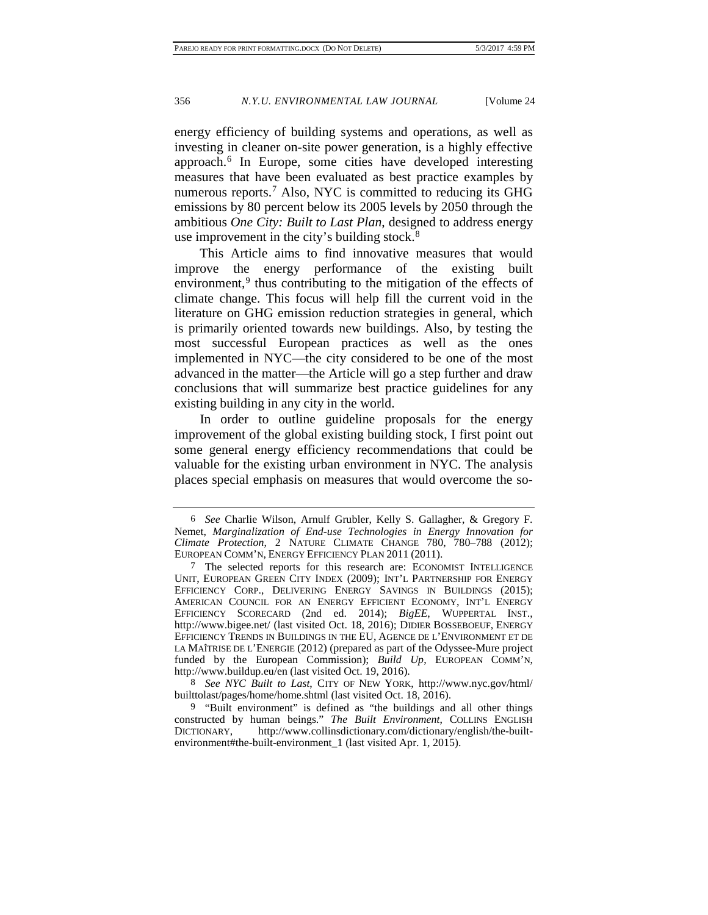<span id="page-4-4"></span>energy efficiency of building systems and operations, as well as investing in cleaner on-site power generation, is a highly effective approach[.6](#page-4-0) In Europe, some cities have developed interesting measures that have been evaluated as best practice examples by numerous reports.<sup>[7](#page-4-1)</sup> Also, NYC is committed to reducing its GHG emissions by 80 percent below its 2005 levels by 2050 through the ambitious *One City: Built to Last Plan*, designed to address energy use improvement in the city's building stock.<sup>[8](#page-4-2)</sup>

This Article aims to find innovative measures that would improve the energy performance of the existing built environment, $9$  thus contributing to the mitigation of the effects of climate change. This focus will help fill the current void in the literature on GHG emission reduction strategies in general, which is primarily oriented towards new buildings. Also, by testing the most successful European practices as well as the ones implemented in NYC—the city considered to be one of the most advanced in the matter—the Article will go a step further and draw conclusions that will summarize best practice guidelines for any existing building in any city in the world.

In order to outline guideline proposals for the energy improvement of the global existing building stock, I first point out some general energy efficiency recommendations that could be valuable for the existing urban environment in NYC. The analysis places special emphasis on measures that would overcome the so-

<span id="page-4-2"></span>8 *See NYC Built to Last*, CITY OF NEW YORK, http://www.nyc.gov/html/ builttolast/pages/home/home.shtml (last visited Oct. 18, 2016).

<span id="page-4-0"></span><sup>6</sup> *See* Charlie Wilson, Arnulf Grubler, Kelly S. Gallagher, & Gregory F. Nemet, *Marginalization of End-use Technologies in Energy Innovation for Climate Protection*, 2 NATURE CLIMATE CHANGE 780, 780–788 (2012); EUROPEAN COMM'N, ENERGY EFFICIENCY PLAN 2011 (2011).

<span id="page-4-1"></span><sup>7</sup> The selected reports for this research are: ECONOMIST INTELLIGENCE UNIT, EUROPEAN GREEN CITY INDEX (2009); INT'L PARTNERSHIP FOR ENERGY EFFICIENCY CORP., DELIVERING ENERGY SAVINGS IN BUILDINGS (2015); AMERICAN COUNCIL FOR AN ENERGY EFFICIENT ECONOMY, INT'L ENERGY EFFICIENCY SCORECARD (2nd ed. 2014); *BigEE*, WUPPERTAL INST., http://www.bigee.net/ (last visited Oct. 18, 2016); DIDIER BOSSEBOEUF, ENERGY EFFICIENCY TRENDS IN BUILDINGS IN THE EU, AGENCE DE L'ENVIRONMENT ET DE LA MAÎTRISE DE L'ENERGIE (2012) (prepared as part of the Odyssee-Mure project funded by the European Commission); *Build Up*, EUROPEAN COMM'N, http://www.buildup.eu/en (last visited Oct. 19, 2016).

<span id="page-4-3"></span><sup>9</sup> "Built environment" is defined as "the buildings and all other things constructed by human beings." *The Built Environment*, COLLINS ENGLISH DICTIONARY, http://www.collinsdictionary.com/dictionary/english/the-builtenvironment#the-built-environment\_1 (last visited Apr. 1, 2015).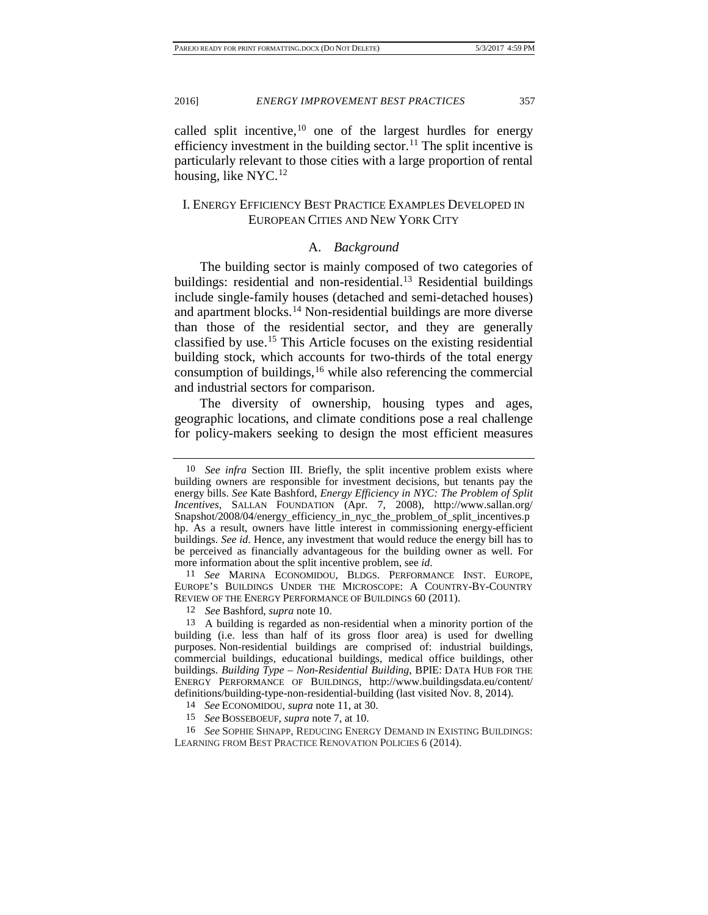<span id="page-5-1"></span>

<span id="page-5-0"></span>called split incentive,  $10$  one of the largest hurdles for energy efficiency investment in the building sector.<sup>[11](#page-5-3)</sup> The split incentive is particularly relevant to those cities with a large proportion of rental housing, like NYC. $^{12}$  $^{12}$  $^{12}$ 

# I. ENERGY EFFICIENCY BEST PRACTICE EXAMPLES DEVELOPED IN EUROPEAN CITIES AND NEW YORK CITY

#### <span id="page-5-9"></span>A. *Background*

The building sector is mainly composed of two categories of buildings: residential and non-residential.<sup>[13](#page-5-5)</sup> Residential buildings include single-family houses (detached and semi-detached houses) and apartment blocks.<sup>[14](#page-5-6)</sup> Non-residential buildings are more diverse than those of the residential sector, and they are generally classified by use.[15](#page-5-7) This Article focuses on the existing residential building stock, which accounts for two-thirds of the total energy consumption of buildings,<sup>[16](#page-5-8)</sup> while also referencing the commercial and industrial sectors for comparison.

The diversity of ownership, housing types and ages, geographic locations, and climate conditions pose a real challenge for policy-makers seeking to design the most efficient measures

<span id="page-5-3"></span>11 *See* MARINA ECONOMIDOU, BLDGS. PERFORMANCE INST. EUROPE, EUROPE'S BUILDINGS UNDER THE MICROSCOPE: A COUNTRY-BY-COUNTRY REVIEW OF THE ENERGY PERFORMANCE OF BUILDINGS 60 (2011).

12 *See* Bashford, *supra* note [10.](#page-5-0)

<span id="page-5-5"></span><span id="page-5-4"></span>13 A building is regarded as non-residential when a minority portion of the building (i.e. less than half of its gross floor area) is used for dwelling purposes. Non-residential buildings are comprised of: industrial buildings, commercial buildings, educational buildings, medical office buildings, other buildings. *Building Type – Non-Residential Building*, BPIE: DATA HUB FOR THE ENERGY PERFORMANCE OF BUILDINGS, http://www.buildingsdata.eu/content/ definitions/building-type-non-residential-building (last visited Nov. 8, 2014).

14 *See* ECONOMIDOU, *supra* note [11,](#page-5-1) at 30.

15 *See* BOSSEBOEUF, *supra* not[e 7,](#page-4-4) at 10.

<span id="page-5-8"></span><span id="page-5-7"></span><span id="page-5-6"></span>16 *See* SOPHIE SHNAPP, REDUCING ENERGY DEMAND IN EXISTING BUILDINGS: LEARNING FROM BEST PRACTICE RENOVATION POLICIES 6 (2014).

<span id="page-5-2"></span><sup>10</sup> *See infra* Section III. Briefly, the split incentive problem exists where building owners are responsible for investment decisions, but tenants pay the energy bills. *See* Kate Bashford, *Energy Efficiency in NYC: The Problem of Split Incentives*, SALLAN FOUNDATION (Apr. 7, 2008), http://www.sallan.org/ Snapshot/2008/04/energy\_efficiency\_in\_nyc\_the\_problem\_of\_split\_incentives.p hp. As a result, owners have little interest in commissioning energy-efficient buildings. *See id*. Hence, any investment that would reduce the energy bill has to be perceived as financially advantageous for the building owner as well. For more information about the split incentive problem, see *id*.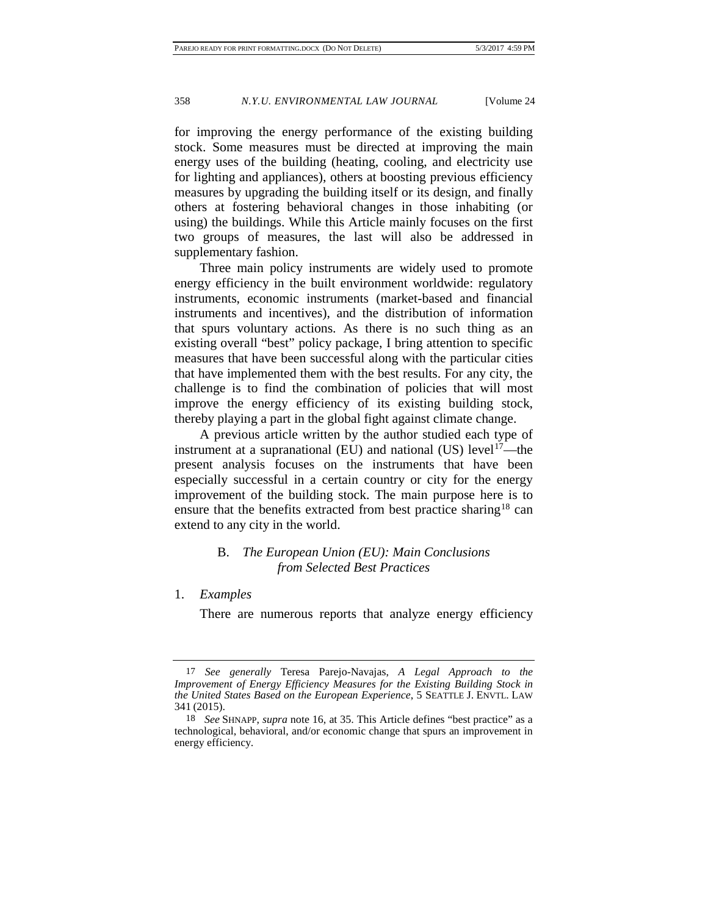for improving the energy performance of the existing building stock. Some measures must be directed at improving the main energy uses of the building (heating, cooling, and electricity use for lighting and appliances), others at boosting previous efficiency measures by upgrading the building itself or its design, and finally others at fostering behavioral changes in those inhabiting (or using) the buildings. While this Article mainly focuses on the first two groups of measures, the last will also be addressed in supplementary fashion.

Three main policy instruments are widely used to promote energy efficiency in the built environment worldwide: regulatory instruments, economic instruments (market-based and financial instruments and incentives), and the distribution of information that spurs voluntary actions. As there is no such thing as an existing overall "best" policy package, I bring attention to specific measures that have been successful along with the particular cities that have implemented them with the best results. For any city, the challenge is to find the combination of policies that will most improve the energy efficiency of its existing building stock, thereby playing a part in the global fight against climate change.

A previous article written by the author studied each type of instrument at a supranational (EU) and national (US) level<sup>17</sup>—the present analysis focuses on the instruments that have been especially successful in a certain country or city for the energy improvement of the building stock. The main purpose here is to ensure that the benefits extracted from best practice sharing<sup>[18](#page-6-1)</sup> can extend to any city in the world.

# B. *The European Union (EU): Main Conclusions from Selected Best Practices*

#### 1. *Examples*

There are numerous reports that analyze energy efficiency

<span id="page-6-0"></span><sup>17</sup> *See generally* Teresa Parejo-Navajas, *A Legal Approach to the Improvement of Energy Efficiency Measures for the Existing Building Stock in the United States Based on the European Experience*, 5 SEATTLE J. ENVTL. LAW 341 (2015).

<span id="page-6-1"></span><sup>18</sup> *See* SHNAPP, *supra* note [16,](#page-5-9) at 35. This Article defines "best practice" as a technological, behavioral, and/or economic change that spurs an improvement in energy efficiency.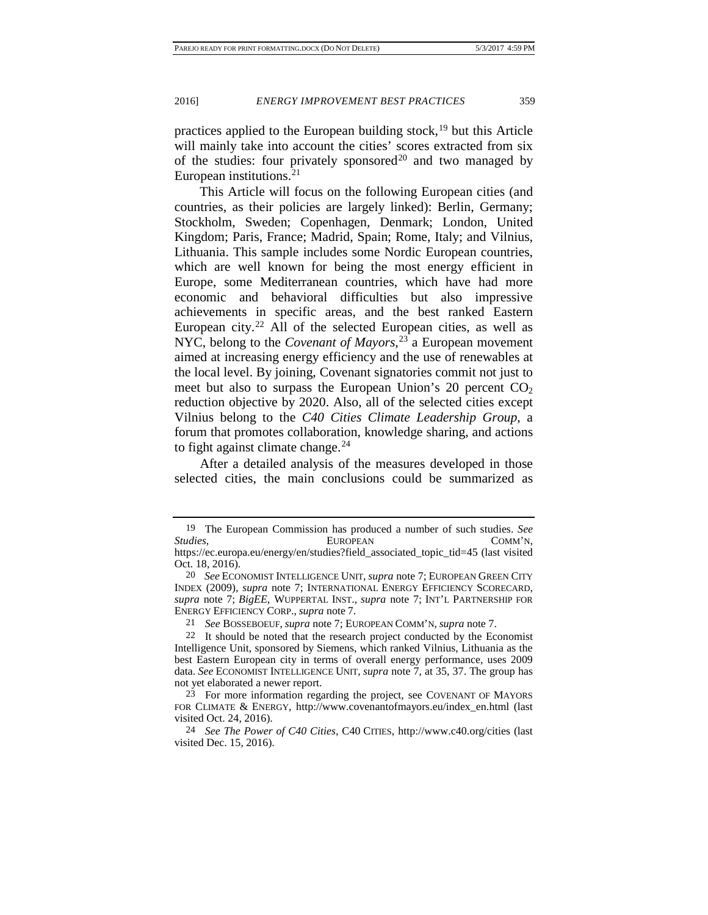practices applied to the European building stock, $19$  but this Article will mainly take into account the cities' scores extracted from six of the studies: four privately sponsored<sup>[20](#page-7-1)</sup> and two managed by European institutions. $21$ 

This Article will focus on the following European cities (and countries, as their policies are largely linked): Berlin, Germany; Stockholm, Sweden; Copenhagen, Denmark; London, United Kingdom; Paris, France; Madrid, Spain; Rome, Italy; and Vilnius, Lithuania. This sample includes some Nordic European countries, which are well known for being the most energy efficient in Europe, some Mediterranean countries, which have had more economic and behavioral difficulties but also impressive achievements in specific areas, and the best ranked Eastern European city.<sup>[22](#page-7-3)</sup> All of the selected European cities, as well as NYC, belong to the *Covenant of Mayors*, [23](#page-7-4) a European movement aimed at increasing energy efficiency and the use of renewables at the local level. By joining, Covenant signatories commit not just to meet but also to surpass the European Union's 20 percent  $CO<sub>2</sub>$ reduction objective by 2020. Also, all of the selected cities except Vilnius belong to the *C40 Cities Climate Leadership Group*, a forum that promotes collaboration, knowledge sharing, and actions to fight against climate change.  $24$ 

After a detailed analysis of the measures developed in those selected cities, the main conclusions could be summarized as

21 *See* BOSSEBOEUF, *supra* note [7;](#page-4-4) EUROPEAN COMM'N, *supra* not[e 7.](#page-4-4)

<span id="page-7-0"></span><sup>19</sup> The European Commission has produced a number of such studies. *See Studies*, EUROPEAN EUROPEAN COMM'N, https://ec.europa.eu/energy/en/studies?field\_associated\_topic\_tid=45 (last visited

<span id="page-7-1"></span>Oct. 18, 2016). 20 *See* ECONOMIST INTELLIGENCE UNIT, *supra* not[e 7;](#page-4-4) EUROPEAN GREEN CITY INDEX (2009), *supra* note [7;](#page-4-4) INTERNATIONAL ENERGY EFFICIENCY SCORECARD, *supra* note [7;](#page-4-4) *BigEE*, WUPPERTAL INST., *supra* note [7;](#page-4-4) INT'L PARTNERSHIP FOR ENERGY EFFICIENCY CORP., *supra* note [7.](#page-4-4)

<span id="page-7-3"></span><span id="page-7-2"></span><sup>22</sup> It should be noted that the research project conducted by the Economist Intelligence Unit, sponsored by Siemens, which ranked Vilnius, Lithuania as the best Eastern European city in terms of overall energy performance, uses 2009 data. *See* ECONOMIST INTELLIGENCE UNIT, *supra* not[e 7,](#page-4-4) at 35, 37. The group has not yet elaborated a newer report.

<span id="page-7-4"></span><sup>23</sup> For more information regarding the project, see COVENANT OF MAYORS FOR CLIMATE & ENERGY, http://www.covenantofmayors.eu/index\_en.html (last visited Oct. 24, 2016).

<span id="page-7-5"></span><sup>24</sup> *See The Power of C40 Cities,* C40 CITIES, http://www.c40.org/cities (last visited Dec. 15, 2016).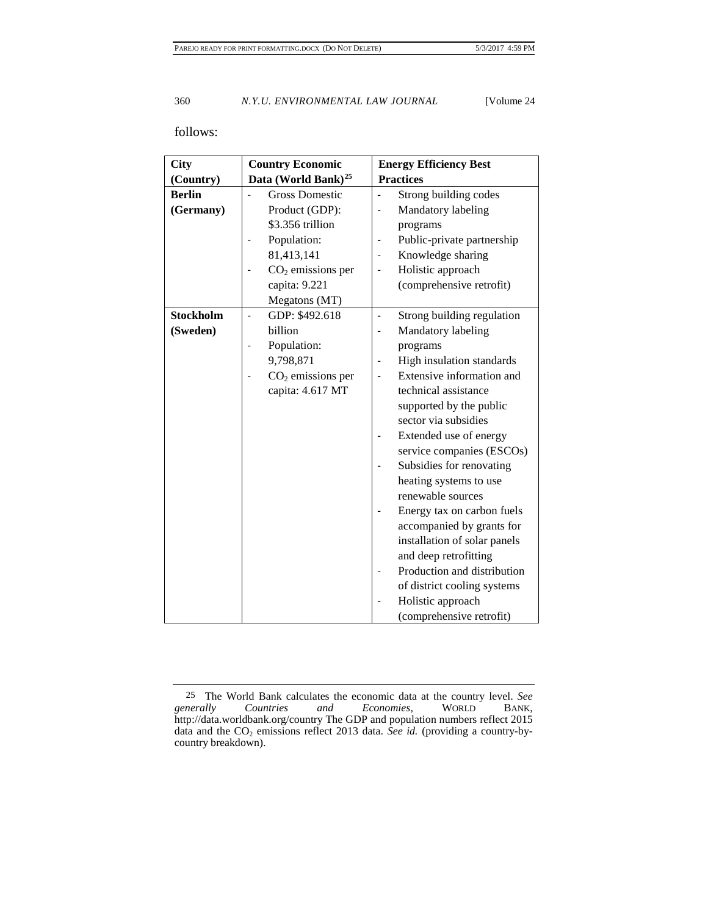# follows:

| City             | <b>Country Economic</b>         | <b>Energy Efficiency Best</b> |  |  |
|------------------|---------------------------------|-------------------------------|--|--|
| (Country)        | Data (World Bank) <sup>25</sup> | <b>Practices</b>              |  |  |
| <b>Berlin</b>    | <b>Gross Domestic</b>           | Strong building codes         |  |  |
| (Germany)        | Product (GDP):                  | Mandatory labeling            |  |  |
|                  | \$3.356 trillion                | programs                      |  |  |
|                  | Population:                     | Public-private partnership    |  |  |
|                  | 81,413,141                      | Knowledge sharing             |  |  |
|                  | $CO2$ emissions per             | Holistic approach             |  |  |
|                  | capita: 9.221                   | (comprehensive retrofit)      |  |  |
|                  | Megatons (MT)                   |                               |  |  |
| <b>Stockholm</b> | GDP: \$492.618<br>L,            | Strong building regulation    |  |  |
| (Sweden)         | billion                         | Mandatory labeling            |  |  |
|                  | Population:                     | programs                      |  |  |
|                  | 9,798,871                       | High insulation standards     |  |  |
|                  | $CO2$ emissions per             | Extensive information and     |  |  |
|                  | capita: 4.617 MT                | technical assistance          |  |  |
|                  |                                 | supported by the public       |  |  |
|                  |                                 | sector via subsidies          |  |  |
|                  |                                 | Extended use of energy        |  |  |
|                  |                                 | service companies (ESCOs)     |  |  |
|                  |                                 | Subsidies for renovating      |  |  |
|                  |                                 | heating systems to use        |  |  |
|                  |                                 | renewable sources             |  |  |
|                  |                                 | Energy tax on carbon fuels    |  |  |
|                  |                                 | accompanied by grants for     |  |  |
|                  |                                 | installation of solar panels  |  |  |
|                  |                                 | and deep retrofitting         |  |  |
|                  |                                 | Production and distribution   |  |  |
|                  |                                 | of district cooling systems   |  |  |
|                  |                                 | Holistic approach             |  |  |
|                  |                                 | (comprehensive retrofit)      |  |  |

<span id="page-8-0"></span><sup>25</sup> The World Bank calculates the economic data at the country level. *See*   $Economics$ , http://data.worldbank.org/country The GDP and population numbers reflect 2015 data and the CO<sub>2</sub> emissions reflect 2013 data. *See id.* (providing a country-bycountry breakdown).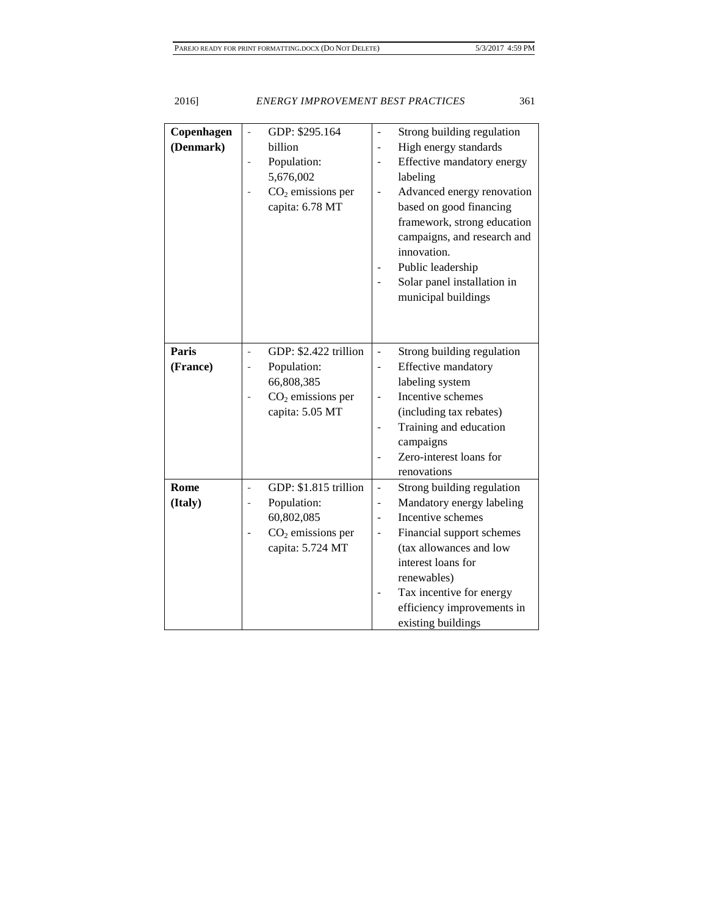| Copenhagen | GDP: \$295.164<br>÷,        | Strong building regulation                             |
|------------|-----------------------------|--------------------------------------------------------|
| (Denmark)  | billion                     | High energy standards                                  |
|            | Population:                 | Effective mandatory energy                             |
|            | 5,676,002                   | labeling                                               |
|            | $CO2$ emissions per         | Advanced energy renovation                             |
|            | capita: 6.78 MT             | based on good financing                                |
|            |                             | framework, strong education                            |
|            |                             | campaigns, and research and                            |
|            |                             | innovation.                                            |
|            |                             | Public leadership                                      |
|            |                             | Solar panel installation in                            |
|            |                             | municipal buildings                                    |
|            |                             |                                                        |
|            |                             |                                                        |
| Paris      | GDP: \$2.422 trillion<br>L, | Strong building regulation<br>$\frac{1}{2}$            |
| (France)   | Population:                 | Effective mandatory                                    |
|            | 66,808,385                  | labeling system                                        |
|            | $CO2$ emissions per<br>÷,   | Incentive schemes                                      |
|            | capita: 5.05 MT             | (including tax rebates)                                |
|            |                             | Training and education                                 |
|            |                             | campaigns                                              |
|            |                             | Zero-interest loans for                                |
|            |                             | renovations                                            |
| Rome       | GDP: \$1.815 trillion<br>L, | Strong building regulation<br>$\overline{\phantom{a}}$ |
| (Italy)    | Population:                 | Mandatory energy labeling<br>$\overline{\phantom{a}}$  |
|            | 60,802,085                  | Incentive schemes<br>$\overline{\phantom{a}}$          |
|            | $CO2$ emissions per         | Financial support schemes                              |
|            | capita: 5.724 MT            | (tax allowances and low                                |
|            |                             | interest loans for                                     |
|            |                             | renewables)                                            |
|            |                             | Tax incentive for energy                               |
|            |                             | efficiency improvements in                             |
|            |                             | existing buildings                                     |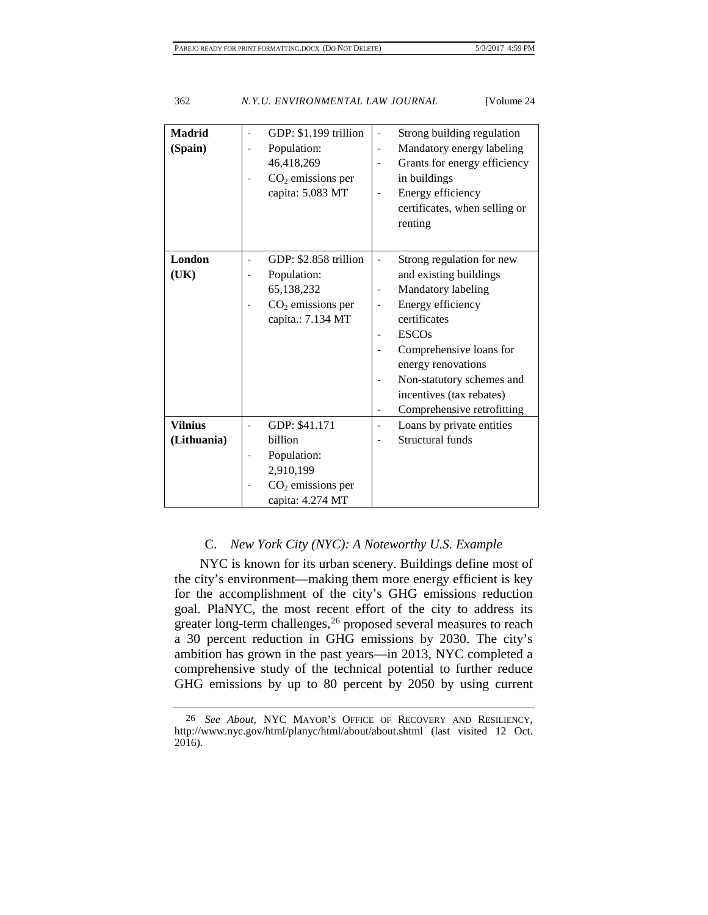| <b>Madrid</b><br>(Spain) | GDP: \$1.199 trillion<br>÷,<br>Population:<br>i,<br>46,418,269<br>$CO2$ emissions per<br>÷<br>capita: 5.083 MT | Strong building regulation<br>$\overline{\phantom{0}}$<br>Mandatory energy labeling<br>$\overline{\phantom{0}}$<br>Grants for energy efficiency<br>$\overline{\phantom{a}}$<br>in buildings<br>Energy efficiency<br>$\qquad \qquad \blacksquare$<br>certificates, when selling or<br>renting |
|--------------------------|----------------------------------------------------------------------------------------------------------------|----------------------------------------------------------------------------------------------------------------------------------------------------------------------------------------------------------------------------------------------------------------------------------------------|
| London                   | GDP: \$2.858 trillion<br>÷                                                                                     | Strong regulation for new<br>$\qquad \qquad \blacksquare$                                                                                                                                                                                                                                    |
| (UK)                     | Population:<br>÷                                                                                               | and existing buildings                                                                                                                                                                                                                                                                       |
|                          | 65,138,232                                                                                                     | Mandatory labeling                                                                                                                                                                                                                                                                           |
|                          | $CO2$ emissions per                                                                                            | Energy efficiency                                                                                                                                                                                                                                                                            |
|                          | capita.: 7.134 MT                                                                                              | certificates                                                                                                                                                                                                                                                                                 |
|                          |                                                                                                                | <b>ESCOs</b>                                                                                                                                                                                                                                                                                 |
|                          |                                                                                                                | Comprehensive loans for                                                                                                                                                                                                                                                                      |
|                          |                                                                                                                | energy renovations                                                                                                                                                                                                                                                                           |
|                          |                                                                                                                | Non-statutory schemes and                                                                                                                                                                                                                                                                    |
|                          |                                                                                                                | incentives (tax rebates)                                                                                                                                                                                                                                                                     |
|                          |                                                                                                                | Comprehensive retrofitting                                                                                                                                                                                                                                                                   |
| <b>Vilnius</b>           | GDP: \$41.171<br>L                                                                                             | Loans by private entities                                                                                                                                                                                                                                                                    |
| (Lithuania)              | billion                                                                                                        | Structural funds                                                                                                                                                                                                                                                                             |
|                          | Population:                                                                                                    |                                                                                                                                                                                                                                                                                              |
|                          | 2,910,199                                                                                                      |                                                                                                                                                                                                                                                                                              |
|                          | $CO2$ emissions per                                                                                            |                                                                                                                                                                                                                                                                                              |
|                          | capita: 4.274 MT                                                                                               |                                                                                                                                                                                                                                                                                              |

## C. *New York City (NYC): A Noteworthy U.S. Example*

NYC is known for its urban scenery. Buildings define most of the city's environment—making them more energy efficient is key for the accomplishment of the city's GHG emissions reduction goal. PlaNYC, the most recent effort of the city to address its greater long-term challenges,<sup>[26](#page-10-0)</sup> proposed several measures to reach a 30 percent reduction in GHG emissions by 2030. The city's ambition has grown in the past years—in 2013, NYC completed a comprehensive study of the technical potential to further reduce GHG emissions by up to 80 percent by 2050 by using current

<span id="page-10-0"></span><sup>26</sup> *See About*, NYC MAYOR'S OFFICE OF RECOVERY AND RESILIENCY, http://www.nyc.gov/html/planyc/html/about/about.shtml (last visited 12 Oct. 2016).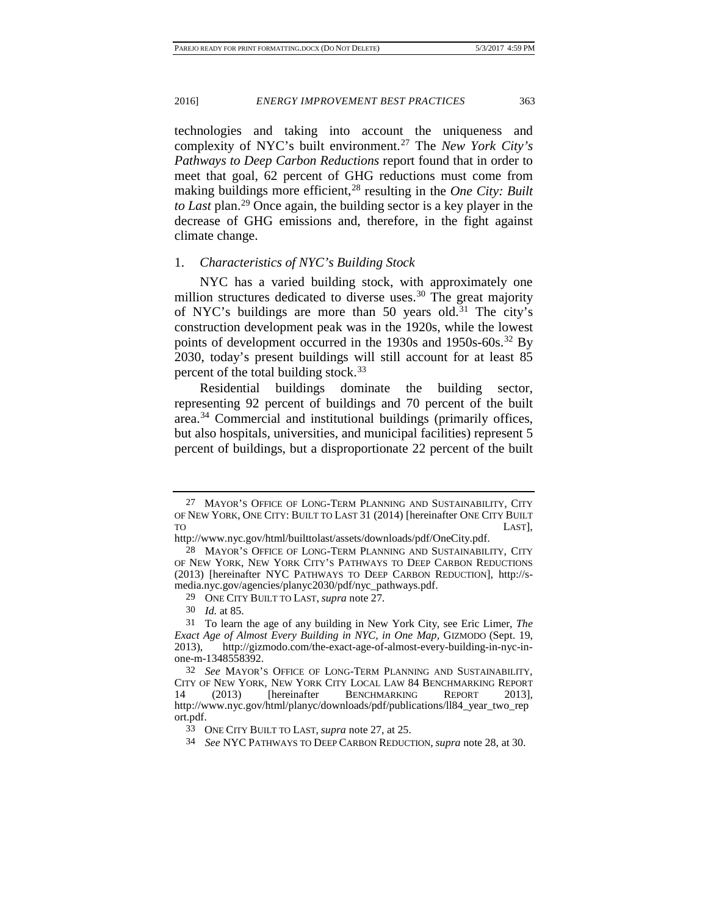<span id="page-11-1"></span><span id="page-11-0"></span>technologies and taking into account the uniqueness and complexity of NYC's built environment.[27](#page-11-2) The *New York City's Pathways to Deep Carbon Reductions* report found that in order to meet that goal, 62 percent of GHG reductions must come from making buildings more efficient,<sup>[28](#page-11-3)</sup> resulting in the *One City: Built to Last* plan.[29](#page-11-4) Once again, the building sector is a key player in the decrease of GHG emissions and, therefore, in the fight against climate change.

#### 1. *Characteristics of NYC's Building Stock*

NYC has a varied building stock, with approximately one million structures dedicated to diverse uses.<sup>[30](#page-11-5)</sup> The great majority of NYC's buildings are more than 50 years old.<sup>[31](#page-11-6)</sup> The city's construction development peak was in the 1920s, while the lowest points of development occurred in the 1930s and 1950s-60s.<sup>[32](#page-11-7)</sup> By 2030, today's present buildings will still account for at least 85 percent of the total building stock.<sup>[33](#page-11-8)</sup>

<span id="page-11-10"></span>Residential buildings dominate the building sector, representing 92 percent of buildings and 70 percent of the built area.[34](#page-11-9) Commercial and institutional buildings (primarily offices, but also hospitals, universities, and municipal facilities) represent 5 percent of buildings, but a disproportionate 22 percent of the built

<span id="page-11-2"></span><sup>27</sup> MAYOR'S OFFICE OF LONG-TERM PLANNING AND SUSTAINABILITY, CITY OF NEW YORK, ONE CITY: BUILT TO LAST 31 (2014) [hereinafter ONE CITY BUILT TO LAST],

http://www.nyc.gov/html/builttolast/assets/downloads/pdf/OneCity.pdf.

<span id="page-11-3"></span><sup>28</sup> MAYOR'S OFFICE OF LONG-TERM PLANNING AND SUSTAINABILITY, CITY OF NEW YORK, NEW YORK CITY'S PATHWAYS TO DEEP CARBON REDUCTIONS (2013) [hereinafter NYC PATHWAYS TO DEEP CARBON REDUCTION], http://smedia.nyc.gov/agencies/planyc2030/pdf/nyc\_pathways.pdf.

<sup>29</sup> ONE CITY BUILT TO LAST, *supra* note [27.](#page-11-0)

<sup>30</sup> *Id.* at 85.

<span id="page-11-6"></span><span id="page-11-5"></span><span id="page-11-4"></span><sup>31</sup> To learn the age of any building in New York City, see Eric Limer, *The Exact Age of Almost Every Building in NYC, in One Map,* GIZMODO (Sept. 19, 2013), http://gizmodo.com/the-exact-age-of-almost-every-building-in-nyc-inone-m-1348558392.

<span id="page-11-8"></span><span id="page-11-7"></span><sup>32</sup> *See* MAYOR'S OFFICE OF LONG-TERM PLANNING AND SUSTAINABILITY, CITY OF NEW YORK, NEW YORK CITY LOCAL LAW 84 BENCHMARKING REPORT 14 (2013) [hereinafter BENCHMARKING REPORT 2013], http://www.nyc.gov/html/planyc/downloads/pdf/publications/ll84\_year\_two\_rep ort.pdf.

<sup>33</sup> ONE CITY BUILT TO LAST, *supra* not[e 27,](#page-11-0) at 25.

<span id="page-11-9"></span><sup>34</sup> *See* NYC PATHWAYS TO DEEP CARBON REDUCTION, *supra* not[e 28,](#page-11-1) at 30.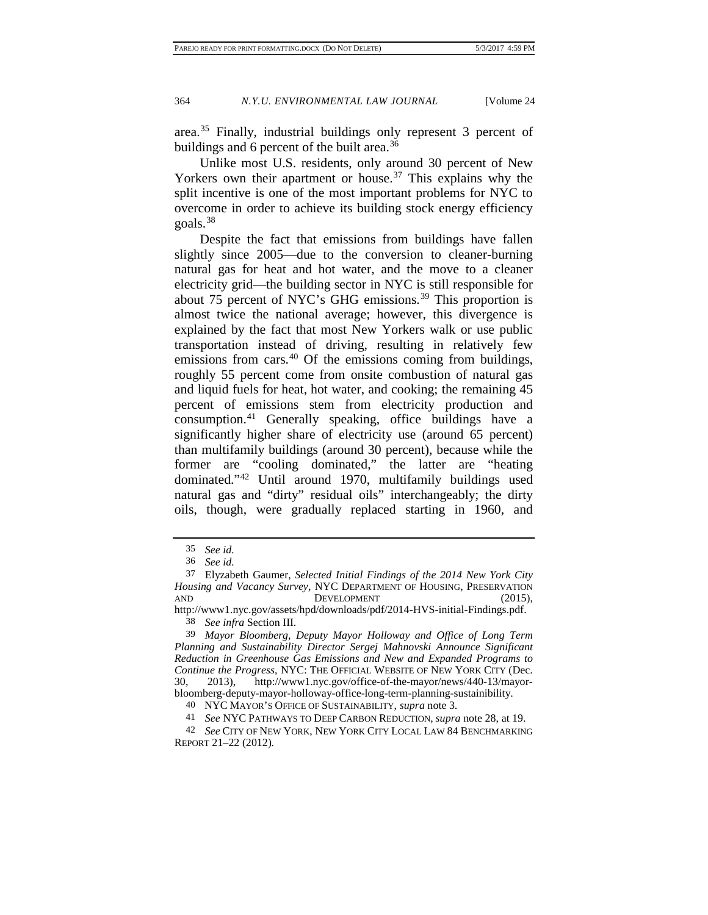area.[35](#page-12-0) Finally, industrial buildings only represent 3 percent of buildings and 6 percent of the built area.<sup>[36](#page-12-1)</sup>

Unlike most U.S. residents, only around 30 percent of New Yorkers own their apartment or house.<sup>[37](#page-12-2)</sup> This explains why the split incentive is one of the most important problems for NYC to overcome in order to achieve its building stock energy efficiency goals.[38](#page-12-3)

Despite the fact that emissions from buildings have fallen slightly since 2005—due to the conversion to cleaner-burning natural gas for heat and hot water, and the move to a cleaner electricity grid—the building sector in NYC is still responsible for about 75 percent of NYC's GHG emissions.<sup>[39](#page-12-4)</sup> This proportion is almost twice the national average; however, this divergence is explained by the fact that most New Yorkers walk or use public transportation instead of driving, resulting in relatively few emissions from cars.<sup>[40](#page-12-5)</sup> Of the emissions coming from buildings, roughly 55 percent come from onsite combustion of natural gas and liquid fuels for heat, hot water, and cooking; the remaining 45 percent of emissions stem from electricity production and consumption.[41](#page-12-6) Generally speaking, office buildings have a significantly higher share of electricity use (around 65 percent) than multifamily buildings (around 30 percent), because while the former are "cooling dominated," the latter are "heating dominated."[42](#page-12-7) Until around 1970, multifamily buildings used natural gas and "dirty" residual oils" interchangeably; the dirty oils, though, were gradually replaced starting in 1960, and

<sup>35</sup> *See id.*

<sup>36</sup> *See id.*

<span id="page-12-2"></span><span id="page-12-1"></span><span id="page-12-0"></span><sup>37</sup> Elyzabeth Gaumer, *Selected Initial Findings of the 2014 New York City Housing and Vacancy Survey*, NYC DEPARTMENT OF HOUSING, PRESERVATION AND DEVELOPMENT (2015),

<span id="page-12-3"></span>http://www1.nyc.gov/assets/hpd/downloads/pdf/2014-HVS-initial-Findings.pdf. 38 *See infra* Section III.

<span id="page-12-4"></span><sup>39</sup> *Mayor Bloomberg, Deputy Mayor Holloway and Office of Long Term Planning and Sustainability Director Sergej Mahnovski Announce Significant Reduction in Greenhouse Gas Emissions and New and Expanded Programs to Continue the Progress*, NYC: THE OFFICIAL WEBSITE OF NEW YORK CITY (Dec. 30, 2013), http://www1.nyc.gov/office-of-the-mayor/news/440-13/mayorbloomberg-deputy-mayor-holloway-office-long-term-planning-sustainibility.

<sup>40</sup> NYC MAYOR'S OFFICE OF SUSTAINABILITY, *supra* not[e 3.](#page-3-4)

<sup>41</sup> *See* NYC PATHWAYS TO DEEP CARBON REDUCTION, *supra* not[e 28,](#page-11-1) at 19.

<span id="page-12-7"></span><span id="page-12-6"></span><span id="page-12-5"></span><sup>42</sup> *See* CITY OF NEW YORK, NEW YORK CITY LOCAL LAW 84 BENCHMARKING REPORT 21–22 (2012)*.*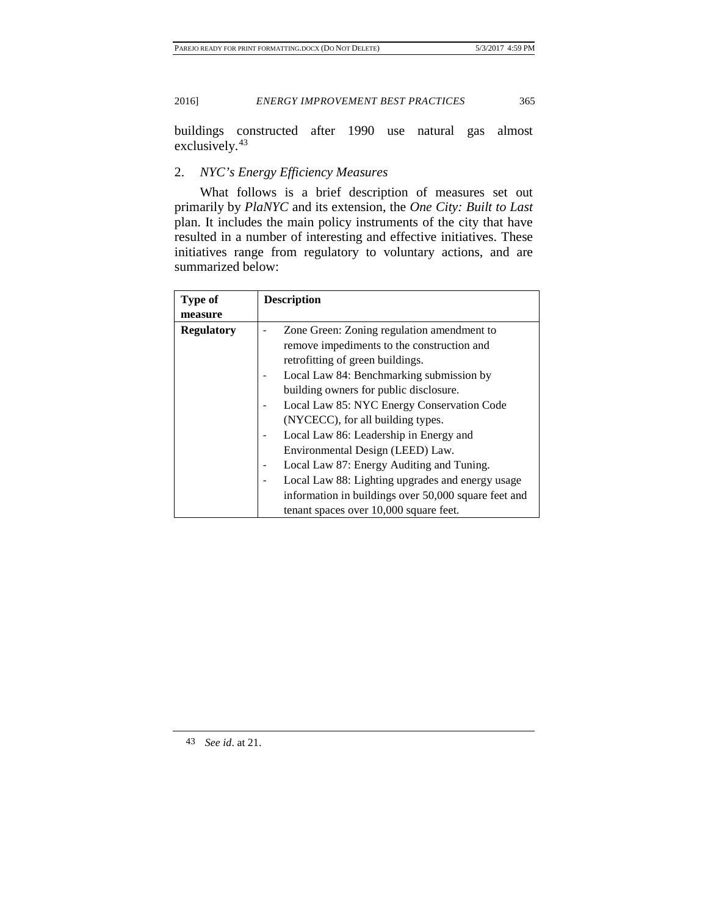buildings constructed after 1990 use natural gas almost exclusively.[43](#page-13-0)

# 2. *NYC's Energy Efficiency Measures*

What follows is a brief description of measures set out primarily by *PlaNYC* and its extension, the *One City: Built to Last* plan. It includes the main policy instruments of the city that have resulted in a number of interesting and effective initiatives. These initiatives range from regulatory to voluntary actions, and are summarized below:

| <b>Type of</b>    | <b>Description</b>                                                             |
|-------------------|--------------------------------------------------------------------------------|
| measure           |                                                                                |
| <b>Regulatory</b> | Zone Green: Zoning regulation amendment to                                     |
|                   | remove impediments to the construction and<br>retrofitting of green buildings. |
|                   | Local Law 84: Benchmarking submission by                                       |
|                   | building owners for public disclosure.                                         |
|                   | Local Law 85: NYC Energy Conservation Code                                     |
|                   | (NYCECC), for all building types.                                              |
|                   | Local Law 86: Leadership in Energy and                                         |
|                   | Environmental Design (LEED) Law.                                               |
|                   | Local Law 87: Energy Auditing and Tuning.                                      |
|                   | Local Law 88: Lighting upgrades and energy usage                               |
|                   | information in buildings over 50,000 square feet and                           |
|                   | tenant spaces over 10,000 square feet.                                         |

<span id="page-13-0"></span>43 *See id*. at 21.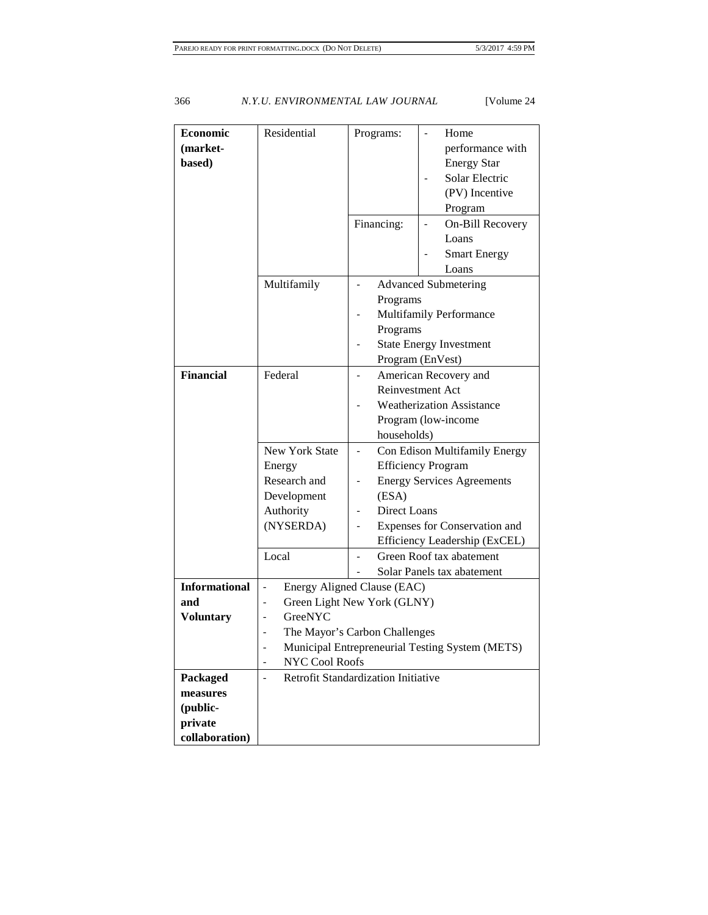| <b>Economic</b><br>(market-<br>based)                         | Residential<br>Multifamily                                                                                                                                                                                                                 | Programs:<br>Financing:             | Home<br>performance with<br><b>Energy Star</b><br>Solar Electric<br>(PV) Incentive<br>Program<br>On-Bill Recovery<br>Loans<br><b>Smart Energy</b><br>Loans        |
|---------------------------------------------------------------|--------------------------------------------------------------------------------------------------------------------------------------------------------------------------------------------------------------------------------------------|-------------------------------------|-------------------------------------------------------------------------------------------------------------------------------------------------------------------|
|                                                               |                                                                                                                                                                                                                                            | Programs<br>Programs                | <b>Advanced Submetering</b><br>Multifamily Performance<br><b>State Energy Investment</b><br>Program (EnVest)                                                      |
| <b>Financial</b>                                              | Federal                                                                                                                                                                                                                                    | households)                         | American Recovery and<br>Reinvestment Act<br><b>Weatherization Assistance</b><br>Program (low-income                                                              |
|                                                               | <b>New York State</b><br>Energy<br>Research and<br>Development<br>Authority<br>(NYSERDA)                                                                                                                                                   | (ESA)<br>Direct Loans               | Con Edison Multifamily Energy<br><b>Efficiency Program</b><br><b>Energy Services Agreements</b><br>Expenses for Conservation and<br>Efficiency Leadership (ExCEL) |
|                                                               | Local                                                                                                                                                                                                                                      |                                     | Green Roof tax abatement<br>Solar Panels tax abatement                                                                                                            |
| <b>Informational</b><br>and<br><b>Voluntary</b>               | Energy Aligned Clause (EAC)<br>$\overline{\phantom{a}}$<br>Green Light New York (GLNY)<br>$\overline{\phantom{0}}$<br>GreeNYC<br>The Mayor's Carbon Challenges<br>Municipal Entrepreneurial Testing System (METS)<br><b>NYC Cool Roofs</b> |                                     |                                                                                                                                                                   |
| Packaged<br>measures<br>(public-<br>private<br>collaboration) | $\overline{a}$                                                                                                                                                                                                                             | Retrofit Standardization Initiative |                                                                                                                                                                   |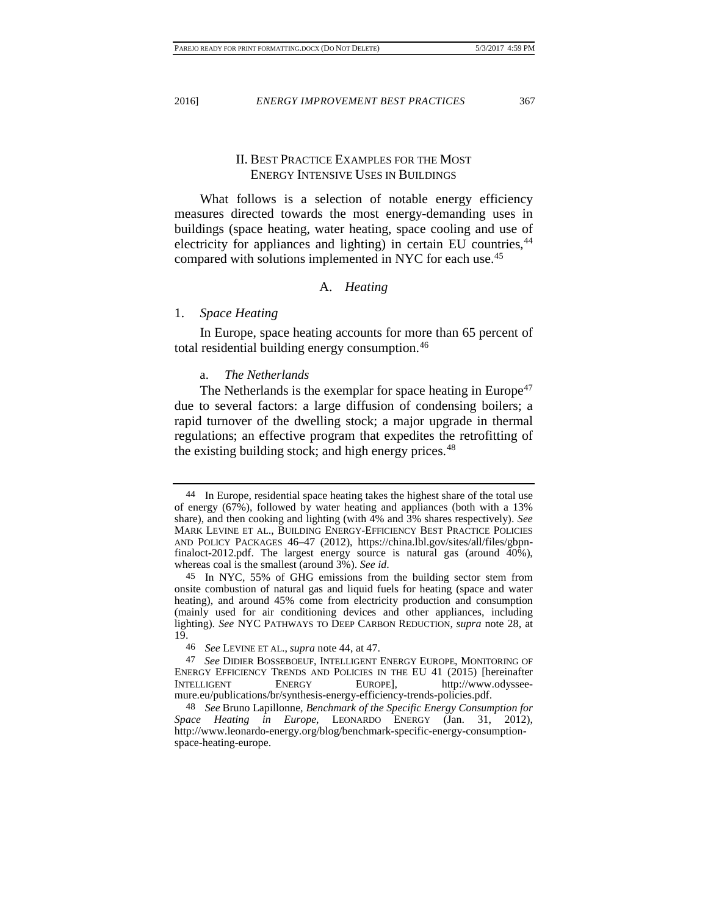<span id="page-15-0"></span>

# II. BEST PRACTICE EXAMPLES FOR THE MOST ENERGY INTENSIVE USES IN BUILDINGS

What follows is a selection of notable energy efficiency measures directed towards the most energy-demanding uses in buildings (space heating, water heating, space cooling and use of electricity for appliances and lighting) in certain EU countries,<sup>[44](#page-15-1)</sup> compared with solutions implemented in NYC for each use.[45](#page-15-2)

# <span id="page-15-6"></span>A. *Heating*

#### 1. *Space Heating*

In Europe, space heating accounts for more than 65 percent of total residential building energy consumption.<sup>[46](#page-15-3)</sup>

### a. *The Netherlands*

The Netherlands is the exemplar for space heating in Europe<sup>[47](#page-15-4)</sup> due to several factors: a large diffusion of condensing boilers; a rapid turnover of the dwelling stock; a major upgrade in thermal regulations; an effective program that expedites the retrofitting of the existing building stock; and high energy prices. $48$ 

<span id="page-15-1"></span><sup>44</sup> In Europe, residential space heating takes the highest share of the total use of energy (67%), followed by water heating and appliances (both with a 13% share), and then cooking and lighting (with 4% and 3% shares respectively). *See*  MARK LEVINE ET AL., BUILDING ENERGY-EFFICIENCY BEST PRACTICE POLICIES AND POLICY PACKAGES 46–47 (2012), https://china.lbl.gov/sites/all/files/gbpnfinaloct-2012.pdf. The largest energy source is natural gas (around 40%), whereas coal is the smallest (around 3%). See id.

<span id="page-15-2"></span><sup>45</sup> In NYC, 55% of GHG emissions from the building sector stem from onsite combustion of natural gas and liquid fuels for heating (space and water heating), and around 45% come from electricity production and consumption (mainly used for air conditioning devices and other appliances, including lighting). *See* NYC PATHWAYS TO DEEP CARBON REDUCTION, *supra* note [28,](#page-11-1) at 19.

<sup>46</sup> *See* LEVINE ET AL., *supra* not[e 44,](#page-15-0) at 47.

<span id="page-15-4"></span><span id="page-15-3"></span><sup>47</sup> *See* DIDIER BOSSEBOEUF, INTELLIGENT ENERGY EUROPE, MONITORING OF ENERGY EFFICIENCY TRENDS AND POLICIES IN THE EU 41 (2015) [hereinafter INTELLIGENT ENERGY EUROPE], http://www.odysseemure.eu/publications/br/synthesis-energy-efficiency-trends-policies.pdf.

<span id="page-15-5"></span><sup>48</sup> *See* Bruno Lapillonne, *Benchmark of the Specific Energy Consumption for Space Heating in Europe*, LEONARDO ENERGY (Jan. 31, 2012), http://www.leonardo-energy.org/blog/benchmark-specific-energy-consumptionspace-heating-europe.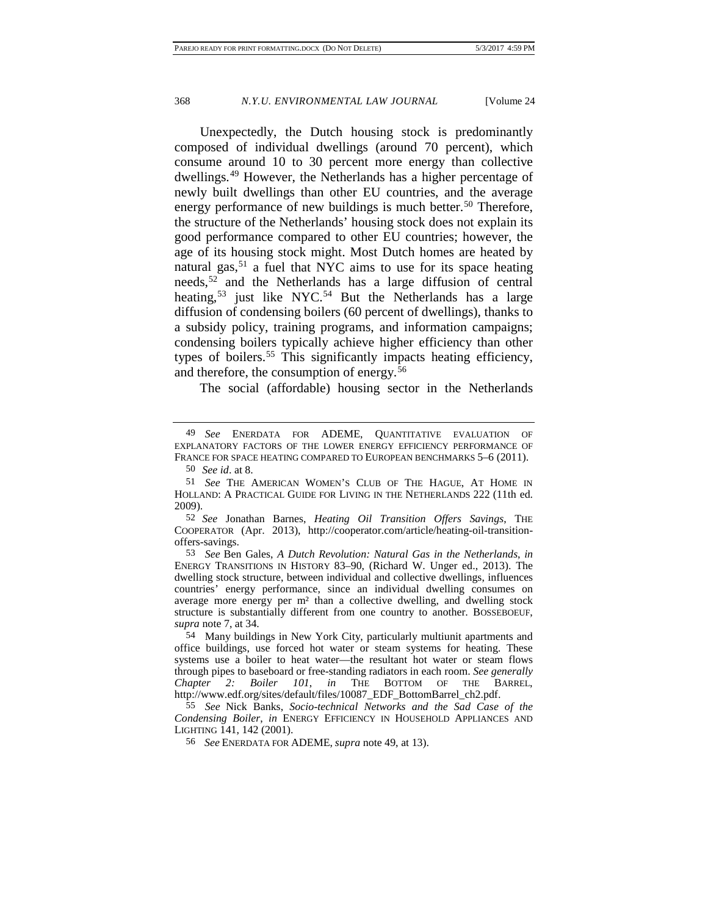<span id="page-16-0"></span>Unexpectedly, the Dutch housing stock is predominantly composed of individual dwellings (around 70 percent), which consume around 10 to 30 percent more energy than collective dwellings.[49](#page-16-1) However, the Netherlands has a higher percentage of newly built dwellings than other EU countries, and the average energy performance of new buildings is much better.<sup>[50](#page-16-2)</sup> Therefore, the structure of the Netherlands' housing stock does not explain its good performance compared to other EU countries; however, the age of its housing stock might. Most Dutch homes are heated by natural gas,  $51$  a fuel that NYC aims to use for its space heating needs,<sup>52</sup> and the Netherlands has a large diffusion of central heating,<sup>[53](#page-16-5)</sup> just like NYC.<sup>[54](#page-16-6)</sup> But the Netherlands has a large diffusion of condensing boilers (60 percent of dwellings), thanks to a subsidy policy, training programs, and information campaigns; condensing boilers typically achieve higher efficiency than other types of boilers.<sup>[55](#page-16-7)</sup> This significantly impacts heating efficiency, and therefore, the consumption of energy.[56](#page-16-8)

The social (affordable) housing sector in the Netherlands

<span id="page-16-4"></span>52 *See* Jonathan Barnes, *Heating Oil Transition Offers Savings*, THE COOPERATOR (Apr. 2013), http://cooperator.com/article/heating-oil-transitionoffers-savings.

<span id="page-16-5"></span>53 *See* Ben Gales, *A Dutch Revolution: Natural Gas in the Netherlands*, *in*  ENERGY TRANSITIONS IN HISTORY 83–90, (Richard W. Unger ed., 2013). The dwelling stock structure, between individual and collective dwellings, influences countries' energy performance, since an individual dwelling consumes on average more energy per  $m<sup>2</sup>$  than a collective dwelling, and dwelling stock structure is substantially different from one country to another. BOSSEBOEUF, *supra* note [7,](#page-4-4) at 34.

<span id="page-16-6"></span>54 Many buildings in New York City, particularly multiunit apartments and office buildings, use forced hot water or steam systems for heating. These systems use a boiler to heat water—the resultant hot water or steam flows through pipes to baseboard or free-standing radiators in each room. *See generally Chapter 2: Boiler 101*, *in* THE BOTTOM OF THE BARREL, http://www.edf.org/sites/default/files/10087\_EDF\_BottomBarrel\_ch2.pdf.

<span id="page-16-8"></span><span id="page-16-7"></span>55 *See* Nick Banks, *Socio-technical Networks and the Sad Case of the Condensing Boiler*, *in* ENERGY EFFICIENCY IN HOUSEHOLD APPLIANCES AND LIGHTING 141, 142 (2001).

56 *See* ENERDATA FOR ADEME, *supra* not[e 49,](#page-16-0) at 13).

<span id="page-16-1"></span><sup>49</sup> *See* ENERDATA FOR ADEME, QUANTITATIVE EVALUATION OF EXPLANATORY FACTORS OF THE LOWER ENERGY EFFICIENCY PERFORMANCE OF FRANCE FOR SPACE HEATING COMPARED TO EUROPEAN BENCHMARKS 5-6 (2011).

<sup>50</sup> *See id*. at 8.

<span id="page-16-3"></span><span id="page-16-2"></span><sup>51</sup> *See* THE AMERICAN WOMEN'S CLUB OF THE HAGUE, AT HOME IN HOLLAND: A PRACTICAL GUIDE FOR LIVING IN THE NETHERLANDS 222 (11th ed. 2009).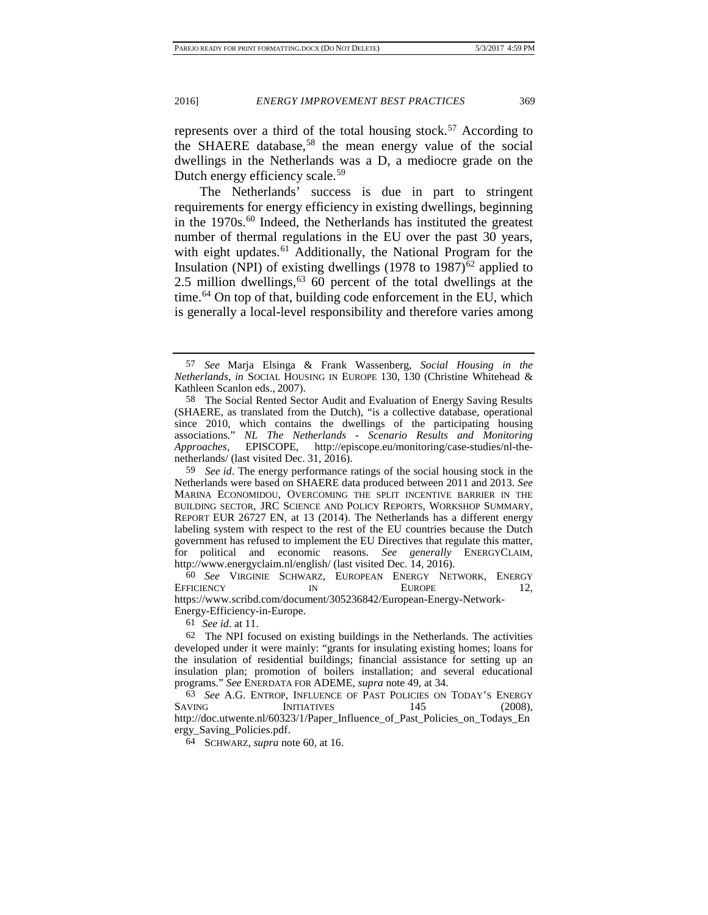represents over a third of the total housing stock.<sup>57</sup> According to the SHAERE database,<sup>[58](#page-17-2)</sup> the mean energy value of the social dwellings in the Netherlands was a D, a mediocre grade on the Dutch energy efficiency scale.<sup>[59](#page-17-3)</sup>

<span id="page-17-10"></span><span id="page-17-0"></span>The Netherlands' success is due in part to stringent requirements for energy efficiency in existing dwellings, beginning in the  $1970s$ .<sup>[60](#page-17-4)</sup> Indeed, the Netherlands has instituted the greatest number of thermal regulations in the EU over the past 30 years, with eight updates.<sup>[61](#page-17-5)</sup> Additionally, the National Program for the Insulation (NPI) of existing dwellings (1978 to 1987)<sup>[62](#page-17-6)</sup> applied to 2.5 million dwellings,  $63\,60$  $63\,60$  percent of the total dwellings at the time.<sup>[64](#page-17-8)</sup> On top of that, building code enforcement in the EU, which is generally a local-level responsibility and therefore varies among

<span id="page-17-4"></span>60 *See* VIRGINIE SCHWARZ, EUROPEAN ENERGY NETWORK, ENERGY EFFICIENCY IN EUROPE 12, https://www.scribd.com/document/305236842/European-Energy-Network-

<span id="page-17-5"></span>Energy-Efficiency-in-Europe.

61 *See id*. at 11.

<span id="page-17-8"></span><span id="page-17-7"></span>63 *See* A.G. ENTROP, INFLUENCE OF PAST POLICIES ON TODAY'S ENERGY SAVING INITIATIVES 145 (2008), http://doc.utwente.nl/60323/1/Paper\_Influence\_of\_Past\_Policies\_on\_Todays\_En ergy\_Saving\_Policies.pdf.

64 SCHWARZ, *supra* note [60,](#page-17-0) at 16.

<span id="page-17-9"></span><span id="page-17-1"></span><sup>57</sup> *See* Marja Elsinga & Frank Wassenberg, *Social Housing in the Netherlands*, *in* SOCIAL HOUSING IN EUROPE 130, 130 (Christine Whitehead & Kathleen Scanlon eds., 2007).

<span id="page-17-2"></span><sup>58</sup> The Social Rented Sector Audit and Evaluation of Energy Saving Results (SHAERE, as translated from the Dutch), "is a collective database, operational since 2010, which contains the dwellings of the participating housing associations." *NL The Netherlands - Scenario Results and Monitoring Approaches*, EPISCOPE, http://episcope.eu/monitoring/case-studies/nl-thenetherlands/ (last visited Dec. 31, 2016).

<span id="page-17-3"></span><sup>59</sup> *See id*. The energy performance ratings of the social housing stock in the Netherlands were based on SHAERE data produced between 2011 and 2013. *See* MARINA ECONOMIDOU, OVERCOMING THE SPLIT INCENTIVE BARRIER IN THE BUILDING SECTOR, JRC SCIENCE AND POLICY REPORTS, WORKSHOP SUMMARY, REPORT EUR 26727 EN, at 13 (2014). The Netherlands has a different energy labeling system with respect to the rest of the EU countries because the Dutch government has refused to implement the EU Directives that regulate this matter, for political and economic reasons. *See generally* ENERGYCLAIM, http://www.energyclaim.nl/english/ (last visited Dec. 14, 2016).

<span id="page-17-6"></span><sup>62</sup> The NPI focused on existing buildings in the Netherlands. The activities developed under it were mainly: "grants for insulating existing homes; loans for the insulation of residential buildings; financial assistance for setting up an insulation plan; promotion of boilers installation; and several educational programs." *See* ENERDATA FOR ADEME, *supra* not[e 49,](#page-16-0) at 34.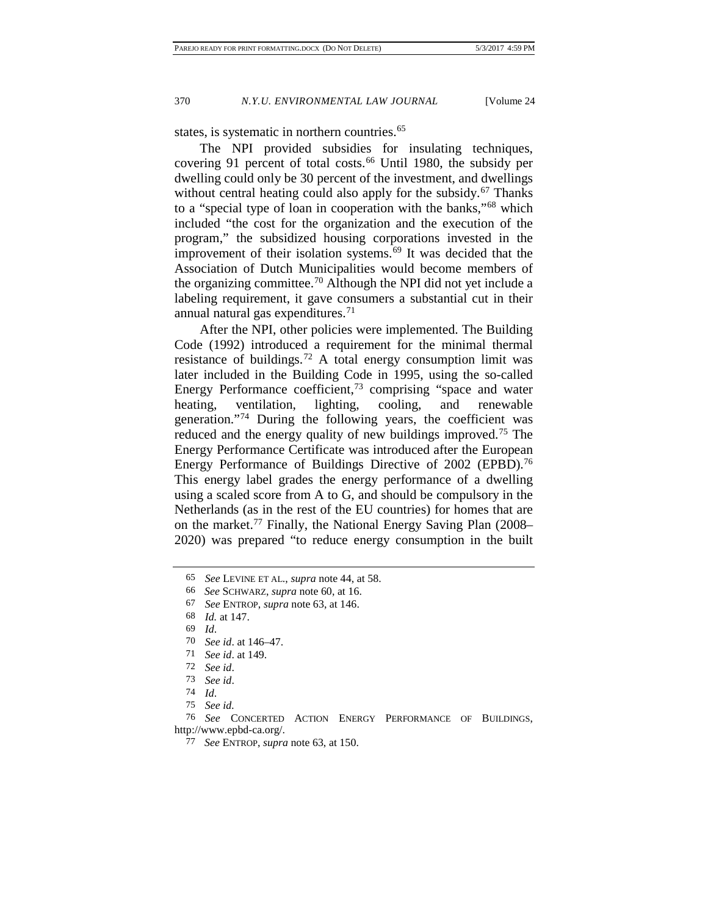states, is systematic in northern countries.<sup>65</sup>

The NPI provided subsidies for insulating techniques, covering 91 percent of total costs.<sup>[66](#page-18-1)</sup> Until 1980, the subsidy per dwelling could only be 30 percent of the investment, and dwellings without central heating could also apply for the subsidy. $67$  Thanks to a "special type of loan in cooperation with the banks,"[68](#page-18-3) which included "the cost for the organization and the execution of the program," the subsidized housing corporations invested in the improvement of their isolation systems.[69](#page-18-4) It was decided that the Association of Dutch Municipalities would become members of the organizing committee.<sup>[70](#page-18-5)</sup> Although the NPI did not yet include a labeling requirement, it gave consumers a substantial cut in their annual natural gas expenditures.<sup>[71](#page-18-6)</sup>

After the NPI, other policies were implemented. The Building Code (1992) introduced a requirement for the minimal thermal resistance of buildings.<sup>[72](#page-18-7)</sup> A total energy consumption limit was later included in the Building Code in 1995, using the so-called Energy Performance coefficient,<sup>[73](#page-18-8)</sup> comprising "space and water heating, ventilation, lighting, cooling, and renewable generation."[74](#page-18-9) During the following years, the coefficient was reduced and the energy quality of new buildings improved.<sup>[75](#page-18-10)</sup> The Energy Performance Certificate was introduced after the European Energy Performance of Buildings Directive of 2002 (EPBD).<sup>[76](#page-18-11)</sup> This energy label grades the energy performance of a dwelling using a scaled score from A to G, and should be compulsory in the Netherlands (as in the rest of the EU countries) for homes that are on the market[.77](#page-18-12) Finally, the National Energy Saving Plan (2008– 2020) was prepared "to reduce energy consumption in the built

<span id="page-18-0"></span><sup>65</sup> *See* LEVINE ET AL., *supra* not[e 44,](#page-15-0) at 58.

<span id="page-18-1"></span><sup>66</sup> *See* SCHWARZ, *supra* not[e 60,](#page-17-0) at 16.

<sup>67</sup> *See* ENTROP, *supra* note [63,](#page-17-9) at 146.

<span id="page-18-4"></span><span id="page-18-3"></span><span id="page-18-2"></span><sup>68</sup> *Id.* at 147.

<sup>69</sup> *Id*.

<span id="page-18-5"></span><sup>70</sup> *See id*. at 146–47.

<span id="page-18-6"></span><sup>71</sup> *See id*. at 149.

<sup>72</sup> *See id*.

<sup>73</sup> *See id*.

<sup>74</sup> *Id*.

<sup>75</sup> *See id.*

<span id="page-18-12"></span><span id="page-18-11"></span><span id="page-18-10"></span><span id="page-18-9"></span><span id="page-18-8"></span><span id="page-18-7"></span><sup>76</sup> *See* CONCERTED ACTION ENERGY PERFORMANCE OF BUILDINGS, http://www.epbd-ca.org/.

<sup>77</sup> *See* ENTROP, *supra* note [63,](#page-17-9) at 150.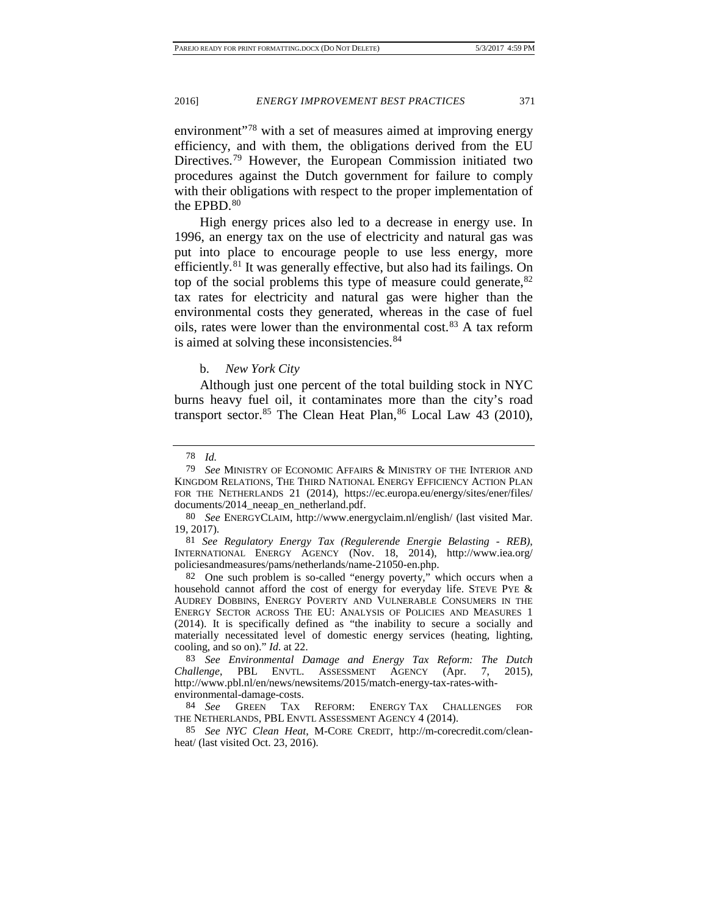environment<sup>"[78](#page-19-0)</sup> with a set of measures aimed at improving energy efficiency, and with them, the obligations derived from the EU Directives.[79](#page-19-1) However, the European Commission initiated two procedures against the Dutch government for failure to comply with their obligations with respect to the proper implementation of the EPBD.<sup>[80](#page-19-2)</sup>

High energy prices also led to a decrease in energy use. In 1996, an energy tax on the use of electricity and natural gas was put into place to encourage people to use less energy, more efficiently.[81](#page-19-3) It was generally effective, but also had its failings. On top of the social problems this type of measure could generate,  $82$ tax rates for electricity and natural gas were higher than the environmental costs they generated, whereas in the case of fuel oils, rates were lower than the environmental cost.[83](#page-19-5) A tax reform is aimed at solving these inconsistencies.<sup>[84](#page-19-6)</sup>

#### <span id="page-19-9"></span>b. *New York City*

Although just one percent of the total building stock in NYC burns heavy fuel oil, it contaminates more than the city's road transport sector.<sup>[85](#page-19-7)</sup> The Clean Heat Plan,  $86$  Local Law 43 (2010),

<sup>78</sup> *Id.*

<span id="page-19-8"></span><span id="page-19-1"></span><span id="page-19-0"></span><sup>79</sup> *See* MINISTRY OF ECONOMIC AFFAIRS & MINISTRY OF THE INTERIOR AND KINGDOM RELATIONS, THE THIRD NATIONAL ENERGY EFFICIENCY ACTION PLAN FOR THE NETHERLANDS 21 (2014), https://ec.europa.eu/energy/sites/ener/files/ documents/2014\_neeap\_en\_netherland.pdf.

<span id="page-19-2"></span><sup>80</sup> *See* ENERGYCLAIM, http://www.energyclaim.nl/english/ (last visited Mar. 19, 2017).

<span id="page-19-3"></span><sup>81</sup> *See Regulatory Energy Tax (Regulerende Energie Belasting - REB)*, INTERNATIONAL ENERGY AGENCY (Nov. 18, 2014), http://www.iea.org/ policiesandmeasures/pams/netherlands/name-21050-en.php.

<span id="page-19-4"></span><sup>82</sup> One such problem is so-called "energy poverty," which occurs when a household cannot afford the cost of energy for everyday life. STEVE PYE & AUDREY DOBBINS, ENERGY POVERTY AND VULNERABLE CONSUMERS IN THE ENERGY SECTOR ACROSS THE EU: ANALYSIS OF POLICIES AND MEASURES 1 (2014). It is specifically defined as "the inability to secure a socially and materially necessitated level of domestic energy services (heating, lighting, cooling, and so on)." *Id*. at 22.

<span id="page-19-5"></span><sup>83</sup> *See Environmental Damage and Energy Tax Reform: The Dutch Challenge*, PBL ENVTL. ASSESSMENT AGENCY (Apr. 7, 2015), http://www.pbl.nl/en/news/newsitems/2015/match-energy-tax-rates-withenvironmental-damage-costs.

<span id="page-19-6"></span><sup>84</sup> *See* GREEN TAX REFORM: ENERGY TAX CHALLENGES FOR THE NETHERLANDS, PBL ENVTL ASSESSMENT AGENCY 4 (2014).

<span id="page-19-7"></span><sup>85</sup> *See NYC Clean Heat*, M-CORE CREDIT, http://m-corecredit.com/cleanheat/ (last visited Oct. 23, 2016).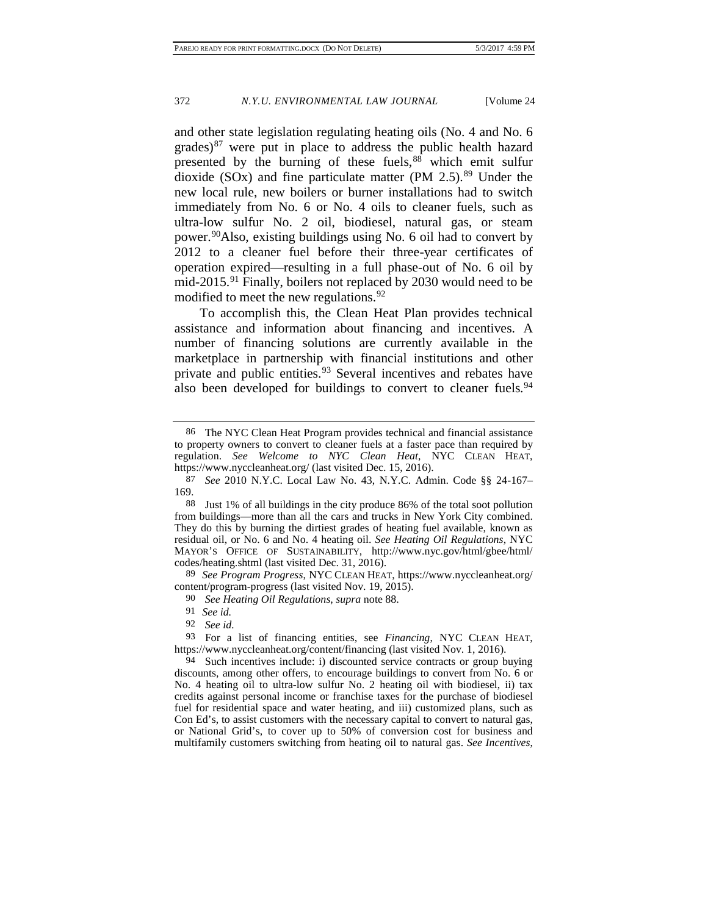<span id="page-20-9"></span><span id="page-20-0"></span>and other state legislation regulating heating oils (No. 4 and No. 6 grades) $87$  were put in place to address the public health hazard presented by the burning of these fuels,<sup>[88](#page-20-2)</sup> which emit sulfur dioxide (SOx) and fine particulate matter (PM  $2.5$ ).<sup>[89](#page-20-3)</sup> Under the new local rule, new boilers or burner installations had to switch immediately from No. 6 or No. 4 oils to cleaner fuels, such as ultra-low sulfur No. 2 oil, biodiesel, natural gas, or steam power.[90A](#page-20-4)lso, existing buildings using No. 6 oil had to convert by 2012 to a cleaner fuel before their three-year certificates of operation expired—resulting in a full phase-out of No. 6 oil by mid-2015.<sup>[91](#page-20-5)</sup> Finally, boilers not replaced by 2030 would need to be modified to meet the new regulations.  $92$ 

To accomplish this, the Clean Heat Plan provides technical assistance and information about financing and incentives. A number of financing solutions are currently available in the marketplace in partnership with financial institutions and other private and public entities.<sup>[93](#page-20-7)</sup> Several incentives and rebates have also been developed for buildings to convert to cleaner fuels.<sup>[94](#page-20-8)</sup>

<span id="page-20-4"></span><span id="page-20-3"></span>89 *See Program Progress*, NYC CLEAN HEAT, https://www.nyccleanheat.org/ content/program-progress (last visited Nov. 19, 2015).

<sup>86</sup> The NYC Clean Heat Program provides technical and financial assistance to property owners to convert to cleaner fuels at a faster pace than required by regulation. *See Welcome to NYC Clean Heat*, NYC CLEAN HEAT, https://www.nyccleanheat.org/ (last visited Dec. 15, 2016).

<span id="page-20-1"></span><sup>87</sup> *See* 2010 N.Y.C. Local Law No. 43, N.Y.C. Admin. Code §§ 24-167– 169.

<span id="page-20-2"></span><sup>88</sup> Just 1% of all buildings in the city produce 86% of the total soot pollution from buildings—more than all the cars and trucks in New York City combined. They do this by burning the dirtiest grades of heating fuel available, known as residual oil, or No. 6 and No. 4 heating oil. *See Heating Oil Regulations*, NYC MAYOR'S OFFICE OF SUSTAINABILITY, http://www.nyc.gov/html/gbee/html/ codes/heating.shtml (last visited Dec. 31, 2016).

<sup>90</sup> *See Heating Oil Regulations*, *supra* not[e 88.](#page-20-0)

<sup>91</sup> *See id.*

<sup>92</sup> *See id.*

<span id="page-20-7"></span><span id="page-20-6"></span><span id="page-20-5"></span><sup>93</sup> For a list of financing entities, see *Financing*, NYC CLEAN HEAT, https://www.nyccleanheat.org/content/financing (last visited Nov. 1, 2016).

<span id="page-20-8"></span><sup>94</sup> Such incentives include: i) discounted service contracts or group buying discounts, among other offers, to encourage buildings to convert from No. 6 or No. 4 heating oil to ultra-low sulfur No. 2 heating oil with biodiesel, ii) tax credits against personal income or franchise taxes for the purchase of biodiesel fuel for residential space and water heating, and iii) customized plans, such as Con Ed's, to assist customers with the necessary capital to convert to natural gas, or National Grid's, to cover up to 50% of conversion cost for business and multifamily customers switching from heating oil to natural gas. *See Incentives*,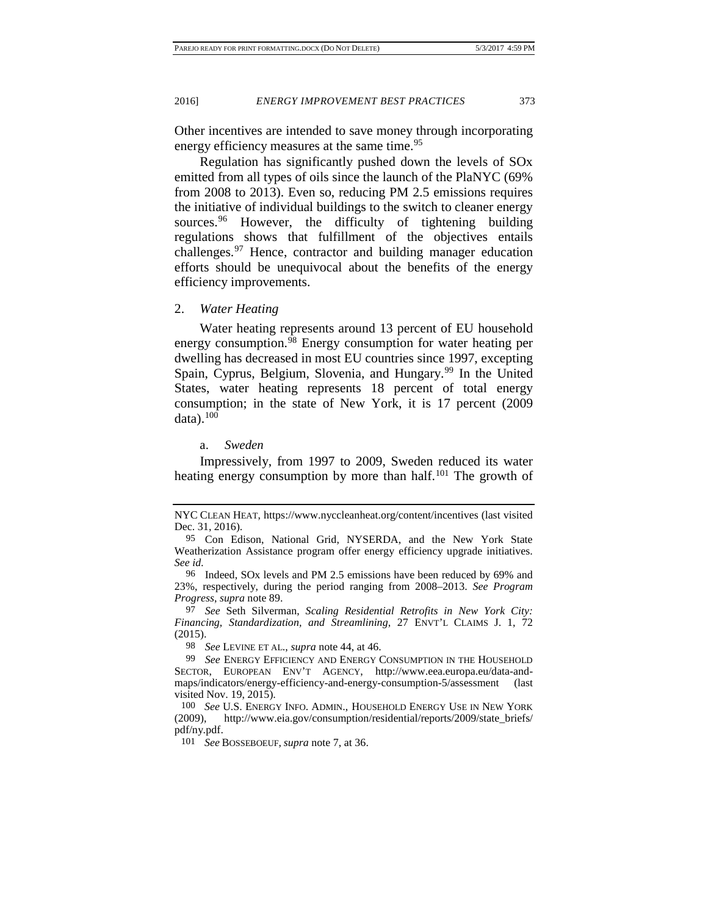Other incentives are intended to save money through incorporating energy efficiency measures at the same time.<sup>[95](#page-21-0)</sup>

Regulation has significantly pushed down the levels of SOx emitted from all types of oils since the launch of the PlaNYC (69% from 2008 to 2013). Even so, reducing PM 2.5 emissions requires the initiative of individual buildings to the switch to cleaner energy sources.<sup>[96](#page-21-1)</sup> However, the difficulty of tightening building regulations shows that fulfillment of the objectives entails challenges.[97](#page-21-2) Hence, contractor and building manager education efforts should be unequivocal about the benefits of the energy efficiency improvements.

2. *Water Heating*

Water heating represents around 13 percent of EU household energy consumption.<sup>[98](#page-21-3)</sup> Energy consumption for water heating per dwelling has decreased in most EU countries since 1997, excepting Spain, Cyprus, Belgium, Slovenia, and Hungary.<sup>[99](#page-21-4)</sup> In the United States, water heating represents 18 percent of total energy consumption; in the state of New York, it is 17 percent (2009 data). $100$ 

<span id="page-21-7"></span>a. *Sweden*

Impressively, from 1997 to 2009, Sweden reduced its water heating energy consumption by more than half.<sup>[101](#page-21-6)</sup> The growth of

98 *See* LEVINE ET AL., *supra* not[e 44,](#page-15-0) at 46.

NYC CLEAN HEAT, https://www.nyccleanheat.org/content/incentives (last visited Dec. 31, 2016).

<span id="page-21-0"></span><sup>95</sup> Con Edison, National Grid, NYSERDA, and the New York State Weatherization Assistance program offer energy efficiency upgrade initiatives. *See id.*

<span id="page-21-1"></span><sup>96</sup> Indeed, SOx levels and PM 2.5 emissions have been reduced by 69% and 23%, respectively, during the period ranging from 2008–2013. *See Program Progress*, *supra* note [89.](#page-20-9) 97 *See* Seth Silverman, *Scaling Residential Retrofits in New York City:* 

<span id="page-21-2"></span>*Financing, Standardization, and Streamlining*, 27 ENVT'L CLAIMS J. 1, 72 (2015).

<span id="page-21-4"></span><span id="page-21-3"></span><sup>99</sup> *See* ENERGY EFFICIENCY AND ENERGY CONSUMPTION IN THE HOUSEHOLD SECTOR, EUROPEAN ENV'T AGENCY, http://www.eea.europa.eu/data-andmaps/indicators/energy-efficiency-and-energy-consumption-5/assessment (last visited Nov. 19, 2015).

<span id="page-21-6"></span><span id="page-21-5"></span><sup>100</sup> *See* U.S. ENERGY INFO. ADMIN., HOUSEHOLD ENERGY USE IN NEW YORK (2009), http://www.eia.gov/consumption/residential/reports/2009/state\_briefs/ pdf/ny.pdf.

<sup>101</sup> *See* BOSSEBOEUF, *supra* note [7,](#page-4-4) at 36.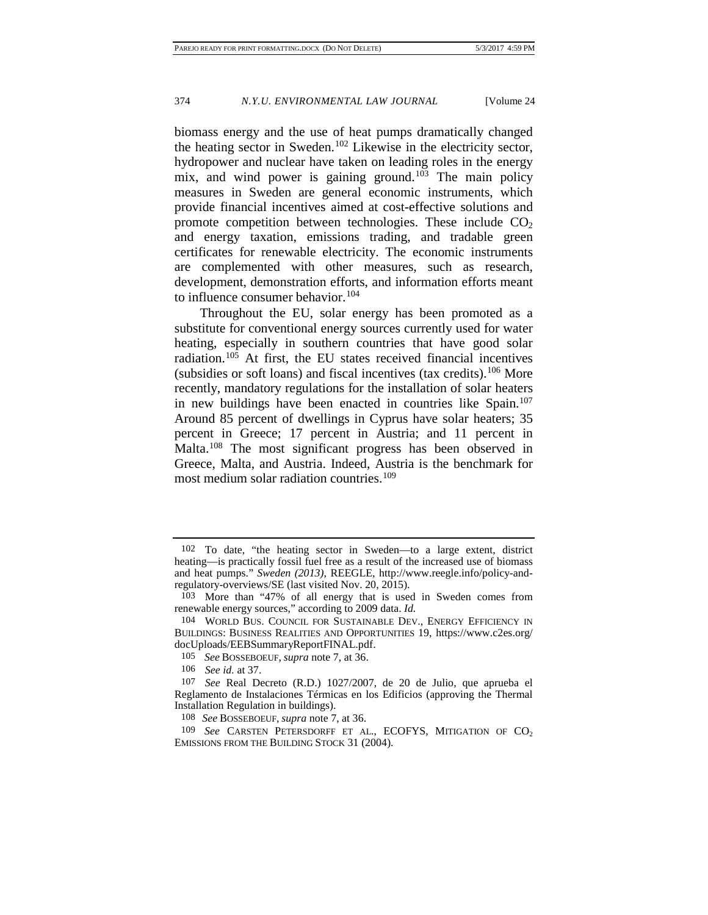biomass energy and the use of heat pumps dramatically changed the heating sector in Sweden.<sup>[102](#page-22-0)</sup> Likewise in the electricity sector, hydropower and nuclear have taken on leading roles in the energy mix, and wind power is gaining ground.<sup>[103](#page-22-1)</sup> The main policy measures in Sweden are general economic instruments, which provide financial incentives aimed at cost-effective solutions and promote competition between technologies. These include  $CO<sub>2</sub>$ and energy taxation, emissions trading, and tradable green certificates for renewable electricity. The economic instruments are complemented with other measures, such as research, development, demonstration efforts, and information efforts meant to influence consumer behavior.<sup>[104](#page-22-2)</sup>

Throughout the EU, solar energy has been promoted as a substitute for conventional energy sources currently used for water heating, especially in southern countries that have good solar radiation.[105](#page-22-3) At first, the EU states received financial incentives (subsidies or soft loans) and fiscal incentives (tax credits).<sup>[106](#page-22-4)</sup> More recently, mandatory regulations for the installation of solar heaters in new buildings have been enacted in countries like Spain.<sup>107</sup> Around 85 percent of dwellings in Cyprus have solar heaters; 35 percent in Greece; 17 percent in Austria; and 11 percent in Malta.[108](#page-22-6) The most significant progress has been observed in Greece, Malta, and Austria. Indeed, Austria is the benchmark for most medium solar radiation countries.<sup>[109](#page-22-7)</sup>

<span id="page-22-8"></span><span id="page-22-0"></span><sup>102</sup> To date, "the heating sector in Sweden—to a large extent, district heating—is practically fossil fuel free as a result of the increased use of biomass and heat pumps." *Sweden (2013)*, REEGLE, http://www.reegle.info/policy-andregulatory-overviews/SE (last visited Nov. 20, 2015).

<span id="page-22-1"></span><sup>103</sup> More than "47% of all energy that is used in Sweden comes from renewable energy sources," according to 2009 data. *Id.*

<span id="page-22-2"></span><sup>104</sup> WORLD BUS. COUNCIL FOR SUSTAINABLE DEV., ENERGY EFFICIENCY IN BUILDINGS: BUSINESS REALITIES AND OPPORTUNITIES 19, https://www.c2es.org/ docUploads/EEBSummaryReportFINAL.pdf.

<sup>105</sup> *See* BOSSEBOEUF, *supra* note [7,](#page-4-4) at 36.

<sup>106</sup> *See id.* at 37.

<span id="page-22-5"></span><span id="page-22-4"></span><span id="page-22-3"></span><sup>107</sup> *See* Real Decreto (R.D.) 1027/2007, de 20 de Julio, que aprueba el Reglamento de Instalaciones Térmicas en los Edificios (approving the Thermal Installation Regulation in buildings).

<sup>108</sup> *See* BOSSEBOEUF, *supra* not[e 7,](#page-4-4) at 36.

<span id="page-22-7"></span><span id="page-22-6"></span><sup>109</sup> *See* CARSTEN PETERSDORFF ET AL., ECOFYS, MITIGATION OF CO<sub>2</sub> EMISSIONS FROM THE BUILDING STOCK 31 (2004).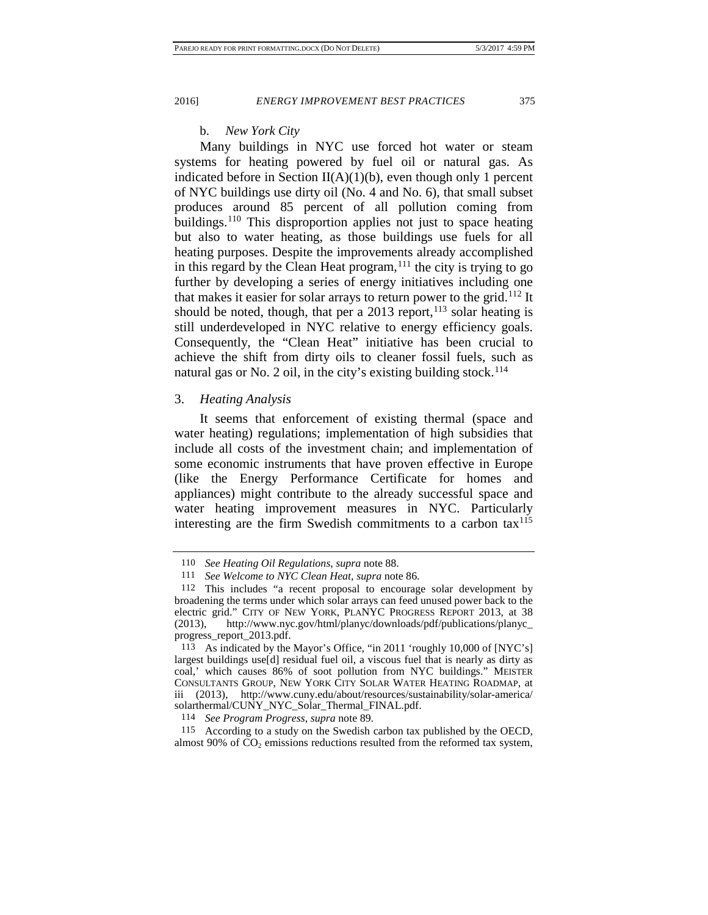b. *New York City*

Many buildings in NYC use forced hot water or steam systems for heating powered by fuel oil or natural gas. As indicated before in Section  $II(A)(1)(b)$ , even though only 1 percent of NYC buildings use dirty oil (No. 4 and No. 6), that small subset produces around 85 percent of all pollution coming from buildings.<sup>[110](#page-23-0)</sup> This disproportion applies not just to space heating but also to water heating, as those buildings use fuels for all heating purposes. Despite the improvements already accomplished in this regard by the Clean Heat program, $111$  the city is trying to go further by developing a series of energy initiatives including one that makes it easier for solar arrays to return power to the grid.<sup>[112](#page-23-2)</sup> It should be noted, though, that per a  $2013$  report,  $113$  solar heating is still underdeveloped in NYC relative to energy efficiency goals. Consequently, the "Clean Heat" initiative has been crucial to achieve the shift from dirty oils to cleaner fossil fuels, such as natural gas or No. 2 oil, in the city's existing building stock.<sup>[114](#page-23-4)</sup>

### 3. *Heating Analysis*

It seems that enforcement of existing thermal (space and water heating) regulations; implementation of high subsidies that include all costs of the investment chain; and implementation of some economic instruments that have proven effective in Europe (like the Energy Performance Certificate for homes and appliances) might contribute to the already successful space and water heating improvement measures in NYC. Particularly interesting are the firm Swedish commitments to a carbon  $tax^{115}$ 

<span id="page-23-5"></span><span id="page-23-4"></span>115 According to a study on the Swedish carbon tax published by the OECD, almost 90% of  $CO<sub>2</sub>$  emissions reductions resulted from the reformed tax system,

<span id="page-23-6"></span>

<sup>110</sup> *See Heating Oil Regulations*, *supra* not[e 88.](#page-20-0)

<sup>111</sup> *See Welcome to NYC Clean Heat*, *supra* note [86.](#page-19-9)

<span id="page-23-2"></span><span id="page-23-1"></span><span id="page-23-0"></span><sup>112</sup> This includes "a recent proposal to encourage solar development by broadening the terms under which solar arrays can feed unused power back to the electric grid." CITY OF NEW YORK, PLANYC PROGRESS REPORT 2013, at 38 (2013), http://www.nyc.gov/html/planyc/downloads/pdf/publications/planyc\_ progress\_report\_2013.pdf.

<span id="page-23-3"></span><sup>113</sup> As indicated by the Mayor's Office, "in 2011 'roughly 10,000 of [NYC's] largest buildings use[d] residual fuel oil, a viscous fuel that is nearly as dirty as coal,' which causes 86% of soot pollution from NYC buildings." MEISTER CONSULTANTS GROUP, NEW YORK CITY SOLAR WATER HEATING ROADMAP, at iii (2013), http://www.cuny.edu/about/resources/sustainability/solar-america/ solarthermal/CUNY\_NYC\_Solar\_Thermal\_FINAL.pdf.

<sup>114</sup> *See Program Progress*, *supra* not[e 89.](#page-20-9)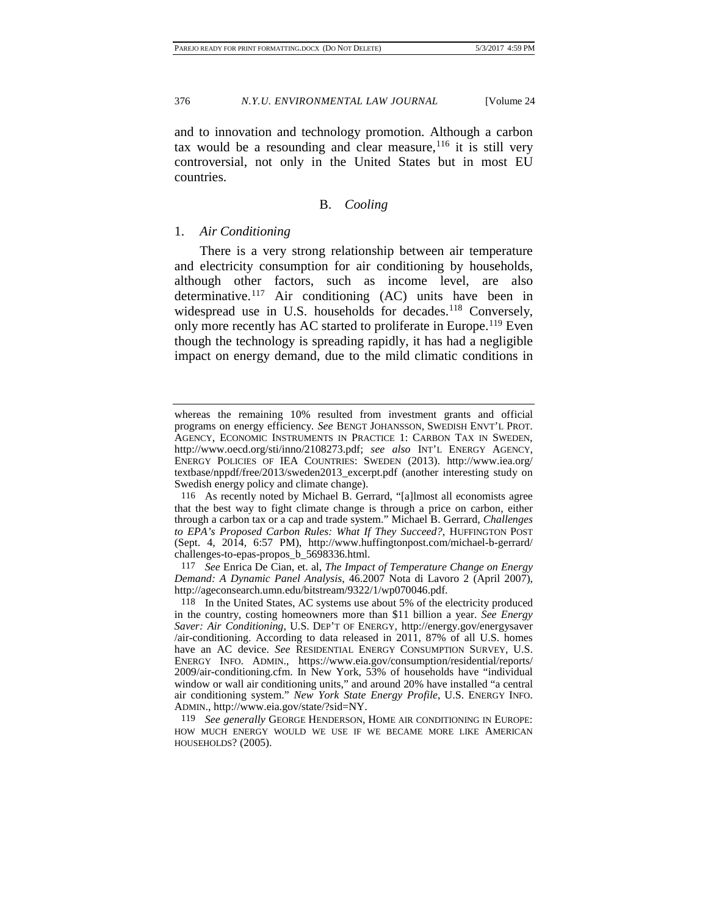and to innovation and technology promotion. Although a carbon tax would be a resounding and clear measure,  $116$  it is still very controversial, not only in the United States but in most EU countries.

# <span id="page-24-4"></span>B. *Cooling*

#### 1. *Air Conditioning*

There is a very strong relationship between air temperature and electricity consumption for air conditioning by households, although other factors, such as income level, are also determinative.[117](#page-24-1) Air conditioning (AC) units have been in widespread use in U.S. households for decades.<sup>[118](#page-24-2)</sup> Conversely, only more recently has AC started to proliferate in Europe.<sup>[119](#page-24-3)</sup> Even though the technology is spreading rapidly, it has had a negligible impact on energy demand, due to the mild climatic conditions in

whereas the remaining 10% resulted from investment grants and official programs on energy efficiency. *See* BENGT JOHANSSON, SWEDISH ENVT'L PROT. AGENCY, ECONOMIC INSTRUMENTS IN PRACTICE 1: CARBON TAX IN SWEDEN, http://www.oecd.org/sti/inno/2108273.pdf; *see also* INT'L ENERGY AGENCY, ENERGY POLICIES OF IEA COUNTRIES: SWEDEN (2013). http://www.iea.org/ textbase/nppdf/free/2013/sweden2013\_excerpt.pdf (another interesting study on Swedish energy policy and climate change).

<span id="page-24-0"></span><sup>116</sup> As recently noted by Michael B. Gerrard, "[a]lmost all economists agree that the best way to fight climate change is through a price on carbon, either through a carbon tax or a cap and trade system." Michael B. Gerrard, *Challenges to EPA's Proposed Carbon Rules: What If They Succeed?*, HUFFINGTON POST (Sept. 4, 2014, 6:57 PM), http://www.huffingtonpost.com/michael-b-gerrard/ challenges-to-epas-propos\_b\_5698336.html.

<span id="page-24-1"></span><sup>117</sup> *See* Enrica De Cian, et. al, *The Impact of Temperature Change on Energy Demand: A Dynamic Panel Analysis*, 46.2007 Nota di Lavoro 2 (April 2007), http://ageconsearch.umn.edu/bitstream/9322/1/wp070046.pdf.

<span id="page-24-2"></span><sup>118</sup> In the United States, AC systems use about 5% of the electricity produced in the country, costing homeowners more than \$11 billion a year. *See Energy Saver: Air Conditioning*, U.S. DEP'T OF ENERGY, http://energy.gov/energysaver /air-conditioning. According to data released in 2011, 87% of all U.S. homes have an AC device. *See* RESIDENTIAL ENERGY CONSUMPTION SURVEY, U.S. ENERGY INFO. ADMIN., https://www.eia.gov/consumption/residential/reports/ 2009/air-conditioning.cfm. In New York, 53% of households have "individual window or wall air conditioning units," and around 20% have installed "a central air conditioning system." *New York State Energy Profile*, U.S. ENERGY INFO. ADMIN., http://www.eia.gov/state/?sid=NY.

<span id="page-24-3"></span><sup>119</sup> *See generally* GEORGE HENDERSON, HOME AIR CONDITIONING IN EUROPE: HOW MUCH ENERGY WOULD WE USE IF WE BECAME MORE LIKE AMERICAN HOUSEHOLDS? (2005).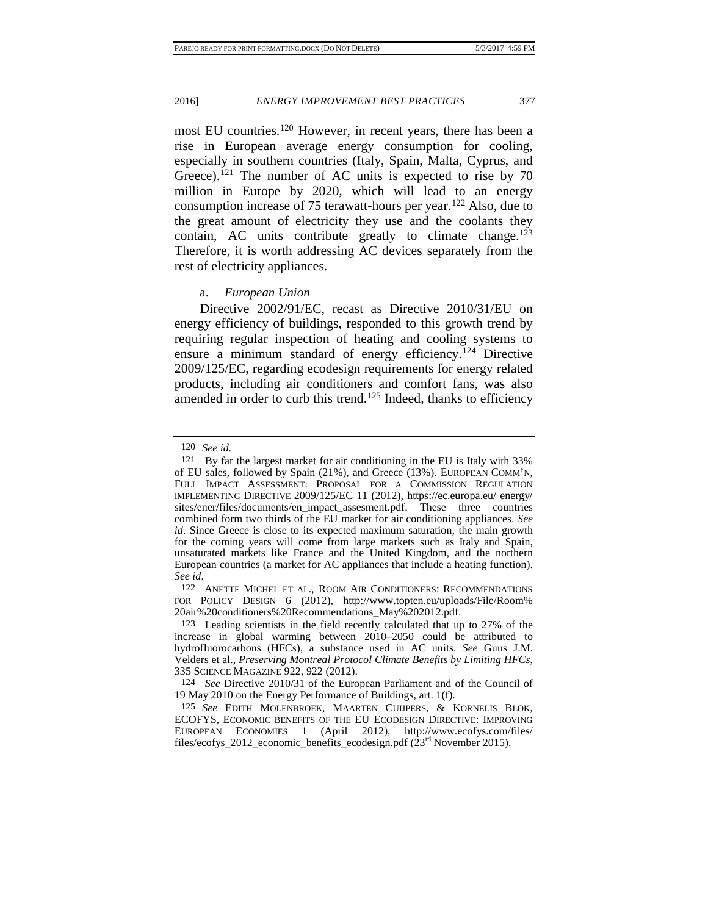most EU countries. [120](#page-25-0) However, in recent years, there has been a rise in European average energy consumption for cooling, especially in southern countries (Italy, Spain, Malta, Cyprus, and Greece).<sup>[121](#page-25-1)</sup> The number of AC units is expected to rise by  $70$ million in Europe by 2020, which will lead to an energy consumption increase of 75 terawatt-hours per year.[122](#page-25-2) Also, due to the great amount of electricity they use and the coolants they contain, AC units contribute greatly to climate change.<sup>123</sup> Therefore, it is worth addressing AC devices separately from the rest of electricity appliances.

#### <span id="page-25-6"></span>a. *European Union*

Directive 2002/91/EC, recast as Directive 2010/31/EU on energy efficiency of buildings, responded to this growth trend by requiring regular inspection of heating and cooling systems to ensure a minimum standard of energy efficiency.<sup>[124](#page-25-4)</sup> Directive 2009/125/EC, regarding ecodesign requirements for energy related products, including air conditioners and comfort fans, was also amended in order to curb this trend.<sup>[125](#page-25-5)</sup> Indeed, thanks to efficiency

<sup>120</sup> *See id.*

<span id="page-25-1"></span><span id="page-25-0"></span><sup>121</sup> By far the largest market for air conditioning in the EU is Italy with 33% of EU sales, followed by Spain (21%), and Greece (13%). EUROPEAN COMM'N, FULL IMPACT ASSESSMENT: PROPOSAL FOR A COMMISSION REGULATION IMPLEMENTING DIRECTIVE 2009/125/EC 11 (2012), https://ec.europa.eu/ energy/ sites/ener/files/documents/en\_impact\_assesment.pdf. These three countries combined form two thirds of the EU market for air conditioning appliances. *See id*. Since Greece is close to its expected maximum saturation, the main growth for the coming years will come from large markets such as Italy and Spain, unsaturated markets like France and the United Kingdom, and the northern European countries (a market for AC appliances that include a heating function). *See id*.

<span id="page-25-2"></span><sup>122</sup> ANETTE MICHEL ET AL., ROOM AIR CONDITIONERS: RECOMMENDATIONS FOR POLICY DESIGN 6 (2012), http://www.topten.eu/uploads/File/Room% 20air%20conditioners%20Recommendations\_May%202012.pdf.

<span id="page-25-3"></span><sup>123</sup> Leading scientists in the field recently calculated that up to 27% of the increase in global warming between 2010–2050 could be attributed to hydrofluorocarbons (HFCs), a substance used in AC units. *See* Guus J.M. Velders et al., *Preserving Montreal Protocol Climate Benefits by Limiting HFCs*, 335 SCIENCE MAGAZINE 922, 922 (2012).

<span id="page-25-4"></span><sup>124</sup> *See* Directive 2010/31 of the European Parliament and of the Council of 19 May 2010 on the Energy Performance of Buildings, art. 1(f).

<span id="page-25-5"></span><sup>125</sup> *See* EDITH MOLENBROEK, MAARTEN CUIJPERS, & KORNELIS BLOK, ECOFYS, ECONOMIC BENEFITS OF THE EU ECODESIGN DIRECTIVE: IMPROVING EUROPEAN ECONOMIES 1 (April 2012), http://www.ecofys.com/files/ files/ecofys\_2012\_economic\_benefits\_ecodesign.pdf  $(23<sup>rd</sup>$  November 2015).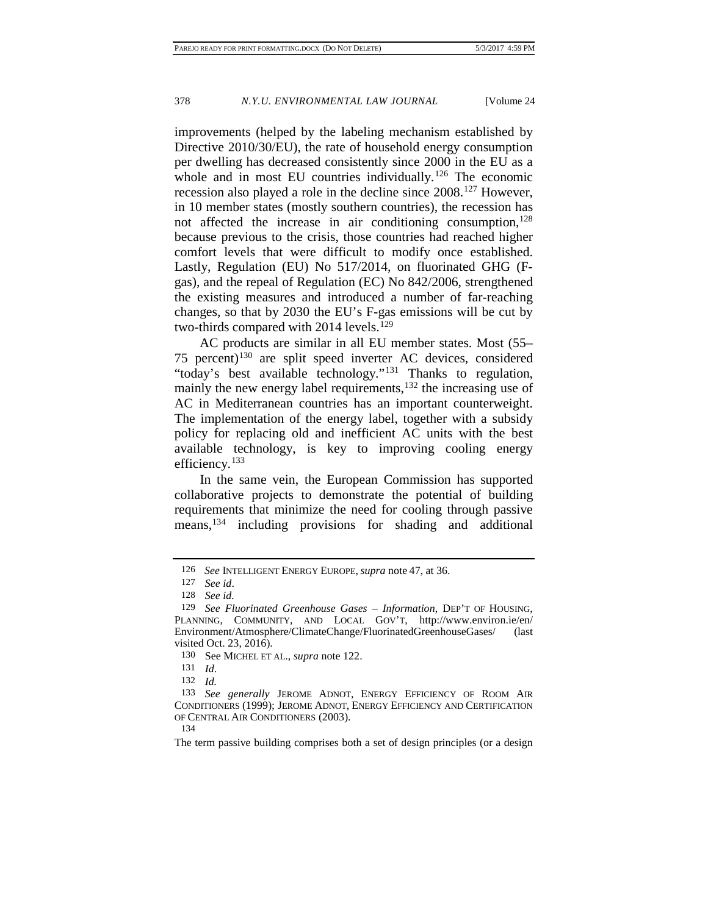improvements (helped by the labeling mechanism established by Directive 2010/30/EU), the rate of household energy consumption per dwelling has decreased consistently since 2000 in the EU as a whole and in most EU countries individually.<sup>[126](#page-26-0)</sup> The economic recession also played a role in the decline since 2008.[127](#page-26-1) However, in 10 member states (mostly southern countries), the recession has not affected the increase in air conditioning consumption,<sup>128</sup> because previous to the crisis, those countries had reached higher comfort levels that were difficult to modify once established. Lastly, Regulation (EU) No 517/2014, on fluorinated GHG (Fgas), and the repeal of Regulation (EC) No 842/2006, strengthened the existing measures and introduced a number of far-reaching changes, so that by 2030 the EU's F-gas emissions will be cut by two-thirds compared with 2014 levels.<sup>[129](#page-26-3)</sup>

AC products are similar in all EU member states. Most (55– 75 percent)[130](#page-26-4) are split speed inverter AC devices, considered "today's best available technology."<sup>[131](#page-26-5)</sup> Thanks to regulation, mainly the new energy label requirements,  $132$  the increasing use of AC in Mediterranean countries has an important counterweight. The implementation of the energy label, together with a subsidy policy for replacing old and inefficient AC units with the best available technology, is key to improving cooling energy efficiency.<sup>[133](#page-26-7)</sup>

In the same vein, the European Commission has supported collaborative projects to demonstrate the potential of building requirements that minimize the need for cooling through passive means,[134](#page-26-8) including provisions for shading and additional

<sup>126</sup> *See* INTELLIGENT ENERGY EUROPE, *supra* note [47,](#page-15-6) at 36.

<sup>127</sup> *See id*.

<sup>128</sup> *See id.*

<span id="page-26-3"></span><span id="page-26-2"></span><span id="page-26-1"></span><span id="page-26-0"></span><sup>129</sup> *See Fluorinated Greenhouse Gases – Information*, DEP'T OF HOUSING, PLANNING, COMMUNITY, AND LOCAL GOV'T, http://www.environ.ie/en/ Environment/Atmosphere/ClimateChange/FluorinatedGreenhouseGases/ (last visited Oct. 23, 2016).

<sup>130</sup> See MICHEL ET AL., *supra* note [122.](#page-25-6)

<sup>131</sup> *Id*.

<sup>132</sup> *Id.*

<span id="page-26-7"></span><span id="page-26-6"></span><span id="page-26-5"></span><span id="page-26-4"></span><sup>133</sup> *See generally* JEROME ADNOT, ENERGY EFFICIENCY OF ROOM AIR CONDITIONERS (1999); JEROME ADNOT, ENERGY EFFICIENCY AND CERTIFICATION OF CENTRAL AIR CONDITIONERS (2003).

<sup>134</sup>

<span id="page-26-8"></span>The term passive building comprises both a set of design principles (or a design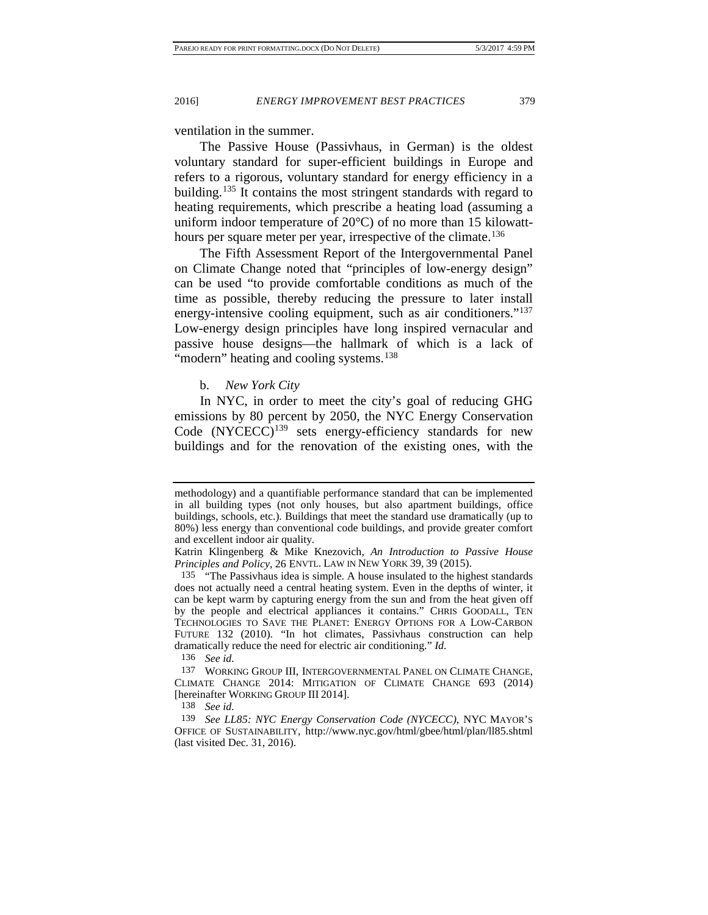ventilation in the summer.

<span id="page-27-5"></span>The Passive House (Passivhaus, in German) is the oldest voluntary standard for super-efficient buildings in Europe and refers to a rigorous, voluntary standard for energy efficiency in a building.<sup>[135](#page-27-0)</sup> It contains the most stringent standards with regard to heating requirements, which prescribe a heating load (assuming a uniform indoor temperature of 20°C) of no more than 15 kilowatt-hours per square meter per year, irrespective of the climate.<sup>[136](#page-27-1)</sup>

The Fifth Assessment Report of the Intergovernmental Panel on Climate Change noted that "principles of low-energy design" can be used "to provide comfortable conditions as much of the time as possible, thereby reducing the pressure to later install energy-intensive cooling equipment, such as air conditioners."<sup>137</sup> Low-energy design principles have long inspired vernacular and passive house designs—the hallmark of which is a lack of "modern" heating and cooling systems.<sup>[138](#page-27-3)</sup>

<span id="page-27-6"></span>b. *New York City*

In NYC, in order to meet the city's goal of reducing GHG emissions by 80 percent by 2050, the NYC Energy Conservation Code (NYCECC)<sup>[139](#page-27-4)</sup> sets energy-efficiency standards for new buildings and for the renovation of the existing ones, with the

136 *See id.*

<span id="page-27-2"></span><span id="page-27-1"></span>137 WORKING GROUP III, INTERGOVERNMENTAL PANEL ON CLIMATE CHANGE, CLIMATE CHANGE 2014: MITIGATION OF CLIMATE CHANGE 693 (2014) [hereinafter WORKING GROUP III 2014].

138 *See id.*

methodology) and a quantifiable performance standard that can be implemented in all building types (not only houses, but also apartment buildings, office buildings, schools, etc.). Buildings that meet the standard use dramatically (up to 80%) less energy than conventional code buildings, and provide greater comfort and excellent indoor air quality.

Katrin Klingenberg & Mike Knezovich, *An Introduction to Passive House Principles and Policy,* 26 ENVTL. LAW IN NEW YORK 39, 39 (2015).

<span id="page-27-0"></span><sup>135</sup> "The Passivhaus idea is simple. A house insulated to the highest standards does not actually need a central heating system. Even in the depths of winter, it can be kept warm by capturing energy from the sun and from the heat given off by the people and electrical appliances it contains." CHRIS GOODALL, TEN TECHNOLOGIES TO SAVE THE PLANET: ENERGY OPTIONS FOR A LOW-CARBON FUTURE 132 (2010). "In hot climates, Passivhaus construction can help dramatically reduce the need for electric air conditioning." *Id.*

<span id="page-27-4"></span><span id="page-27-3"></span><sup>139</sup> *See LL85: NYC Energy Conservation Code (NYCECC)*, NYC MAYOR'S OFFICE OF SUSTAINABILITY, http://www.nyc.gov/html/gbee/html/plan/ll85.shtml (last visited Dec. 31, 2016).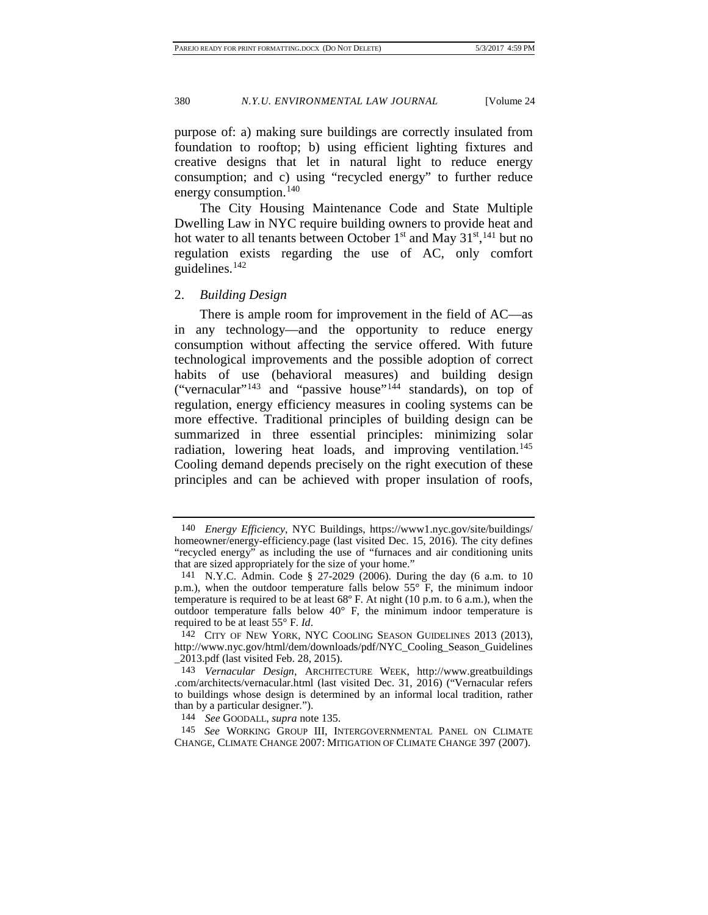purpose of: a) making sure buildings are correctly insulated from foundation to rooftop; b) using efficient lighting fixtures and creative designs that let in natural light to reduce energy consumption; and c) using "recycled energy" to further reduce energy consumption.<sup>[140](#page-28-0)</sup>

The City Housing Maintenance Code and State Multiple Dwelling Law in NYC require building owners to provide heat and hot water to all tenants between October  $1<sup>st</sup>$  and May  $31<sup>st</sup>,<sup>141</sup>$  $31<sup>st</sup>,<sup>141</sup>$  $31<sup>st</sup>,<sup>141</sup>$  but no regulation exists regarding the use of AC, only comfort guidelines.[142](#page-28-2)

2. *Building Design*

There is ample room for improvement in the field of AC—as in any technology—and the opportunity to reduce energy consumption without affecting the service offered. With future technological improvements and the possible adoption of correct habits of use (behavioral measures) and building design ("vernacular"<sup>[143](#page-28-3)</sup> and "passive house"<sup>[144](#page-28-4)</sup> standards), on top of regulation, energy efficiency measures in cooling systems can be more effective. Traditional principles of building design can be summarized in three essential principles: minimizing solar radiation, lowering heat loads, and improving ventilation.<sup>145</sup> Cooling demand depends precisely on the right execution of these principles and can be achieved with proper insulation of roofs,

<span id="page-28-5"></span><span id="page-28-4"></span>145 *See* WORKING GROUP III, INTERGOVERNMENTAL PANEL ON CLIMATE CHANGE, CLIMATE CHANGE 2007: MITIGATION OF CLIMATE CHANGE 397 (2007).

<span id="page-28-0"></span><sup>140</sup> *Energy Efficiency*, NYC Buildings, https://www1.nyc.gov/site/buildings/ homeowner/energy-efficiency.page (last visited Dec. 15, 2016). The city defines "recycled energy" as including the use of "furnaces and air conditioning units that are sized appropriately for the size of your home."

<span id="page-28-1"></span><sup>141</sup> N.Y.C. Admin. Code § 27-2029 (2006). During the day (6 a.m. to 10 p.m.), when the outdoor temperature falls below 55° F, the minimum indoor temperature is required to be at least 68º F. At night (10 p.m. to 6 a.m.), when the outdoor temperature falls below 40° F, the minimum indoor temperature is required to be at least 55° F. *Id*.

<span id="page-28-2"></span><sup>142</sup> CITY OF NEW YORK, NYC COOLING SEASON GUIDELINES 2013 (2013), http://www.nyc.gov/html/dem/downloads/pdf/NYC\_Cooling\_Season\_Guidelines \_2013.pdf (last visited Feb. 28, 2015).

<span id="page-28-3"></span><sup>143</sup> *Vernacular Design*, ARCHITECTURE WEEK, http://www.greatbuildings .com/architects/vernacular.html (last visited Dec. 31, 2016) ("Vernacular refers to buildings whose design is determined by an informal local tradition, rather than by a particular designer.").

<sup>144</sup> *See* GOODALL, *supra* note [135.](#page-27-5)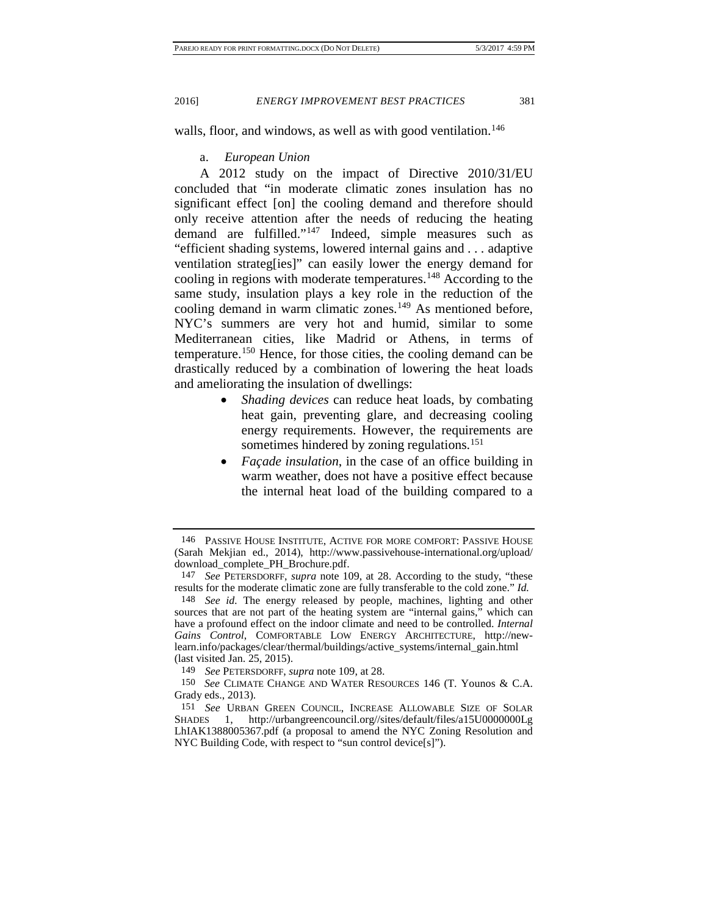walls, floor, and windows, as well as with good ventilation.<sup>[146](#page-29-0)</sup>

#### a. *European Union*

A 2012 study on the impact of Directive 2010/31/EU concluded that "in moderate climatic zones insulation has no significant effect [on] the cooling demand and therefore should only receive attention after the needs of reducing the heating demand are fulfilled."[147](#page-29-1) Indeed, simple measures such as "efficient shading systems, lowered internal gains and . . . adaptive ventilation strateg[ies]" can easily lower the energy demand for cooling in regions with moderate temperatures.<sup>[148](#page-29-2)</sup> According to the same study, insulation plays a key role in the reduction of the cooling demand in warm climatic zones.<sup>[149](#page-29-3)</sup> As mentioned before, NYC's summers are very hot and humid, similar to some Mediterranean cities, like Madrid or Athens, in terms of temperature.<sup>[150](#page-29-4)</sup> Hence, for those cities, the cooling demand can be drastically reduced by a combination of lowering the heat loads and ameliorating the insulation of dwellings:

- *Shading devices* can reduce heat loads, by combating heat gain, preventing glare, and decreasing cooling energy requirements. However, the requirements are sometimes hindered by zoning regulations.<sup>[151](#page-29-5)</sup>
- *Façade insulation*, in the case of an office building in warm weather, does not have a positive effect because the internal heat load of the building compared to a

<span id="page-29-0"></span><sup>146</sup> PASSIVE HOUSE INSTITUTE, ACTIVE FOR MORE COMFORT: PASSIVE HOUSE (Sarah Mekjian ed., 2014), http://www.passivehouse-international.org/upload/ download\_complete\_PH\_Brochure.pdf.

<span id="page-29-1"></span><sup>147</sup> *See* PETERSDORFF, *supra* note [109,](#page-22-8) at 28. According to the study, "these results for the moderate climatic zone are fully transferable to the cold zone." *Id.*

<span id="page-29-2"></span><sup>148</sup> *See id.* The energy released by people, machines, lighting and other sources that are not part of the heating system are "internal gains," which can have a profound effect on the indoor climate and need to be controlled. *Internal Gains Control*, COMFORTABLE LOW ENERGY ARCHITECTURE, http://newlearn.info/packages/clear/thermal/buildings/active\_systems/internal\_gain.html (last visited Jan. 25, 2015).

<sup>149</sup> *See* PETERSDORFF, *supra* note [109,](#page-22-8) at 28.

<span id="page-29-4"></span><span id="page-29-3"></span><sup>150</sup> *See* CLIMATE CHANGE AND WATER RESOURCES 146 (T. Younos & C.A. Grady eds., 2013).

<span id="page-29-5"></span><sup>151</sup> *See* URBAN GREEN COUNCIL, INCREASE ALLOWABLE SIZE OF SOLAR SHADES 1, http://urbangreencouncil.org//sites/default/files/a15U0000000Lg LhIAK1388005367.pdf (a proposal to amend the NYC Zoning Resolution and NYC Building Code, with respect to "sun control device[s]").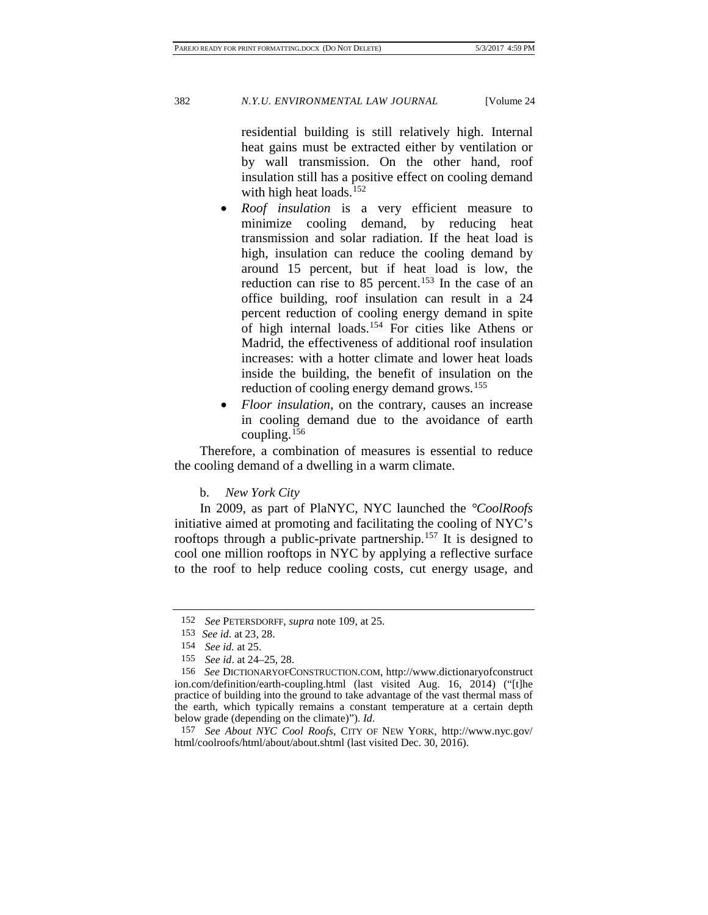residential building is still relatively high. Internal heat gains must be extracted either by ventilation or by wall transmission. On the other hand, roof insulation still has a positive effect on cooling demand with high heat loads.<sup>[152](#page-30-0)</sup>

- *Roof insulation* is a very efficient measure to minimize cooling demand, by reducing heat transmission and solar radiation. If the heat load is high, insulation can reduce the cooling demand by around 15 percent, but if heat load is low, the reduction can rise to  $85$  percent.<sup>[153](#page-30-1)</sup> In the case of an office building, roof insulation can result in a 24 percent reduction of cooling energy demand in spite of high internal loads.[154](#page-30-2) For cities like Athens or Madrid, the effectiveness of additional roof insulation increases: with a hotter climate and lower heat loads inside the building, the benefit of insulation on the reduction of cooling energy demand grows.<sup>[155](#page-30-3)</sup>
- *Floor insulation*, on the contrary, causes an increase in cooling demand due to the avoidance of earth coupling.<sup>[156](#page-30-4)</sup>

Therefore, a combination of measures is essential to reduce the cooling demand of a dwelling in a warm climate.

b. *New York City*

In 2009, as part of PlaNYC, NYC launched the *°CoolRoofs* initiative aimed at promoting and facilitating the cooling of NYC's rooftops through a public-private partnership.<sup>157</sup> It is designed to cool one million rooftops in NYC by applying a reflective surface to the roof to help reduce cooling costs, cut energy usage, and

<sup>152</sup> *See* PETERSDORFF, *supra* note [109,](#page-22-8) at 25.

<sup>153</sup> *See id.* at 23, 28.

<sup>154</sup> *See id.* at 25.

<sup>155</sup> *See id*. at 24–25, 28.

<span id="page-30-4"></span><span id="page-30-3"></span><span id="page-30-2"></span><span id="page-30-1"></span><span id="page-30-0"></span><sup>156</sup> *See* DICTIONARYOFCONSTRUCTION.COM, http://www.dictionaryofconstruct ion.com/definition/earth-coupling.html (last visited Aug. 16, 2014) ("[t]he practice of building into the ground to take advantage of the vast thermal mass of the earth, which typically remains a constant temperature at a certain depth below grade (depending on the climate)"). *Id*.

<span id="page-30-5"></span><sup>157</sup> *See About NYC Cool Roofs*, CITY OF NEW YORK, http://www.nyc.gov/ html/coolroofs/html/about/about.shtml (last visited Dec. 30, 2016).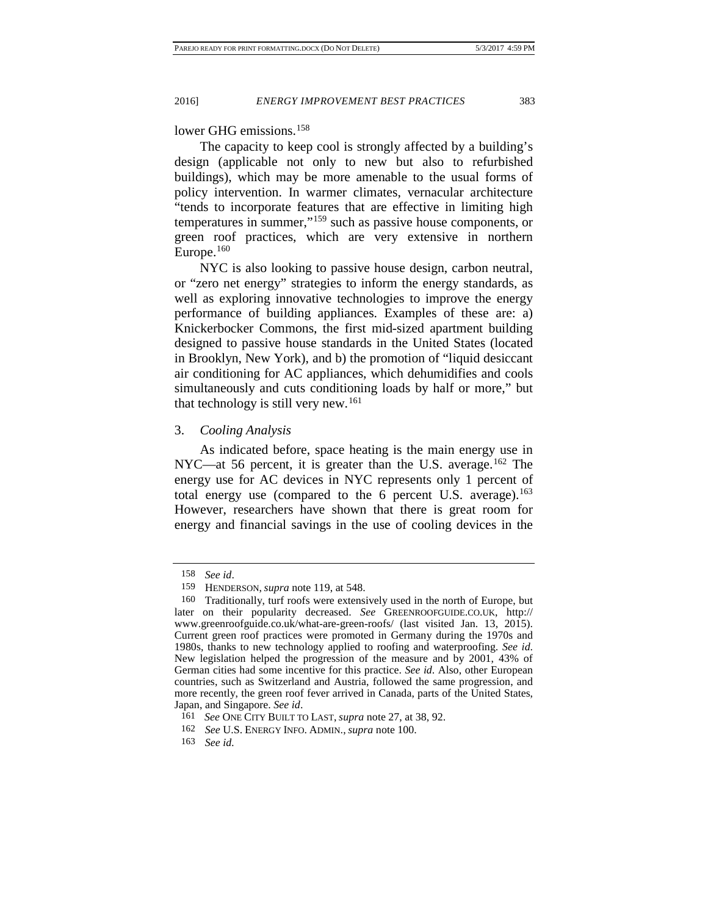#### lower GHG emissions.<sup>[158](#page-31-0)</sup>

The capacity to keep cool is strongly affected by a building's design (applicable not only to new but also to refurbished buildings), which may be more amenable to the usual forms of policy intervention. In warmer climates, vernacular architecture "tends to incorporate features that are effective in limiting high temperatures in summer,"[159](#page-31-1) such as passive house components, or green roof practices, which are very extensive in northern Europe. $160$ 

NYC is also looking to passive house design, carbon neutral, or "zero net energy" strategies to inform the energy standards, as well as exploring innovative technologies to improve the energy performance of building appliances. Examples of these are: a) Knickerbocker Commons, the first mid-sized apartment building designed to passive house standards in the United States (located in Brooklyn, New York), and b) the promotion of "liquid desiccant air conditioning for AC appliances, which dehumidifies and cools simultaneously and cuts conditioning loads by half or more," but that technology is still very new.<sup>[161](#page-31-3)</sup>

#### 3. *Cooling Analysis*

As indicated before, space heating is the main energy use in NYC—at 56 percent, it is greater than the U.S. average.<sup>[162](#page-31-4)</sup> The energy use for AC devices in NYC represents only 1 percent of total energy use (compared to the  $6$  percent U.S. average).<sup>163</sup> However, researchers have shown that there is great room for energy and financial savings in the use of cooling devices in the

<sup>158</sup> *See id*.

<sup>159</sup> HENDERSON, *supra* note [119,](#page-24-4) at 548.

<span id="page-31-2"></span><span id="page-31-1"></span><span id="page-31-0"></span><sup>160</sup> Traditionally, turf roofs were extensively used in the north of Europe, but later on their popularity decreased. *See* GREENROOFGUIDE.CO.UK, http:// www.greenroofguide.co.uk/what-are-green-roofs/ (last visited Jan. 13, 2015). Current green roof practices were promoted in Germany during the 1970s and 1980s, thanks to new technology applied to roofing and waterproofing. *See id*. New legislation helped the progression of the measure and by 2001, 43% of German cities had some incentive for this practice. *See id*. Also, other European countries, such as Switzerland and Austria, followed the same progression, and more recently, the green roof fever arrived in Canada, parts of the United States, Japan, and Singapore. *See id*.

<sup>161</sup> *See* ONE CITY BUILT TO LAST, *supra* note [27,](#page-11-0) at 38, 92.

<span id="page-31-4"></span><span id="page-31-3"></span><sup>162</sup> *See* U.S. ENERGY INFO. ADMIN., *supra* note [100.](#page-21-7)

<span id="page-31-5"></span><sup>163</sup> *See id.*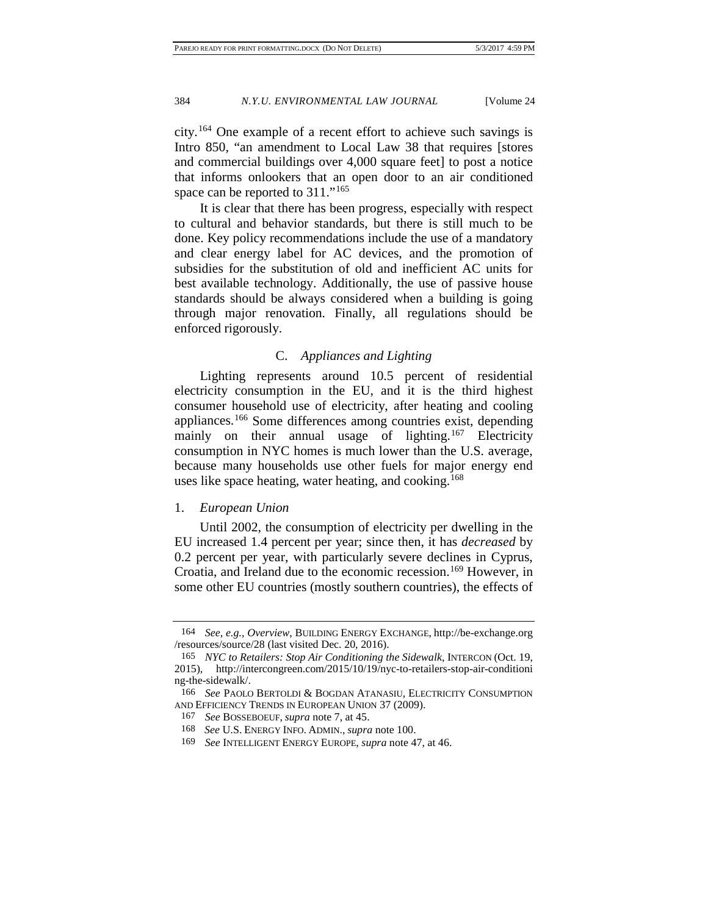city.[164](#page-32-0) One example of a recent effort to achieve such savings is Intro 850, "an amendment to Local Law 38 that requires [stores and commercial buildings over 4,000 square feet] to post a notice that informs onlookers that an open door to an air conditioned space can be reported to 311."<sup>[165](#page-32-1)</sup>

It is clear that there has been progress, especially with respect to cultural and behavior standards, but there is still much to be done. Key policy recommendations include the use of a mandatory and clear energy label for AC devices, and the promotion of subsidies for the substitution of old and inefficient AC units for best available technology. Additionally, the use of passive house standards should be always considered when a building is going through major renovation. Finally, all regulations should be enforced rigorously.

#### <span id="page-32-6"></span>C. *Appliances and Lighting*

<span id="page-32-7"></span>Lighting represents around 10.5 percent of residential electricity consumption in the EU, and it is the third highest consumer household use of electricity, after heating and cooling appliances.[166](#page-32-2) Some differences among countries exist, depending mainly on their annual usage of lighting.<sup>[167](#page-32-3)</sup> Electricity consumption in NYC homes is much lower than the U.S. average, because many households use other fuels for major energy end uses like space heating, water heating, and cooking.<sup>[168](#page-32-4)</sup>

#### 1. *European Union*

Until 2002, the consumption of electricity per dwelling in the EU increased 1.4 percent per year; since then, it has *decreased* by 0.2 percent per year, with particularly severe declines in Cyprus, Croatia, and Ireland due to the economic recession.<sup>169</sup> However, in some other EU countries (mostly southern countries), the effects of

<span id="page-32-0"></span><sup>164</sup> *See, e.g.*, *Overview*, BUILDING ENERGY EXCHANGE, http://be-exchange.org /resources/source/28 (last visited Dec. 20, 2016).

<span id="page-32-1"></span><sup>165</sup> *NYC to Retailers: Stop Air Conditioning the Sidewalk*, INTERCON (Oct. 19, 2015), http://intercongreen.com/2015/10/19/nyc-to-retailers-stop-air-conditioni ng-the-sidewalk/.

<span id="page-32-4"></span><span id="page-32-3"></span><span id="page-32-2"></span><sup>166</sup> *See* PAOLO BERTOLDI & BOGDAN ATANASIU, ELECTRICITY CONSUMPTION AND EFFICIENCY TRENDS IN EUROPEAN UNION 37 (2009).

<sup>167</sup> *See* BOSSEBOEUF, *supra* note [7,](#page-4-4) at 45.

<sup>168</sup> *See* U.S. ENERGY INFO. ADMIN., *supra* not[e 100.](#page-21-7)

<span id="page-32-5"></span><sup>169</sup> *See* INTELLIGENT ENERGY EUROPE, *supra* not[e 47,](#page-15-6) at 46.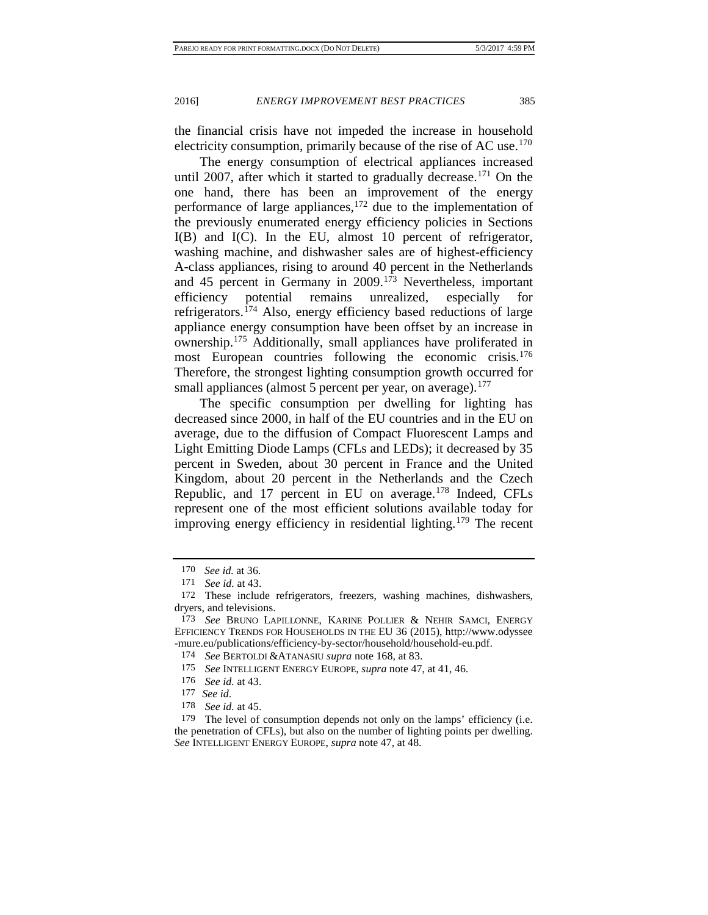<span id="page-33-10"></span>

the financial crisis have not impeded the increase in household electricity consumption, primarily because of the rise of AC use.<sup>[170](#page-33-0)</sup>

The energy consumption of electrical appliances increased until 2007, after which it started to gradually decrease.<sup>[171](#page-33-1)</sup> On the one hand, there has been an improvement of the energy performance of large appliances,  $172$  due to the implementation of the previously enumerated energy efficiency policies in Sections I(B) and I(C). In the EU, almost 10 percent of refrigerator, washing machine, and dishwasher sales are of highest-efficiency A-class appliances, rising to around 40 percent in the Netherlands and 45 percent in Germany in 2009.[173](#page-33-3) Nevertheless, important efficiency potential remains unrealized, especially for refrigerators.[174](#page-33-4) Also, energy efficiency based reductions of large appliance energy consumption have been offset by an increase in ownership.[175](#page-33-5) Additionally, small appliances have proliferated in most European countries following the economic crisis.<sup>176</sup> Therefore, the strongest lighting consumption growth occurred for small appliances (almost 5 percent per year, on average). $177$ 

The specific consumption per dwelling for lighting has decreased since 2000, in half of the EU countries and in the EU on average, due to the diffusion of Compact Fluorescent Lamps and Light Emitting Diode Lamps (CFLs and LEDs); it decreased by 35 percent in Sweden, about 30 percent in France and the United Kingdom, about 20 percent in the Netherlands and the Czech Republic, and 17 percent in EU on average.<sup>[178](#page-33-8)</sup> Indeed, CFLs represent one of the most efficient solutions available today for improving energy efficiency in residential lighting.<sup>[179](#page-33-9)</sup> The recent

<sup>170</sup> *See id.* at 36.

<sup>171</sup> *See id.* at 43.

<span id="page-33-2"></span><span id="page-33-1"></span><span id="page-33-0"></span><sup>172</sup> These include refrigerators, freezers, washing machines, dishwashers, dryers, and televisions.

<span id="page-33-4"></span><span id="page-33-3"></span><sup>173</sup> *See* BRUNO LAPILLONNE, KARINE POLLIER & NEHIR SAMCI, ENERGY EFFICIENCY TRENDS FOR HOUSEHOLDS IN THE EU 36 (2015), http://www.odyssee -mure.eu/publications/efficiency-by-sector/household/household-eu.pdf.

<sup>174</sup> *See* BERTOLDI &ATANASIU *supra* not[e 168,](#page-32-6) at 83.

<span id="page-33-5"></span><sup>175</sup> *See* INTELLIGENT ENERGY EUROPE, *supra* not[e 47,](#page-15-6) at 41, 46.

<sup>176</sup> *See id.* at 43.

<sup>177</sup> *See id*.

<sup>178</sup> *See id.* at 45.

<span id="page-33-9"></span><span id="page-33-8"></span><span id="page-33-7"></span><span id="page-33-6"></span><sup>179</sup> The level of consumption depends not only on the lamps' efficiency (i.e. the penetration of CFLs), but also on the number of lighting points per dwelling. *See* INTELLIGENT ENERGY EUROPE, *supra* not[e 47,](#page-15-6) at 48.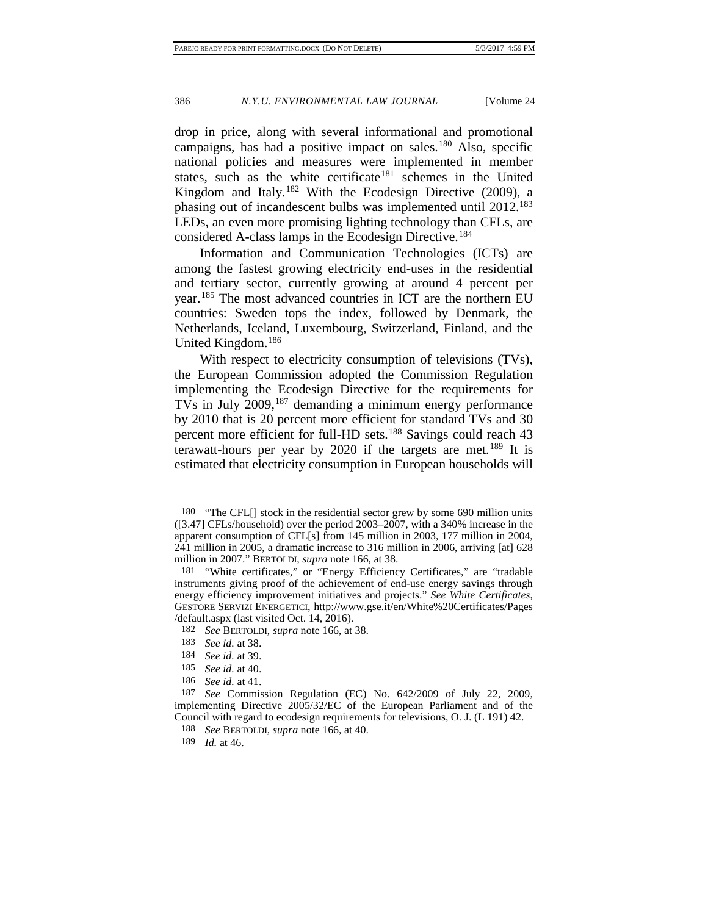drop in price, along with several informational and promotional campaigns, has had a positive impact on sales.[180](#page-34-0) Also, specific national policies and measures were implemented in member states, such as the white certificate<sup>[181](#page-34-1)</sup> schemes in the United Kingdom and Italy.<sup>[182](#page-34-2)</sup> With the Ecodesign Directive  $(2009)$ , a phasing out of incandescent bulbs was implemented until 2012.<sup>183</sup> LEDs, an even more promising lighting technology than CFLs, are considered A-class lamps in the Ecodesign Directive.<sup>[184](#page-34-4)</sup>

Information and Communication Technologies (ICTs) are among the fastest growing electricity end-uses in the residential and tertiary sector, currently growing at around 4 percent per year.[185](#page-34-5) The most advanced countries in ICT are the northern EU countries: Sweden tops the index, followed by Denmark, the Netherlands, Iceland, Luxembourg, Switzerland, Finland, and the United Kingdom. [186](#page-34-6)

With respect to electricity consumption of televisions (TVs), the European Commission adopted the Commission Regulation implementing the Ecodesign Directive for the requirements for TVs in July 2009,<sup>[187](#page-34-7)</sup> demanding a minimum energy performance by 2010 that is 20 percent more efficient for standard TVs and 30 percent more efficient for full-HD sets.[188](#page-34-8) Savings could reach 43 terawatt-hours per year by 2020 if the targets are met.<sup>[189](#page-34-9)</sup> It is estimated that electricity consumption in European households will

<span id="page-34-0"></span><sup>180</sup> "The CFL[] stock in the residential sector grew by some 690 million units ([3.47] CFLs/household) over the period 2003–2007, with a 340% increase in the apparent consumption of CFL[s] from 145 million in 2003, 177 million in 2004, 241 million in 2005, a dramatic increase to 316 million in 2006, arriving [at] 628 million in 2007." BERTOLDI, *supra* not[e 166,](#page-32-7) at 38.

<span id="page-34-1"></span><sup>181</sup> "White certificates," or "Energy Efficiency Certificates," are "tradable instruments giving proof of the achievement of end-use energy savings through energy efficiency improvement initiatives and projects." *See White Certificates*, GESTORE SERVIZI ENERGETICI, http://www.gse.it/en/White%20Certificates/Pages /default.aspx (last visited Oct. 14, 2016).

<span id="page-34-2"></span><sup>182</sup> *See* BERTOLDI, *supra* note [166,](#page-32-7) at 38.

<sup>183</sup> *See id.* at 38.

<sup>184</sup> *See id.* at 39.

<sup>185</sup> *See id.* at 40.

<sup>186</sup> *See id.* at 41.

<span id="page-34-9"></span><span id="page-34-8"></span><span id="page-34-7"></span><span id="page-34-6"></span><span id="page-34-5"></span><span id="page-34-4"></span><span id="page-34-3"></span><sup>187</sup> *See* Commission Regulation (EC) No. 642/2009 of July 22, 2009, implementing Directive 2005/32/EC of the European Parliament and of the Council with regard to ecodesign requirements for televisions, O. J. (L 191) 42.

<sup>188</sup> *See* BERTOLDI, *supra* note [166,](#page-32-7) at 40.

<sup>189</sup> *Id.* at 46.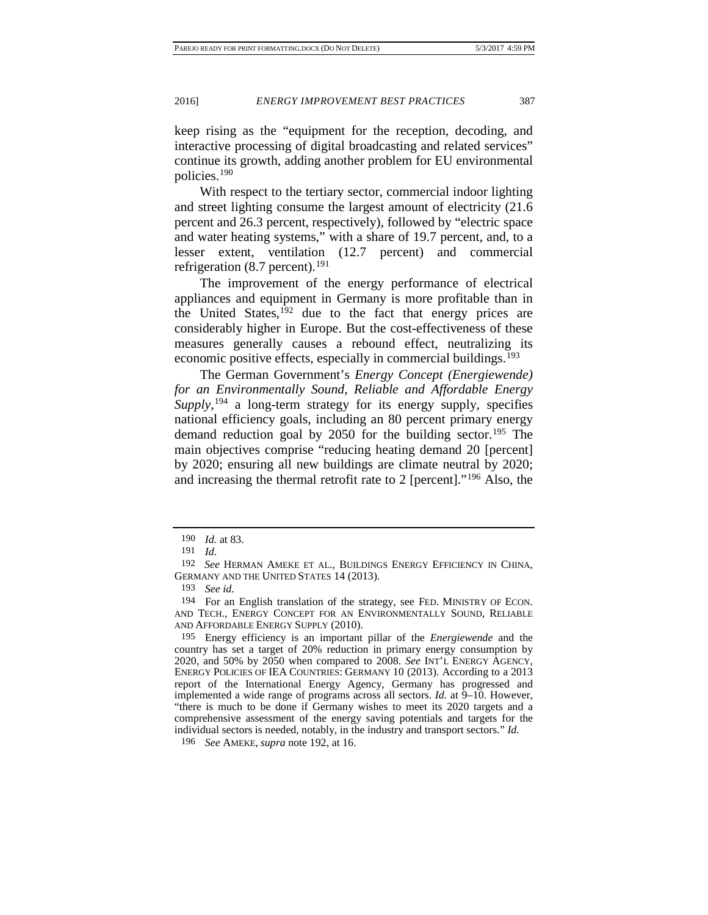keep rising as the "equipment for the reception, decoding, and interactive processing of digital broadcasting and related services" continue its growth, adding another problem for EU environmental policies.[190](#page-35-1)

With respect to the tertiary sector, commercial indoor lighting and street lighting consume the largest amount of electricity (21.6 percent and 26.3 percent, respectively), followed by "electric space and water heating systems," with a share of 19.7 percent, and, to a lesser extent, ventilation (12.7 percent) and commercial refrigeration (8.7 percent).<sup>[191](#page-35-2)</sup>

<span id="page-35-0"></span>The improvement of the energy performance of electrical appliances and equipment in Germany is more profitable than in the United States,<sup>[192](#page-35-3)</sup> due to the fact that energy prices are considerably higher in Europe. But the cost-effectiveness of these measures generally causes a rebound effect, neutralizing its economic positive effects, especially in commercial buildings.<sup>[193](#page-35-4)</sup>

The German Government's *Energy Concept (Energiewende) for an Environmentally Sound, Reliable and Affordable Energy Supply*, [194](#page-35-5) a long-term strategy for its energy supply, specifies national efficiency goals, including an 80 percent primary energy demand reduction goal by  $2050$  for the building sector.<sup>[195](#page-35-6)</sup> The main objectives comprise "reducing heating demand 20 [percent] by 2020; ensuring all new buildings are climate neutral by 2020; and increasing the thermal retrofit rate to 2 [percent]."[196](#page-35-7) Also, the

<span id="page-35-6"></span>195 Energy efficiency is an important pillar of the *Energiewende* and the country has set a target of 20% reduction in primary energy consumption by 2020, and 50% by 2050 when compared to 2008. *See* INT'L ENERGY AGENCY, ENERGY POLICIES OF IEA COUNTRIES: GERMANY 10 (2013). According to a 2013 report of the International Energy Agency, Germany has progressed and implemented a wide range of programs across all sectors. *Id.* at 9–10. However, "there is much to be done if Germany wishes to meet its 2020 targets and a comprehensive assessment of the energy saving potentials and targets for the individual sectors is needed, notably, in the industry and transport sectors." *Id.*

<span id="page-35-7"></span>196 *See* AMEKE, *supra* note [192,](#page-35-0) at 16.

<sup>190</sup> *Id.* at 83.

<sup>191</sup> *Id*.

<span id="page-35-4"></span><span id="page-35-3"></span><span id="page-35-2"></span><span id="page-35-1"></span><sup>192</sup> *See* HERMAN AMEKE ET AL., BUILDINGS ENERGY EFFICIENCY IN CHINA, GERMANY AND THE UNITED STATES 14 (2013).

<sup>193</sup> *See id.*

<span id="page-35-5"></span><sup>194</sup> For an English translation of the strategy, see FED. MINISTRY OF ECON. AND TECH., ENERGY CONCEPT FOR AN ENVIRONMENTALLY SOUND, RELIABLE AND AFFORDABLE ENERGY SUPPLY (2010).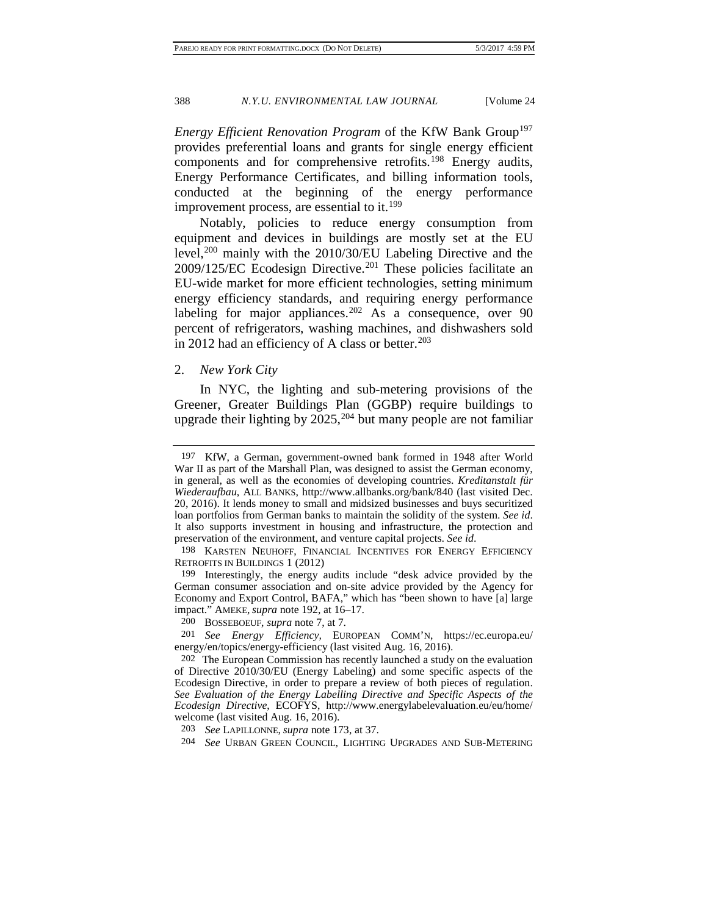*Energy Efficient Renovation Program* of the KfW Bank Group<sup>197</sup> provides preferential loans and grants for single energy efficient components and for comprehensive retrofits.<sup>[198](#page-36-1)</sup> Energy audits, Energy Performance Certificates, and billing information tools, conducted at the beginning of the energy performance improvement process, are essential to it.<sup>199</sup>

Notably, policies to reduce energy consumption from equipment and devices in buildings are mostly set at the EU level,<sup>[200](#page-36-3)</sup> mainly with the 2010/30/EU Labeling Directive and the 2009/125/EC Ecodesign Directive.[201](#page-36-4) These policies facilitate an EU-wide market for more efficient technologies, setting minimum energy efficiency standards, and requiring energy performance labeling for major appliances.<sup>[202](#page-36-5)</sup> As a consequence, over 90 percent of refrigerators, washing machines, and dishwashers sold in 2012 had an efficiency of A class or better. $203$ 

#### 2. *New York City*

In NYC, the lighting and sub-metering provisions of the Greener, Greater Buildings Plan (GGBP) require buildings to upgrade their lighting by  $2025$ , <sup>[204](#page-36-7)</sup> but many people are not familiar

<span id="page-36-0"></span><sup>197</sup> KfW, a German, government-owned bank formed in 1948 after World War II as part of the Marshall Plan, was designed to assist the German economy, in general, as well as the economies of developing countries. *Kreditanstalt für Wiederaufbau*, ALL BANKS, http://www.allbanks.org/bank/840 (last visited Dec. 20, 2016). It lends money to small and midsized businesses and buys securitized loan portfolios from German banks to maintain the solidity of the system. *See id*. It also supports investment in housing and infrastructure, the protection and preservation of the environment, and venture capital projects. *See id*.

<span id="page-36-1"></span><sup>198</sup> KARSTEN NEUHOFF, FINANCIAL INCENTIVES FOR ENERGY EFFICIENCY RETROFITS IN BUILDINGS 1 (2012)

<span id="page-36-2"></span><sup>199</sup> Interestingly, the energy audits include "desk advice provided by the German consumer association and on-site advice provided by the Agency for Economy and Export Control, BAFA," which has "been shown to have [a] large impact." AMEKE, *supra* note [192,](#page-35-0) at 16–17.

<sup>200</sup> BOSSEBOEUF, *supra* not[e 7,](#page-4-4) at 7.

<span id="page-36-4"></span><span id="page-36-3"></span><sup>201</sup> *See Energy Efficiency,* EUROPEAN COMM'N, https://ec.europa.eu/ energy/en/topics/energy-efficiency (last visited Aug. 16, 2016).

<span id="page-36-5"></span><sup>202</sup> The European Commission has recently launched a study on the evaluation of Directive 2010/30/EU (Energy Labeling) and some specific aspects of the Ecodesign Directive, in order to prepare a review of both pieces of regulation. *See Evaluation of the Energy Labelling Directive and Specific Aspects of the Ecodesign Directive*, ECOFYS, http://www.energylabelevaluation.eu/eu/home/ welcome (last visited Aug. 16, 2016).

<span id="page-36-6"></span><sup>203</sup> *See* LAPILLONNE, *supra* note [173,](#page-33-10) at 37.

<span id="page-36-7"></span><sup>204</sup> *See* URBAN GREEN COUNCIL, LIGHTING UPGRADES AND SUB-METERING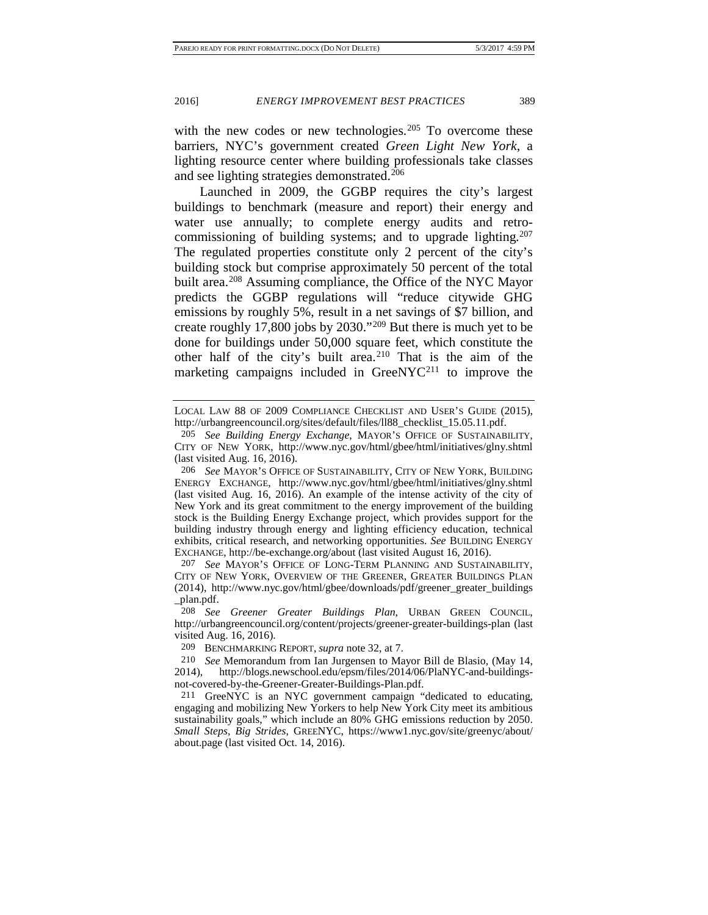with the new codes or new technologies.<sup>[205](#page-37-0)</sup> To overcome these barriers, NYC's government created *Green Light New York*, a lighting resource center where building professionals take classes and see lighting strategies demonstrated.<sup>[206](#page-37-1)</sup>

Launched in 2009, the GGBP requires the city's largest buildings to benchmark (measure and report) their energy and water use annually; to complete energy audits and retrocommissioning of building systems; and to upgrade lighting.<sup>207</sup> The regulated properties constitute only 2 percent of the city's building stock but comprise approximately 50 percent of the total built area.<sup>[208](#page-37-3)</sup> Assuming compliance, the Office of the NYC Mayor predicts the GGBP regulations will "reduce citywide GHG emissions by roughly 5%, result in a net savings of \$7 billion, and create roughly 17,800 jobs by 2030."[209](#page-37-4) But there is much yet to be done for buildings under 50,000 square feet, which constitute the other half of the city's built area.<sup>[210](#page-37-5)</sup> That is the aim of the marketing campaigns included in GreeNYC<sup>[211](#page-37-6)</sup> to improve the

LOCAL LAW 88 OF 2009 COMPLIANCE CHECKLIST AND USER'S GUIDE (2015), http://urbangreencouncil.org/sites/default/files/ll88\_checklist\_15.05.11.pdf.

<span id="page-37-0"></span><sup>205</sup> *See Building Energy Exchange*, MAYOR'S OFFICE OF SUSTAINABILITY, CITY OF NEW YORK, http://www.nyc.gov/html/gbee/html/initiatives/glny.shtml (last visited Aug. 16, 2016).

<span id="page-37-1"></span><sup>206</sup> *See* MAYOR'S OFFICE OF SUSTAINABILITY, CITY OF NEW YORK, BUILDING ENERGY EXCHANGE, http://www.nyc.gov/html/gbee/html/initiatives/glny.shtml (last visited Aug. 16, 2016). An example of the intense activity of the city of New York and its great commitment to the energy improvement of the building stock is the Building Energy Exchange project, which provides support for the building industry through energy and lighting efficiency education, technical exhibits, critical research, and networking opportunities. *See* BUILDING ENERGY EXCHANGE, http://be-exchange.org/about (last visited August 16, 2016).

<span id="page-37-2"></span><sup>207</sup> *See* MAYOR'S OFFICE OF LONG-TERM PLANNING AND SUSTAINABILITY, CITY OF NEW YORK, OVERVIEW OF THE GREENER, GREATER BUILDINGS PLAN (2014), http://www.nyc.gov/html/gbee/downloads/pdf/greener\_greater\_buildings \_plan.pdf.

<span id="page-37-3"></span><sup>208</sup> *See Greener Greater Buildings Plan*, URBAN GREEN COUNCIL, http://urbangreencouncil.org/content/projects/greener-greater-buildings-plan (last visited Aug. 16, 2016).

<sup>209</sup> BENCHMARKING REPORT, *supra* not[e 32,](#page-11-10) at 7.

<span id="page-37-5"></span><span id="page-37-4"></span><sup>210</sup> *See* Memorandum from Ian Jurgensen to Mayor Bill de Blasio, (May 14, 2014), http://blogs.newschool.edu/epsm/files/2014/06/PlaNYC-and-buildingsnot-covered-by-the-Greener-Greater-Buildings-Plan.pdf.

<span id="page-37-6"></span><sup>211</sup> GreeNYC is an NYC government campaign "dedicated to educating, engaging and mobilizing New Yorkers to help New York City meet its ambitious sustainability goals," which include an 80% GHG emissions reduction by 2050. *Small Steps, Big Strides*, GREENYC, https://www1.nyc.gov/site/greenyc/about/ about.page (last visited Oct. 14, 2016).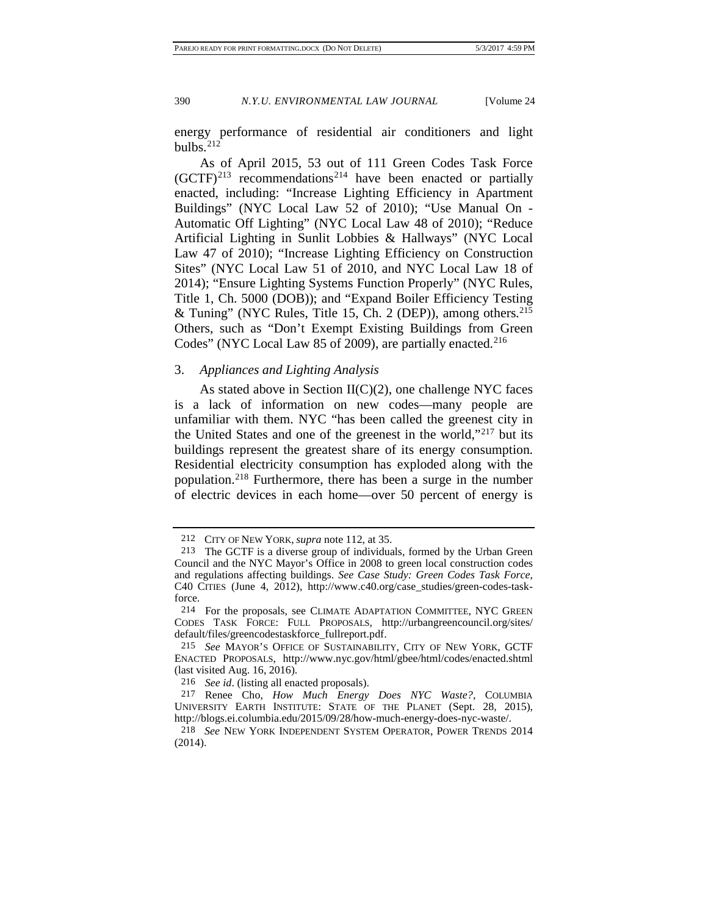energy performance of residential air conditioners and light bulbs. $212$ 

As of April 2015, 53 out of 111 Green Codes Task Force  $(GCTF)^{213}$  $(GCTF)^{213}$  $(GCTF)^{213}$  recommendations<sup>[214](#page-38-2)</sup> have been enacted or partially enacted, including: "Increase Lighting Efficiency in Apartment Buildings" (NYC Local Law 52 of 2010); "Use Manual On - Automatic Off Lighting" (NYC Local Law 48 of 2010); "Reduce Artificial Lighting in Sunlit Lobbies & Hallways" (NYC Local Law 47 of 2010); "Increase Lighting Efficiency on Construction Sites" (NYC Local Law 51 of 2010, and NYC Local Law 18 of 2014); "Ensure Lighting Systems Function Properly" (NYC Rules, Title 1, Ch. 5000 (DOB)); and "Expand Boiler Efficiency Testing & Tuning" (NYC Rules, Title 15, Ch. 2 (DEP)), among others[.215](#page-38-3) Others, such as "Don't Exempt Existing Buildings from Green Codes" (NYC Local Law 85 of 2009), are partially enacted.<sup>[216](#page-38-4)</sup>

#### 3. *Appliances and Lighting Analysis*

<span id="page-38-7"></span>As stated above in Section  $II(C)(2)$ , one challenge NYC faces is a lack of information on new codes—many people are unfamiliar with them. NYC "has been called the greenest city in the United States and one of the greenest in the world,"[217](#page-38-5) but its buildings represent the greatest share of its energy consumption. Residential electricity consumption has exploded along with the population.[218](#page-38-6) Furthermore, there has been a surge in the number of electric devices in each home—over 50 percent of energy is

<sup>212</sup> CITY OF NEW YORK, *supra* note [112,](#page-23-6) at 35.

<span id="page-38-1"></span><span id="page-38-0"></span><sup>213</sup> The GCTF is a diverse group of individuals, formed by the Urban Green Council and the NYC Mayor's Office in 2008 to green local construction codes and regulations affecting buildings. *See Case Study: Green Codes Task Force*, C40 CITIES (June 4, 2012), http://www.c40.org/case\_studies/green-codes-taskforce.

<span id="page-38-2"></span><sup>214</sup> For the proposals, see CLIMATE ADAPTATION COMMITTEE, NYC GREEN CODES TASK FORCE: FULL PROPOSALS, http://urbangreencouncil.org/sites/ default/files/greencodestaskforce\_fullreport.pdf.

<span id="page-38-3"></span><sup>215</sup> *See* MAYOR'S OFFICE OF SUSTAINABILITY, CITY OF NEW YORK, GCTF ENACTED PROPOSALS, http://www.nyc.gov/html/gbee/html/codes/enacted.shtml (last visited Aug. 16, 2016).

<sup>216</sup> *See id*. (listing all enacted proposals).

<span id="page-38-5"></span><span id="page-38-4"></span><sup>217</sup> Renee Cho, *How Much Energy Does NYC Waste?*, COLUMBIA UNIVERSITY EARTH INSTITUTE: STATE OF THE PLANET (Sept. 28, 2015), http://blogs.ei.columbia.edu/2015/09/28/how-much-energy-does-nyc-waste/.

<span id="page-38-6"></span><sup>218</sup> *See* NEW YORK INDEPENDENT SYSTEM OPERATOR, POWER TRENDS 2014 (2014).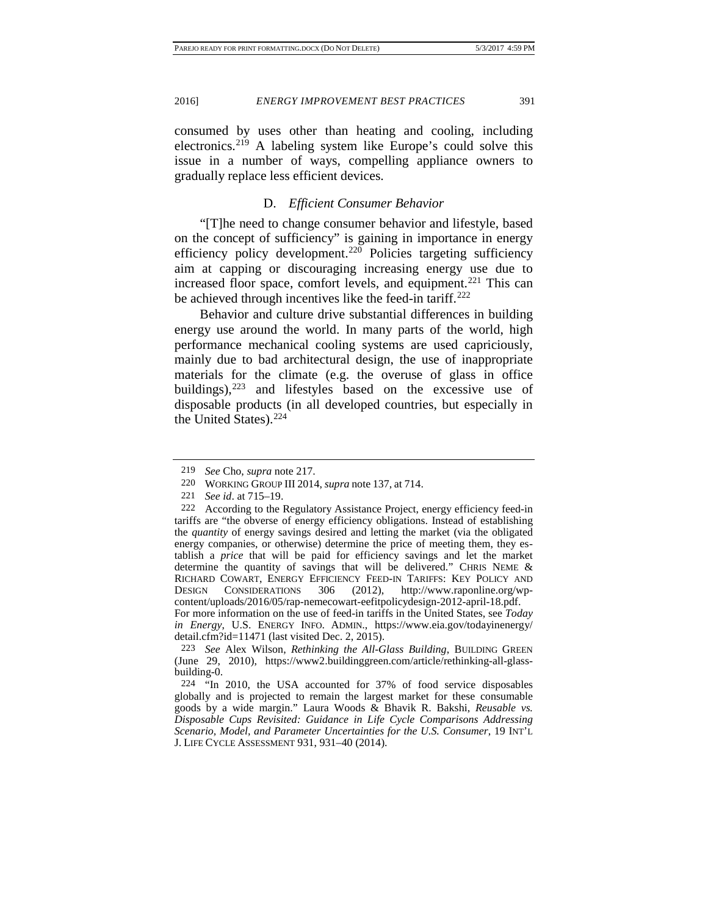consumed by uses other than heating and cooling, including electronics.[219](#page-39-0) A labeling system like Europe's could solve this issue in a number of ways, compelling appliance owners to gradually replace less efficient devices.

# D. *Efficient Consumer Behavior*

"[T]he need to change consumer behavior and lifestyle, based on the concept of sufficiency" is gaining in importance in energy efficiency policy development.<sup>[220](#page-39-1)</sup> Policies targeting sufficiency aim at capping or discouraging increasing energy use due to increased floor space, comfort levels, and equipment.<sup>[221](#page-39-2)</sup> This can be achieved through incentives like the feed-in tariff.<sup>[222](#page-39-3)</sup>

Behavior and culture drive substantial differences in building energy use around the world. In many parts of the world, high performance mechanical cooling systems are used capriciously, mainly due to bad architectural design, the use of inappropriate materials for the climate (e.g. the overuse of glass in office buildings), $223$  and lifestyles based on the excessive use of disposable products (in all developed countries, but especially in the United States).<sup>[224](#page-39-5)</sup>

*in Energy*, U.S. ENERGY INFO. ADMIN., https://www.eia.gov/todayinenergy/ detail.cfm?id=11471 (last visited Dec. 2, 2015).

<sup>219</sup> *See* Cho, *supra* note [217.](#page-38-7)

<sup>220</sup> WORKING GROUP III 2014, *supra* note [137,](#page-27-6) at 714.

See id. at 715–19.

<span id="page-39-3"></span><span id="page-39-2"></span><span id="page-39-1"></span><span id="page-39-0"></span><sup>222</sup> According to the Regulatory Assistance Project, energy efficiency feed-in tariffs are "the obverse of energy efficiency obligations. Instead of establishing the *quantity* of energy savings desired and letting the market (via the obligated energy companies, or otherwise) determine the price of meeting them, they establish a *price* that will be paid for efficiency savings and let the market determine the quantity of savings that will be delivered." CHRIS NEME & RICHARD COWART, ENERGY EFFICIENCY FEED-IN TARIFFS: KEY POLICY AND<br>DESIGN CONSIDERATIONS 306 (2012), http://www.raponline.org/wp-DESIGN CONSIDERATIONS 306 (2012), http://www.raponline.org/wpcontent/uploads/2016/05/rap-nemecowart-eefitpolicydesign-2012-april-18.pdf. For more information on the use of feed-in tariffs in the United States, see *Today* 

<span id="page-39-4"></span><sup>223</sup> *See* Alex Wilson, *Rethinking the All-Glass Building*, BUILDING GREEN (June 29, 2010), https://www2.buildinggreen.com/article/rethinking-all-glassbuilding-0.

<span id="page-39-5"></span><sup>224</sup> "In 2010, the USA accounted for 37% of food service disposables globally and is projected to remain the largest market for these consumable goods by a wide margin." Laura Woods & Bhavik R. Bakshi, *Reusable vs. Disposable Cups Revisited: Guidance in Life Cycle Comparisons Addressing Scenario, Model, and Parameter Uncertainties for the U.S. Consumer*, 19 INT'L J. LIFE CYCLE ASSESSMENT 931, 931–40 (2014).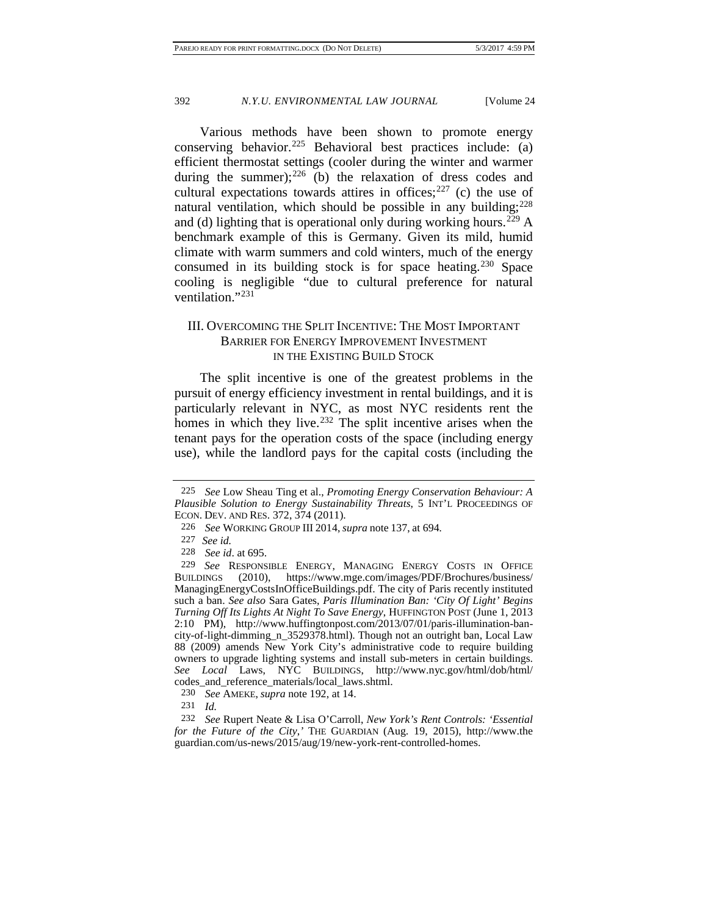Various methods have been shown to promote energy conserving behavior.<sup>[225](#page-40-0)</sup> Behavioral best practices include: (a) efficient thermostat settings (cooler during the winter and warmer during the summer); $^{226}$  $^{226}$  $^{226}$  (b) the relaxation of dress codes and cultural expectations towards attires in offices; $227$  (c) the use of natural ventilation, which should be possible in any building; $228$ and (d) lighting that is operational only during working hours.<sup>[229](#page-40-4)</sup> A benchmark example of this is Germany. Given its mild, humid climate with warm summers and cold winters, much of the energy consumed in its building stock is for space heating.<sup>[230](#page-40-5)</sup> Space cooling is negligible "due to cultural preference for natural ventilation."[231](#page-40-6)

# III. OVERCOMING THE SPLIT INCENTIVE: THE MOST IMPORTANT BARRIER FOR ENERGY IMPROVEMENT INVESTMENT IN THE EXISTING BUILD STOCK

The split incentive is one of the greatest problems in the pursuit of energy efficiency investment in rental buildings, and it is particularly relevant in NYC, as most NYC residents rent the homes in which they live.<sup>[232](#page-40-7)</sup> The split incentive arises when the tenant pays for the operation costs of the space (including energy use), while the landlord pays for the capital costs (including the

<span id="page-40-0"></span><sup>225</sup> *See* Low Sheau Ting et al., *Promoting Energy Conservation Behaviour: A Plausible Solution to Energy Sustainability Threats*, 5 INT'L PROCEEDINGS OF ECON. DEV. AND RES. 372, 374 (2011).

<sup>226</sup> *See* WORKING GROUP III 2014,*supra* note [137,](#page-27-6) at 694*.*

<sup>227</sup> *See id.*

<sup>228</sup> *See id*. at 695.

<span id="page-40-4"></span><span id="page-40-3"></span><span id="page-40-2"></span><span id="page-40-1"></span><sup>229</sup> *See* RESPONSIBLE ENERGY, MANAGING ENERGY COSTS IN OFFICE BUILDINGS (2010), https://www.mge.com/images/PDF/Brochures/business/ ManagingEnergyCostsInOfficeBuildings.pdf. The city of Paris recently instituted such a ban. *See also* Sara Gates, *Paris Illumination Ban: 'City Of Light' Begins Turning Off Its Lights At Night To Save Energy*, HUFFINGTON POST (June 1, 2013 2:10 PM), http://www.huffingtonpost.com/2013/07/01/paris-illumination-bancity-of-light-dimming\_n\_3529378.html). Though not an outright ban, Local Law 88 (2009) amends New York City's administrative code to require building owners to upgrade lighting systems and install sub-meters in certain buildings. *See Local* Laws, NYC BUILDINGS, http://www.nyc.gov/html/dob/html/ codes\_and\_reference\_materials/local\_laws.shtml.

<sup>230</sup> *See* AMEKE, *supra* note [192,](#page-35-0) at 14.

<sup>231</sup> *Id.*

<span id="page-40-7"></span><span id="page-40-6"></span><span id="page-40-5"></span><sup>232</sup> *See* Rupert Neate & Lisa O'Carroll, *New York's Rent Controls: 'Essential for the Future of the City*,*'* THE GUARDIAN (Aug. 19, 2015), http://www.the guardian.com/us-news/2015/aug/19/new-york-rent-controlled-homes.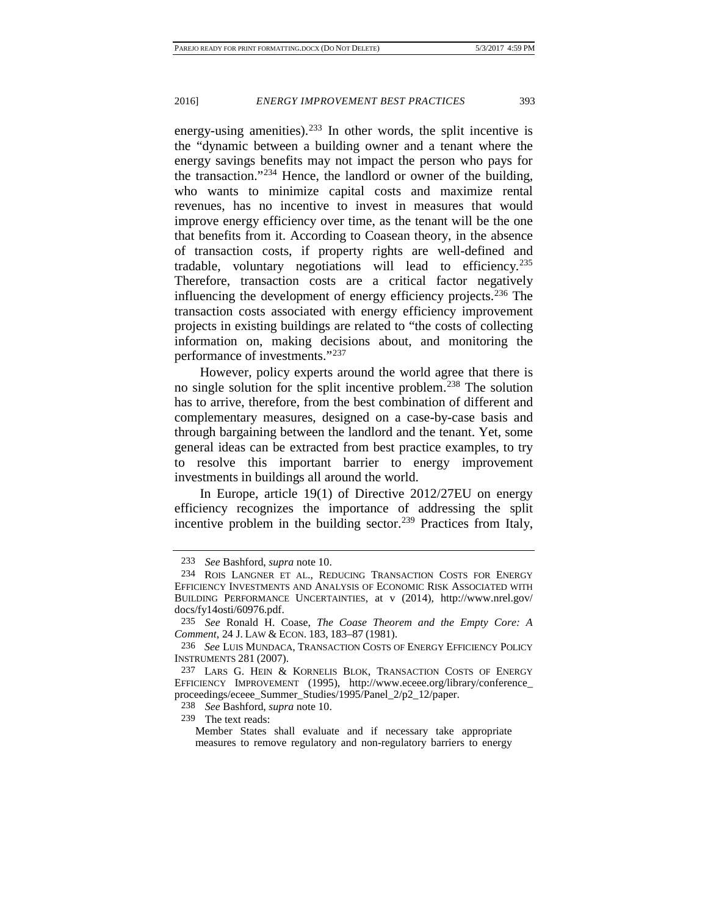energy-using amenities).<sup>[233](#page-41-0)</sup> In other words, the split incentive is the "dynamic between a building owner and a tenant where the energy savings benefits may not impact the person who pays for the transaction."<sup>[234](#page-41-1)</sup> Hence, the landlord or owner of the building, who wants to minimize capital costs and maximize rental revenues, has no incentive to invest in measures that would improve energy efficiency over time, as the tenant will be the one that benefits from it. According to Coasean theory, in the absence of transaction costs, if property rights are well-defined and tradable, voluntary negotiations will lead to efficiency[.235](#page-41-2) Therefore, transaction costs are a critical factor negatively influencing the development of energy efficiency projects.<sup>[236](#page-41-3)</sup> The transaction costs associated with energy efficiency improvement projects in existing buildings are related to "the costs of collecting information on, making decisions about, and monitoring the performance of investments."[237](#page-41-4)

However, policy experts around the world agree that there is no single solution for the split incentive problem.<sup>[238](#page-41-5)</sup> The solution has to arrive, therefore, from the best combination of different and complementary measures, designed on a case-by-case basis and through bargaining between the landlord and the tenant. Yet, some general ideas can be extracted from best practice examples, to try to resolve this important barrier to energy improvement investments in buildings all around the world.

In Europe, article 19(1) of Directive 2012/27EU on energy efficiency recognizes the importance of addressing the split incentive problem in the building sector.<sup>[239](#page-41-6)</sup> Practices from Italy,

<sup>233</sup> *See* Bashford, *supra* note [10.](#page-5-0)

<span id="page-41-1"></span><span id="page-41-0"></span><sup>234</sup> ROIS LANGNER ET AL., REDUCING TRANSACTION COSTS FOR ENERGY EFFICIENCY INVESTMENTS AND ANALYSIS OF ECONOMIC RISK ASSOCIATED WITH BUILDING PERFORMANCE UNCERTAINTIES, at v (2014), http://www.nrel.gov/ docs/fy14osti/60976.pdf.

<span id="page-41-2"></span><sup>235</sup> *See* Ronald H. Coase, *The Coase Theorem and the Empty Core: A Comment*, 24 J. LAW & ECON. 183, 183–87 (1981).

<span id="page-41-3"></span><sup>236</sup> *See* LUIS MUNDACA, TRANSACTION COSTS OF ENERGY EFFICIENCY POLICY INSTRUMENTS 281 (2007).

<span id="page-41-5"></span><span id="page-41-4"></span><sup>237</sup> LARS G. HEIN & KORNELIS BLOK, TRANSACTION COSTS OF ENERGY EFFICIENCY IMPROVEMENT (1995), http://www.eceee.org/library/conference\_ proceedings/eceee\_Summer\_Studies/1995/Panel\_2/p2\_12/paper.

<sup>238</sup> *See* Bashford, *supra* note [10.](#page-5-0)

<span id="page-41-6"></span><sup>239</sup> The text reads:

Member States shall evaluate and if necessary take appropriate measures to remove regulatory and non-regulatory barriers to energy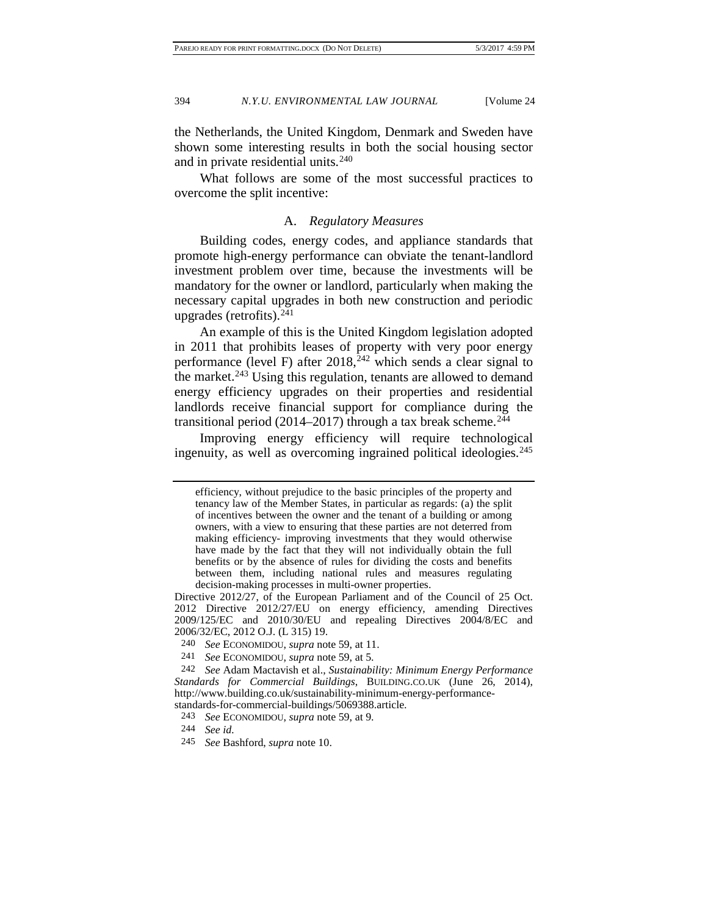the Netherlands, the United Kingdom, Denmark and Sweden have shown some interesting results in both the social housing sector and in private residential units. $240$ 

What follows are some of the most successful practices to overcome the split incentive:

#### A. *Regulatory Measures*

Building codes, energy codes, and appliance standards that promote high-energy performance can obviate the tenant-landlord investment problem over time, because the investments will be mandatory for the owner or landlord, particularly when making the necessary capital upgrades in both new construction and periodic upgrades (retrofits). $^{241}$  $^{241}$  $^{241}$ 

An example of this is the United Kingdom legislation adopted in 2011 that prohibits leases of property with very poor energy performance (level F) after  $2018$ <sup>[242](#page-42-2)</sup> which sends a clear signal to the market.<sup>243</sup> Using this regulation, tenants are allowed to demand energy efficiency upgrades on their properties and residential landlords receive financial support for compliance during the transitional period  $(2014–2017)$  through a tax break scheme.<sup>[244](#page-42-4)</sup>

Improving energy efficiency will require technological ingenuity, as well as overcoming ingrained political ideologies. $^{245}$ 

241 *See* ECONOMIDOU, *supra* note [59,](#page-17-10) at 5.

<span id="page-42-5"></span>245 *See* Bashford, *supra* note [10.](#page-5-0)

efficiency, without prejudice to the basic principles of the property and tenancy law of the Member States, in particular as regards: (a) the split of incentives between the owner and the tenant of a building or among owners, with a view to ensuring that these parties are not deterred from making efficiency- improving investments that they would otherwise have made by the fact that they will not individually obtain the full benefits or by the absence of rules for dividing the costs and benefits between them, including national rules and measures regulating decision-making processes in multi-owner properties.

Directive 2012/27, of the European Parliament and of the Council of 25 Oct. 2012 Directive 2012/27/EU on energy efficiency, amending Directives 2009/125/EC and 2010/30/EU and repealing Directives 2004/8/EC and 2006/32/EC, 2012 O.J. (L 315) 19.

<sup>240</sup> *See* ECONOMIDOU, *supra* note [59,](#page-17-10) at 11.

<span id="page-42-3"></span><span id="page-42-2"></span><span id="page-42-1"></span><span id="page-42-0"></span><sup>242</sup> *See* Adam Mactavish et al., *Sustainability: Minimum Energy Performance Standards for Commercial Buildings*, BUILDING.CO.UK (June 26, 2014), http://www.building.co.uk/sustainability-minimum-energy-performancestandards-for-commercial-buildings/5069388.article.

<sup>243</sup> *See* ECONOMIDOU, *supra* note [59,](#page-17-10) at 9.

<span id="page-42-4"></span><sup>244</sup> *See id.*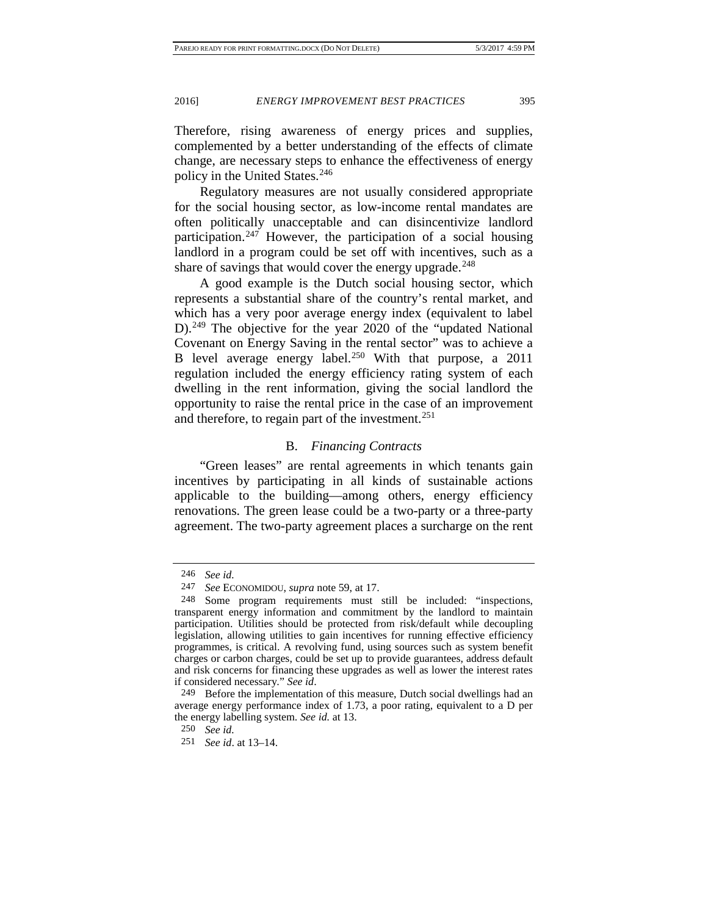Therefore, rising awareness of energy prices and supplies, complemented by a better understanding of the effects of climate change, are necessary steps to enhance the effectiveness of energy policy in the United States.<sup>[246](#page-43-0)</sup>

Regulatory measures are not usually considered appropriate for the social housing sector, as low-income rental mandates are often politically unacceptable and can disincentivize landlord participation.<sup>[247](#page-43-1)</sup> However, the participation of a social housing landlord in a program could be set off with incentives, such as a share of savings that would cover the energy upgrade.<sup>[248](#page-43-2)</sup>

A good example is the Dutch social housing sector, which represents a substantial share of the country's rental market, and which has a very poor average energy index (equivalent to label D).<sup>[249](#page-43-3)</sup> The objective for the year 2020 of the "updated National" Covenant on Energy Saving in the rental sector" was to achieve a B level average energy label.<sup>[250](#page-43-4)</sup> With that purpose, a 2011 regulation included the energy efficiency rating system of each dwelling in the rent information, giving the social landlord the opportunity to raise the rental price in the case of an improvement and therefore, to regain part of the investment.<sup>[251](#page-43-5)</sup>

#### B. *Financing Contracts*

"Green leases" are rental agreements in which tenants gain incentives by participating in all kinds of sustainable actions applicable to the building—among others, energy efficiency renovations. The green lease could be a two-party or a three-party agreement. The two-party agreement places a surcharge on the rent

<sup>246</sup> *See id.*

<sup>247</sup> *See* ECONOMIDOU, *supra* note [59,](#page-17-10) at 17.

<span id="page-43-2"></span><span id="page-43-1"></span><span id="page-43-0"></span><sup>248</sup> Some program requirements must still be included: "inspections, transparent energy information and commitment by the landlord to maintain participation. Utilities should be protected from risk/default while decoupling legislation, allowing utilities to gain incentives for running effective efficiency programmes, is critical. A revolving fund, using sources such as system benefit charges or carbon charges, could be set up to provide guarantees, address default and risk concerns for financing these upgrades as well as lower the interest rates if considered necessary." *See id*.

<span id="page-43-4"></span><span id="page-43-3"></span><sup>249</sup> Before the implementation of this measure, Dutch social dwellings had an average energy performance index of 1.73, a poor rating, equivalent to a D per the energy labelling system. *See id.* at 13.

<sup>250</sup> *See id.*

<span id="page-43-5"></span><sup>251</sup> *See id*. at 13–14.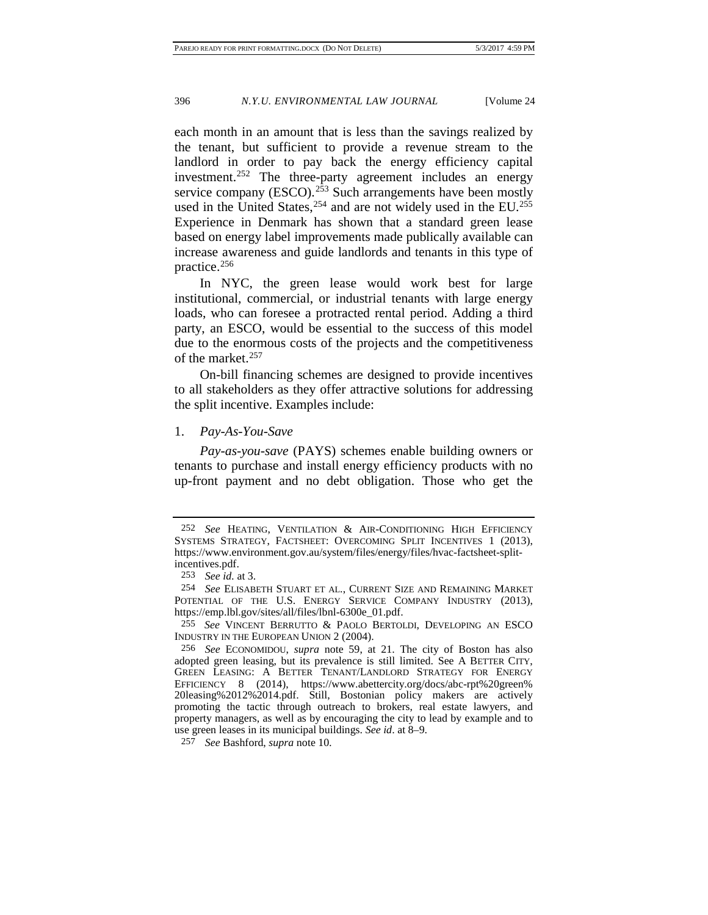each month in an amount that is less than the savings realized by the tenant, but sufficient to provide a revenue stream to the landlord in order to pay back the energy efficiency capital investment.<sup>[252](#page-44-0)</sup> The three-party agreement includes an energy service company (ESCO).<sup>[253](#page-44-1)</sup> Such arrangements have been mostly used in the United States,  $254$  and are not widely used in the EU.<sup>255</sup> Experience in Denmark has shown that a standard green lease based on energy label improvements made publically available can increase awareness and guide landlords and tenants in this type of practice.[256](#page-44-4)

In NYC, the green lease would work best for large institutional, commercial, or industrial tenants with large energy loads, who can foresee a protracted rental period. Adding a third party, an ESCO, would be essential to the success of this model due to the enormous costs of the projects and the competitiveness of the market.<sup>[257](#page-44-5)</sup>

On-bill financing schemes are designed to provide incentives to all stakeholders as they offer attractive solutions for addressing the split incentive. Examples include:

#### 1. *Pay-As-You-Save*

*Pay-as-you-save* (PAYS) schemes enable building owners or tenants to purchase and install energy efficiency products with no up-front payment and no debt obligation. Those who get the

<span id="page-44-0"></span><sup>252</sup> *See* HEATING, VENTILATION & AIR-CONDITIONING HIGH EFFICIENCY SYSTEMS STRATEGY, FACTSHEET: OVERCOMING SPLIT INCENTIVES 1 (2013), https://www.environment.gov.au/system/files/energy/files/hvac-factsheet-splitincentives.pdf.

<sup>253</sup> *See id.* at 3.

<span id="page-44-2"></span><span id="page-44-1"></span><sup>254</sup> *See* ELISABETH STUART ET AL., CURRENT SIZE AND REMAINING MARKET POTENTIAL OF THE U.S. ENERGY SERVICE COMPANY INDUSTRY (2013), https://emp.lbl.gov/sites/all/files/lbnl-6300e\_01.pdf.

<span id="page-44-3"></span><sup>255</sup> *See* VINCENT BERRUTTO & PAOLO BERTOLDI, DEVELOPING AN ESCO INDUSTRY IN THE EUROPEAN UNION 2 (2004).

<span id="page-44-4"></span><sup>256</sup> *See* ECONOMIDOU, *supra* note [59,](#page-17-10) at 21. The city of Boston has also adopted green leasing, but its prevalence is still limited. See A BETTER CITY, GREEN LEASING: A BETTER TENANT/LANDLORD STRATEGY FOR ENERGY EFFICIENCY 8 (2014), https://www.abettercity.org/docs/abc-rpt%20green% 20leasing%2012%2014.pdf. Still, Bostonian policy makers are actively promoting the tactic through outreach to brokers, real estate lawyers, and property managers, as well as by encouraging the city to lead by example and to use green leases in its municipal buildings. *See id*. at 8–9.

<span id="page-44-5"></span><sup>257</sup> *See* Bashford, *supra* note [10](#page-5-0)*.*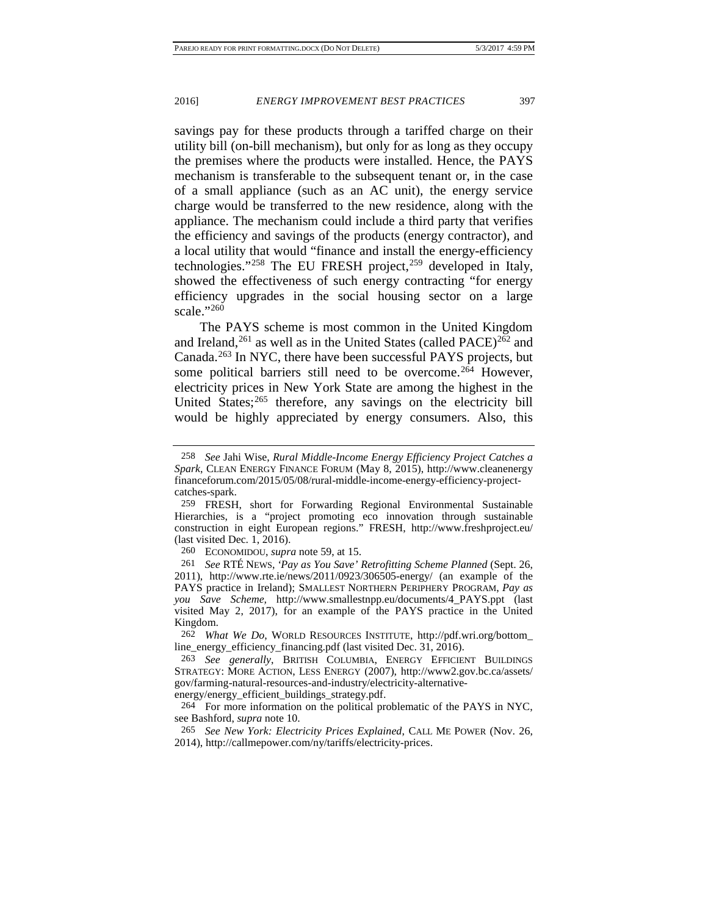savings pay for these products through a tariffed charge on their utility bill (on-bill mechanism), but only for as long as they occupy the premises where the products were installed. Hence, the PAYS mechanism is transferable to the subsequent tenant or, in the case of a small appliance (such as an AC unit), the energy service charge would be transferred to the new residence, along with the appliance. The mechanism could include a third party that verifies the efficiency and savings of the products (energy contractor), and a local utility that would "finance and install the energy-efficiency technologies."<sup>[258](#page-45-0)</sup> The EU FRESH project,<sup>[259](#page-45-1)</sup> developed in Italy, showed the effectiveness of such energy contracting "for energy efficiency upgrades in the social housing sector on a large scale."<sup>[260](#page-45-2)</sup>

The PAYS scheme is most common in the United Kingdom and Ireland,  $^{261}$  $^{261}$  $^{261}$  as well as in the United States (called PACE) $^{262}$  $^{262}$  $^{262}$  and Canada.[263](#page-45-5) In NYC, there have been successful PAYS projects, but some political barriers still need to be overcome.<sup>[264](#page-45-6)</sup> However, electricity prices in New York State are among the highest in the United States;<sup>[265](#page-45-7)</sup> therefore, any savings on the electricity bill would be highly appreciated by energy consumers. Also, this

260 ECONOMIDOU, *supra* not[e 59,](#page-17-10) at 15.

<span id="page-45-4"></span>262 *What We Do*, WORLD RESOURCES INSTITUTE, http://pdf.wri.org/bottom\_ line\_energy\_efficiency\_financing.pdf (last visited Dec. 31, 2016).

energy/energy\_efficient\_buildings\_strategy.pdf.

<span id="page-45-6"></span>264 For more information on the political problematic of the PAYS in NYC, see Bashford, *supra* note 10.

<span id="page-45-7"></span>265 *See New York: Electricity Prices Explained*, CALL ME POWER (Nov. 26, 2014), http://callmepower.com/ny/tariffs/electricity-prices.

<span id="page-45-0"></span><sup>258</sup> *See* Jahi Wise, *Rural Middle-Income Energy Efficiency Project Catches a Spark*, CLEAN ENERGY FINANCE FORUM (May 8, 2015), http://www.cleanenergy financeforum.com/2015/05/08/rural-middle-income-energy-efficiency-projectcatches-spark.

<span id="page-45-1"></span><sup>259</sup> FRESH, short for Forwarding Regional Environmental Sustainable Hierarchies, is a "project promoting eco innovation through sustainable construction in eight European regions." FRESH, http://www.freshproject.eu/ (last visited Dec. 1, 2016).

<span id="page-45-3"></span><span id="page-45-2"></span><sup>261</sup> *See* RTÉ NEWS, *'Pay as You Save' Retrofitting Scheme Planned* (Sept. 26, 2011), http://www.rte.ie/news/2011/0923/306505-energy/ (an example of the PAYS practice in Ireland); SMALLEST NORTHERN PERIPHERY PROGRAM, *Pay as you Save Scheme,* http://www.smallestnpp.eu/documents/4\_PAYS.ppt (last visited May 2, 2017), for an example of the PAYS practice in the United Kingdom.

<span id="page-45-5"></span><sup>263</sup> *See generally*, BRITISH COLUMBIA, ENERGY EFFICIENT BUILDINGS STRATEGY: MORE ACTION, LESS ENERGY (2007), http://www2.gov.bc.ca/assets/ gov/farming-natural-resources-and-industry/electricity-alternative-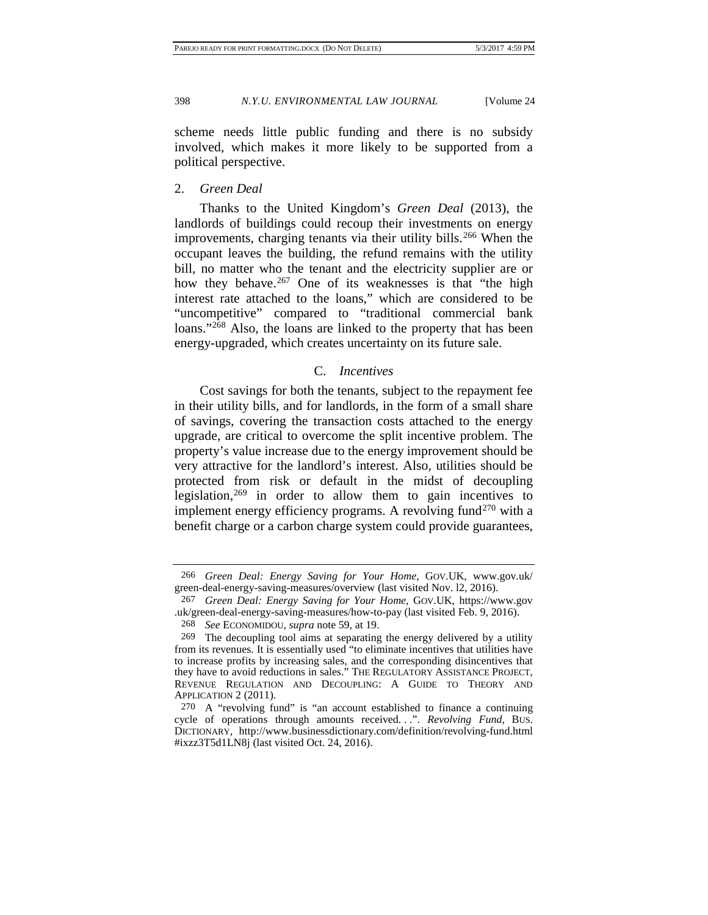scheme needs little public funding and there is no subsidy involved, which makes it more likely to be supported from a political perspective.

2. *Green Deal*

Thanks to the United Kingdom's *Green Deal* (2013), the landlords of buildings could recoup their investments on energy improvements, charging tenants via their utility bills.<sup>[266](#page-46-0)</sup> When the occupant leaves the building, the refund remains with the utility bill, no matter who the tenant and the electricity supplier are or how they behave.<sup>[267](#page-46-1)</sup> One of its weaknesses is that "the high interest rate attached to the loans," which are considered to be "uncompetitive" compared to "traditional commercial bank loans."<sup>[268](#page-46-2)</sup> Also, the loans are linked to the property that has been energy-upgraded, which creates uncertainty on its future sale.

#### C. *Incentives*

Cost savings for both the tenants, subject to the repayment fee in their utility bills, and for landlords, in the form of a small share of savings, covering the transaction costs attached to the energy upgrade, are critical to overcome the split incentive problem. The property's value increase due to the energy improvement should be very attractive for the landlord's interest. Also, utilities should be protected from risk or default in the midst of decoupling legislation,  $269$  in order to allow them to gain incentives to implement energy efficiency programs. A revolving fund<sup>[270](#page-46-4)</sup> with a benefit charge or a carbon charge system could provide guarantees,

<span id="page-46-0"></span><sup>266</sup> *Green Deal: Energy Saving for Your Home*, GOV.UK, www.gov.uk/ green-deal-energy-saving-measures/overview (last visited Nov. l2, 2016).

<span id="page-46-1"></span><sup>267</sup> *Green Deal: Energy Saving for Your Home*, GOV.UK, https://www.gov .uk/green-deal-energy-saving-measures/how-to-pay (last visited Feb. 9, 2016).

<sup>268</sup> *See* ECONOMIDOU, *supra* note [59,](#page-17-10) at 19.

<span id="page-46-3"></span><span id="page-46-2"></span><sup>269</sup> The decoupling tool aims at separating the energy delivered by a utility from its revenues. It is essentially used "to eliminate incentives that utilities have to increase profits by increasing sales, and the corresponding disincentives that they have to avoid reductions in sales." THE REGULATORY ASSISTANCE PROJECT, REVENUE REGULATION AND DECOUPLING: A GUIDE TO THEORY AND APPLICATION 2 (2011).

<span id="page-46-4"></span><sup>270</sup> A "revolving fund" is "an account established to finance a continuing cycle of operations through amounts received. . .". *Revolving Fund*, BUS. DICTIONARY, http://www.businessdictionary.com/definition/revolving-fund.html #ixzz3T5d1LN8j (last visited Oct. 24, 2016).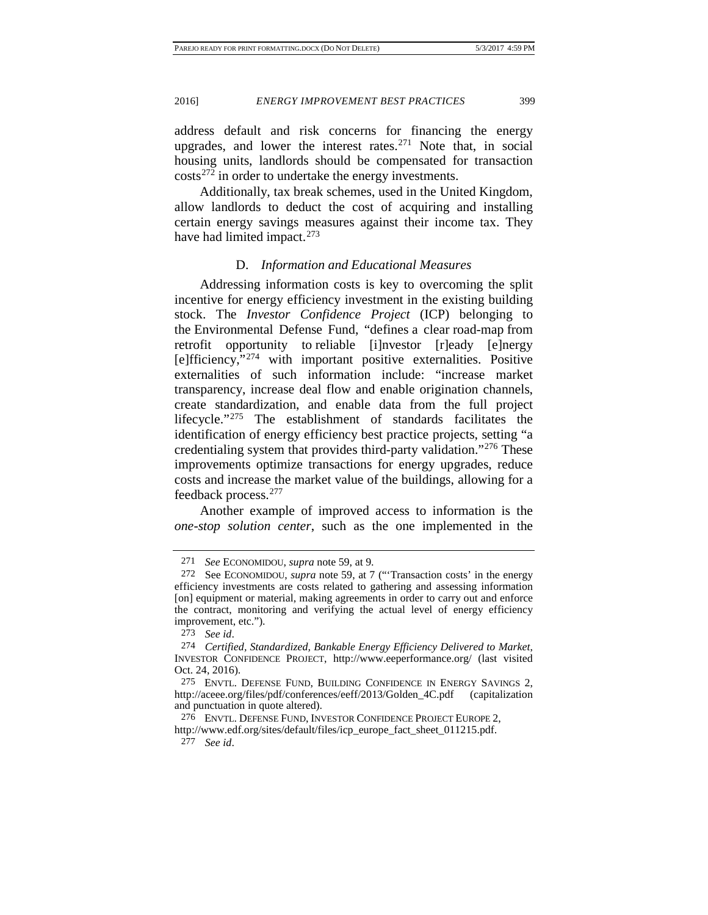address default and risk concerns for financing the energy upgrades, and lower the interest rates.<sup>[271](#page-47-0)</sup> Note that, in social housing units, landlords should be compensated for transaction  $\cos(s^{272})$  in order to undertake the energy investments.

Additionally, tax break schemes, used in the United Kingdom, allow landlords to deduct the cost of acquiring and installing certain energy savings measures against their income tax. They have had limited impact.<sup>[273](#page-47-2)</sup>

#### D. *Information and Educational Measures*

Addressing information costs is key to overcoming the split incentive for energy efficiency investment in the existing building stock. The *Investor Confidence Project* (ICP) belonging to the Environmental Defense Fund, "defines a clear road-map from retrofit opportunity to reliable [i]nvestor [r]eady [e]nergy [e]fficiency,"[274](#page-47-3) with important positive externalities. Positive externalities of such information include: "increase market transparency, increase deal flow and enable origination channels, create standardization, and enable data from the full project lifecycle."[275](#page-47-4) The establishment of standards facilitates the identification of energy efficiency best practice projects, setting "a credentialing system that provides third-party validation."[276](#page-47-5) These improvements optimize transactions for energy upgrades, reduce costs and increase the market value of the buildings, allowing for a feedback process.[277](#page-47-6)

Another example of improved access to information is the *one-stop solution center*, such as the one implemented in the

<sup>271</sup> *See* ECONOMIDOU, *supra* note [59,](#page-17-10) at 9.

<span id="page-47-1"></span><span id="page-47-0"></span><sup>272</sup> See ECONOMIDOU, *supra* note [59,](#page-17-10) at 7 ("'Transaction costs' in the energy efficiency investments are costs related to gathering and assessing information [on] equipment or material, making agreements in order to carry out and enforce the contract, monitoring and verifying the actual level of energy efficiency improvement, etc.").

<sup>273</sup> *See id*.

<span id="page-47-3"></span><span id="page-47-2"></span><sup>274</sup> *Certified, Standardized, Bankable Energy Efficiency Delivered to Market*, INVESTOR CONFIDENCE PROJECT, http://www.eeperformance.org/ (last visited Oct. 24, 2016).

<span id="page-47-4"></span><sup>275</sup> ENVTL. DEFENSE FUND, BUILDING CONFIDENCE IN ENERGY SAVINGS 2, http://aceee.org/files/pdf/conferences/eeff/2013/Golden\_4C.pdf (capitalization and punctuation in quote altered).

<sup>276</sup> ENVTL. DEFENSE FUND, INVESTOR CONFIDENCE PROJECT EUROPE 2,

<span id="page-47-6"></span><span id="page-47-5"></span>http://www.edf.org/sites/default/files/icp\_europe\_fact\_sheet\_011215.pdf. 277 *See id*.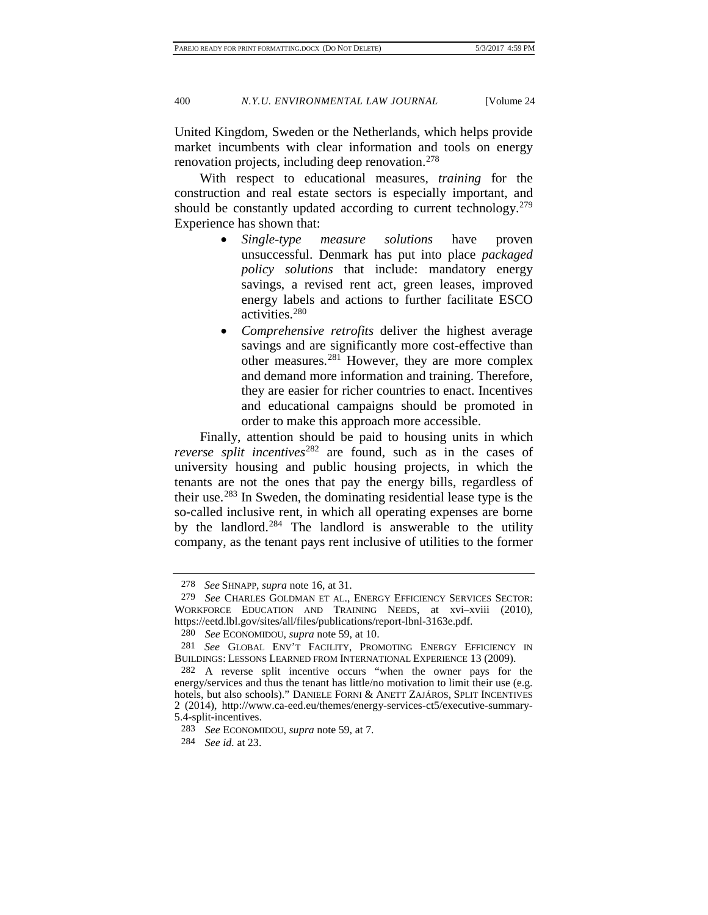United Kingdom, Sweden or the Netherlands, which helps provide market incumbents with clear information and tools on energy renovation projects, including deep renovation.<sup>[278](#page-48-0)</sup>

With respect to educational measures, *training* for the construction and real estate sectors is especially important, and should be constantly updated according to current technology.<sup>279</sup> Experience has shown that:

- *Single-type measure solutions* have proven unsuccessful. Denmark has put into place *packaged policy solutions* that include: mandatory energy savings, a revised rent act, green leases, improved energy labels and actions to further facilitate ESCO activities.[280](#page-48-2)
- *Comprehensive retrofits* deliver the highest average savings and are significantly more cost-effective than other measures.[281](#page-48-3) However, they are more complex and demand more information and training. Therefore, they are easier for richer countries to enact. Incentives and educational campaigns should be promoted in order to make this approach more accessible.

Finally, attention should be paid to housing units in which *reverse split incentives*[282](#page-48-4) are found, such as in the cases of university housing and public housing projects, in which the tenants are not the ones that pay the energy bills, regardless of their use.[283](#page-48-5) In Sweden, the dominating residential lease type is the so-called inclusive rent, in which all operating expenses are borne by the landlord. $284$  The landlord is answerable to the utility company, as the tenant pays rent inclusive of utilities to the former

<sup>278</sup> *See* SHNAPP, *supra* not[e 16,](#page-5-9) at 31.

<span id="page-48-1"></span><span id="page-48-0"></span><sup>279</sup> *See* CHARLES GOLDMAN ET AL., ENERGY EFFICIENCY SERVICES SECTOR: WORKFORCE EDUCATION AND TRAINING NEEDS, at xvi–xviii (2010), https://eetd.lbl.gov/sites/all/files/publications/report-lbnl-3163e.pdf.

<sup>280</sup> *See* ECONOMIDOU, *supra* note [59,](#page-17-10) at 10.

<span id="page-48-3"></span><span id="page-48-2"></span><sup>281</sup> *See* GLOBAL ENV'T FACILITY, PROMOTING ENERGY EFFICIENCY IN BUILDINGS: LESSONS LEARNED FROM INTERNATIONAL EXPERIENCE 13 (2009).

<span id="page-48-4"></span><sup>282</sup> A reverse split incentive occurs "when the owner pays for the energy/services and thus the tenant has little/no motivation to limit their use (e.g. hotels, but also schools)." DANIELE FORNI & ANETT ZAJÁROS, SPLIT INCENTIVES 2 (2014), http://www.ca-eed.eu/themes/energy-services-ct5/executive-summary-5.4-split-incentives.

<span id="page-48-5"></span><sup>283</sup> *See* ECONOMIDOU, *supra* note [59,](#page-17-10) at 7.

<span id="page-48-6"></span><sup>284</sup> *See id.* at 23.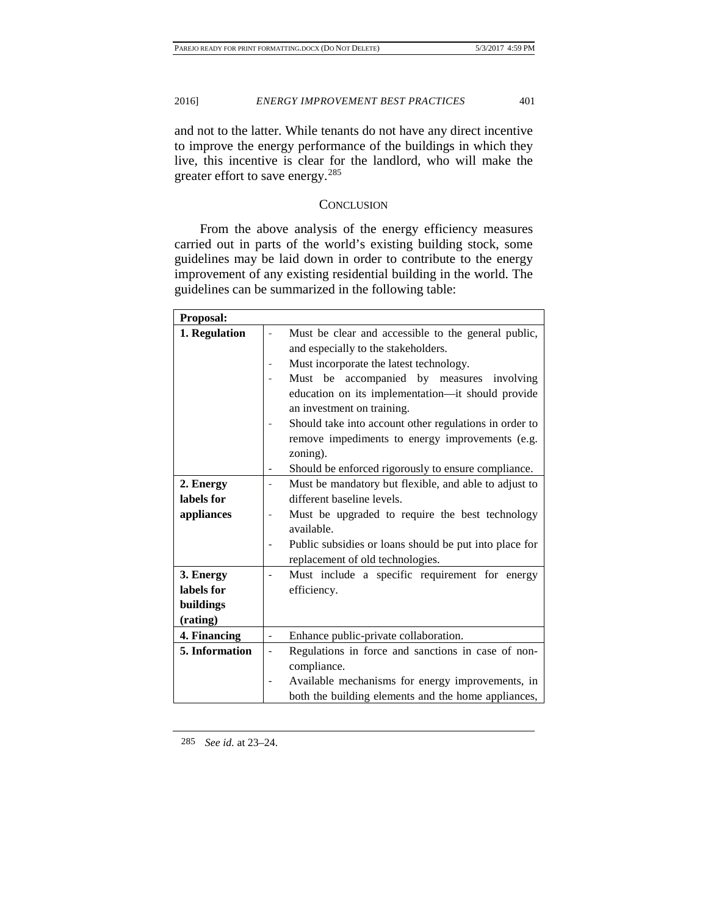and not to the latter. While tenants do not have any direct incentive to improve the energy performance of the buildings in which they live, this incentive is clear for the landlord, who will make the greater effort to save energy.[285](#page-49-0)

#### **CONCLUSION**

From the above analysis of the energy efficiency measures carried out in parts of the world's existing building stock, some guidelines may be laid down in order to contribute to the energy improvement of any existing residential building in the world. The guidelines can be summarized in the following table:

| Proposal:      |                |                                                                                            |  |  |
|----------------|----------------|--------------------------------------------------------------------------------------------|--|--|
| 1. Regulation  |                | Must be clear and accessible to the general public,<br>and especially to the stakeholders. |  |  |
|                |                |                                                                                            |  |  |
|                |                | Must incorporate the latest technology.                                                    |  |  |
|                |                | Must be accompanied by measures<br>involving                                               |  |  |
|                |                | education on its implementation-it should provide                                          |  |  |
|                |                | an investment on training.                                                                 |  |  |
|                |                | Should take into account other regulations in order to                                     |  |  |
|                |                | remove impediments to energy improvements (e.g.                                            |  |  |
|                |                | zoning).                                                                                   |  |  |
|                |                | Should be enforced rigorously to ensure compliance.                                        |  |  |
| 2. Energy      |                | Must be mandatory but flexible, and able to adjust to                                      |  |  |
| labels for     |                | different baseline levels.                                                                 |  |  |
| appliances     |                | Must be upgraded to require the best technology                                            |  |  |
|                |                | available.                                                                                 |  |  |
|                |                | Public subsidies or loans should be put into place for                                     |  |  |
|                |                | replacement of old technologies.                                                           |  |  |
| 3. Energy      |                | Must include a specific requirement for energy                                             |  |  |
| labels for     |                | efficiency.                                                                                |  |  |
| buildings      |                |                                                                                            |  |  |
| (rating)       |                |                                                                                            |  |  |
| 4. Financing   | $\frac{1}{2}$  | Enhance public-private collaboration.                                                      |  |  |
| 5. Information | $\overline{a}$ | Regulations in force and sanctions in case of non-                                         |  |  |
|                |                | compliance.                                                                                |  |  |
|                |                | Available mechanisms for energy improvements, in                                           |  |  |
|                |                | both the building elements and the home appliances,                                        |  |  |

<span id="page-49-0"></span>285 *See id.* at 23–24.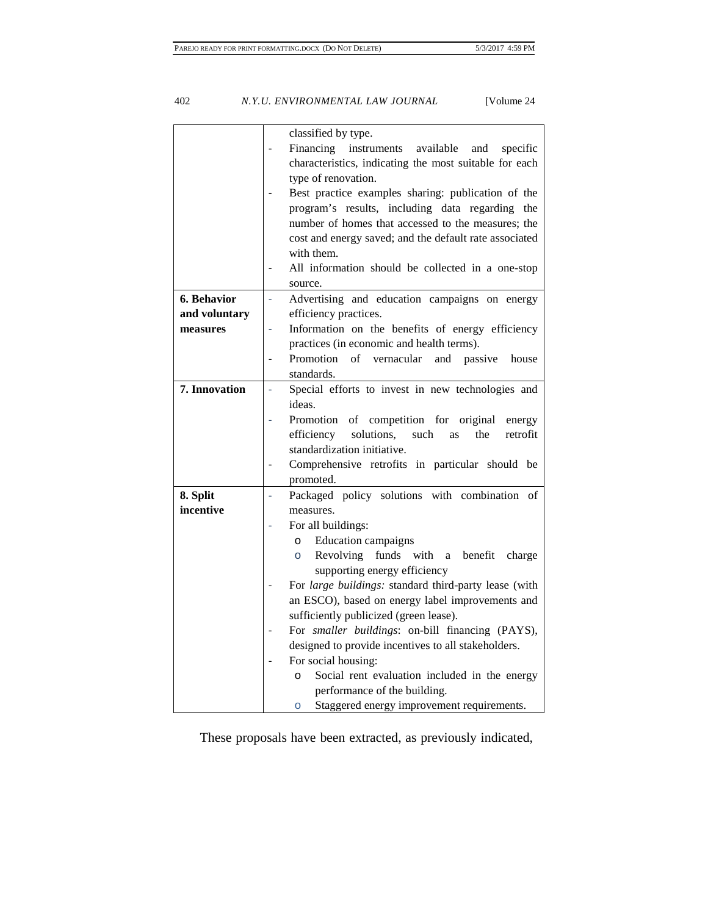classified by type. Financing instruments available and specific characteristics, indicating the most suitable for each type of renovation. Best practice examples sharing: publication of the program's results, including data regarding the number of homes that accessed to the measures; the cost and energy saved; and the default rate associated with them. All information should be collected in a one-stop source. **6. Behavior and voluntary measures** - Advertising and education campaigns on energy efficiency practices. Information on the benefits of energy efficiency practices (in economic and health terms). Promotion of vernacular and passive house standards. **7. Innovation**  $\begin{bmatrix} -8 & 5 & 0 \\ -8 & 5 & 0 \end{bmatrix}$  efforts to invest in new technologies and ideas. Promotion of competition for original energy efficiency solutions, such as the retrofit standardization initiative. Comprehensive retrofits in particular should be promoted. **8. Split incentive**  - Packaged policy solutions with combination of measures. For all buildings: o Education campaigns o Revolving funds with a benefit charge supporting energy efficiency For *large buildings:* standard third-party lease (with an ESCO), based on energy label improvements and sufficiently publicized (green lease). - For *smaller buildings*: on-bill financing (PAYS), designed to provide incentives to all stakeholders. For social housing: o Social rent evaluation included in the energy performance of the building. o Staggered energy improvement requirements.

These proposals have been extracted, as previously indicated,